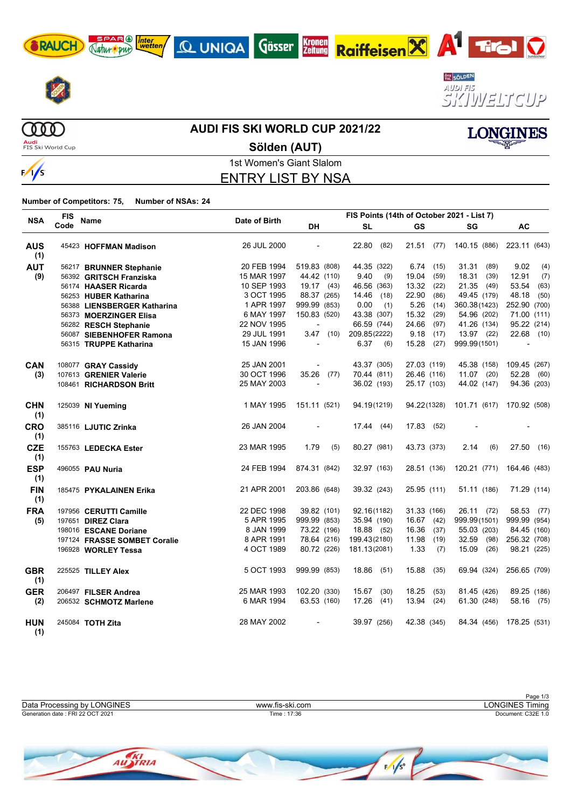





**LONGINES** 

**COOO Audi**<br>FIS Ski World Cup

#### **AUDI FIS SKI WORLD CUP 2021/22**

**C UNIQA** Gösser Kronen

**Sölden (AUT)**



1st Women's Giant Slalom ENTRY LIST BY NSA

**Number of Competitors: 75, Number of NSAs: 24**

SPAR (A) Inter

| <b>NSA</b>        | <b>FIS</b> | <b>Name</b>                  | FIS Points (14th of October 2021 - List 7)<br>Date of Birth |                          |               |               |                           |               |
|-------------------|------------|------------------------------|-------------------------------------------------------------|--------------------------|---------------|---------------|---------------------------|---------------|
|                   | Code       |                              |                                                             | DH                       | <b>SL</b>     | GS            | SG                        | AC            |
| <b>AUS</b><br>(1) |            | 45423 HOFFMAN Madison        | 26 JUL 2000                                                 | $\overline{\phantom{a}}$ | 22.80<br>(82) |               | 21.51 (77) 140.15 (886)   | 223.11 (643)  |
| <b>AUT</b>        |            | 56217 BRUNNER Stephanie      | 20 FEB 1994                                                 | 519.83 (808)             | 44.35 (322)   | 6.74<br>(15)  | 31.31<br>(89)             | 9.02<br>(4)   |
| (9)               |            | 56392 GRITSCH Franziska      | 15 MAR 1997                                                 | 44.42 (110)              | 9.40<br>(9)   | 19.04<br>(59) | 18.31 (39)                | 12.91<br>(7)  |
|                   |            | 56174 HAASER Ricarda         | 10 SEP 1993                                                 | $19.17$ (43)             | 46.56 (363)   | 13.32<br>(22) | 21.35 (49)                | 53.54<br>(63) |
|                   |            | 56253 HUBER Katharina        | 3 OCT 1995                                                  | 88.37 (265)              | 14.46 (18)    | 22.90<br>(86) | 49.45 (179)               | 48.18<br>(50) |
|                   |            | 56388 LIENSBERGER Katharina  | 1 APR 1997                                                  | 999.99 (853)             | 0.00<br>(1)   | 5.26<br>(14)  | 360.38(1423)              | 252.90 (700)  |
|                   |            | 56373 MOERZINGER Elisa       | 6 MAY 1997                                                  | 150.83 (520)             | 43.38 (307)   | 15.32 (29)    | 54.96 (202)               | 71.00 (111)   |
|                   |            | 56282 RESCH Stephanie        | 22 NOV 1995                                                 |                          | 66.59 (744)   | 24.66<br>(97) | 41.26 (134)               | 95.22 (214)   |
|                   |            | 56087 SIEBENHOFER Ramona     | 29 JUL 1991                                                 | $3.47$ (10)              | 209.85(2222)  | 9.18<br>(17)  | 13.97 (22)                | 22.68 (10)    |
|                   |            | 56315 TRUPPE Katharina       | 15 JAN 1996                                                 |                          | 6.37<br>(6)   | 15.28 (27)    | 999.99(1501)              |               |
| <b>CAN</b>        |            | 108077 GRAY Cassidy          | 25 JAN 2001                                                 |                          | 43.37 (305)   | 27.03 (119)   | 45.38 (158)               | 109.45 (267)  |
| (3)               |            | 107613 GRENIER Valerie       | 30 OCT 1996                                                 | 35.26 (77)               | 70.44 (811)   | 26.46 (116)   | $11.07$ (20)              | 52.28 (60)    |
|                   |            | 108461 RICHARDSON Britt      | 25 MAY 2003                                                 |                          | 36.02 (193)   | 25.17 (103)   | 44.02 (147)               | 94.36 (203)   |
| <b>CHN</b><br>(1) |            | 125039 NI Yueming            | 1 MAY 1995                                                  | 151.11 (521)             | 94.19(1219)   | 94.22(1328)   | 101.71 (617) 170.92 (508) |               |
| CRO<br>(1)        |            | 385116 LJUTIC Zrinka         | 26 JAN 2004                                                 |                          | 17.44(44)     | 17.83<br>(52) |                           |               |
| <b>CZE</b><br>(1) |            | 155763 LEDECKA Ester         | 23 MAR 1995                                                 | 1.79<br>(5)              | 80.27 (981)   | 43.73 (373)   | 2.14<br>(6)               | 27.50 (16)    |
| <b>ESP</b><br>(1) |            | 496055 PAU Nuria             | 24 FEB 1994                                                 | 874.31 (842)             | 32.97 (163)   | 28.51 (136)   | 120.21 (771) 164.46 (483) |               |
| <b>FIN</b><br>(1) |            | 185475 PYKALAINEN Erika      | 21 APR 2001                                                 | 203.86 (648)             | 39.32 (243)   | 25.95 (111)   | 51.11 (186)               | 71.29 (114)   |
| <b>FRA</b>        |            | 197956 CERUTTI Camille       | 22 DEC 1998                                                 | 39.82 (101)              | 92.16(1182)   | 31.33 (166)   | 26.11 (72)                | 58.53 (77)    |
| (5)               |            | 197651 DIREZ Clara           | 5 APR 1995                                                  | 999.99 (853)             | 35.94 (190)   | $16.67$ (42)  | 999.99(1501)              | 999.99 (954)  |
|                   |            | 198016 ESCANE Doriane        | 8 JAN 1999                                                  | 73.22 (196)              | 18.88 (52)    | 16.36<br>(37) | 55.03 (203)               | 84.45 (160)   |
|                   |            | 197124 FRASSE SOMBET Coralie | 8 APR 1991                                                  | 78.64 (216)              | 199.43(2180)  | 11.98<br>(19) | 32.59 (98)                | 256.32 (708)  |
|                   |            | 196928 WORLEY Tessa          | 4 OCT 1989                                                  | 80.72 (226)              | 181.13(2081)  | 1.33<br>(7)   | 15.09 (26)                | 98.21 (225)   |
| <b>GBR</b><br>(1) |            | 225525 TILLEY Alex           | 5 OCT 1993                                                  | 999.99 (853)             | 18.86 (51)    | 15.88<br>(35) | 69.94 (324)               | 256.65 (709)  |
| <b>GER</b>        |            | 206497 FILSER Andrea         | 25 MAR 1993                                                 | 102.20 (330)             | 15.67<br>(30) | 18.25<br>(53) | 81.45 (426)               | 89.25 (186)   |
| (2)               |            | 206532 SCHMOTZ Marlene       | 6 MAR 1994                                                  | 63.53 (160)              | 17.26<br>(41) | 13.94<br>(24) | 61.30 (248)               | 58.16 (75)    |
| <b>HUN</b><br>(1) |            | 245084 TOTH Zita             | 28 MAY 2002                                                 |                          | 39.97 (256)   | 42.38 (345)   | 84.34 (456)               | 178.25 (531)  |

|                                  |                 | Page 1/3           |
|----------------------------------|-----------------|--------------------|
| Data Processing by LONGINES      | www.fis-ski.com | ONGINES Timing     |
| Generation date: FRI 22 OCT 2021 | Time: 17:36     | Document: C32E 1.0 |
|                                  |                 |                    |

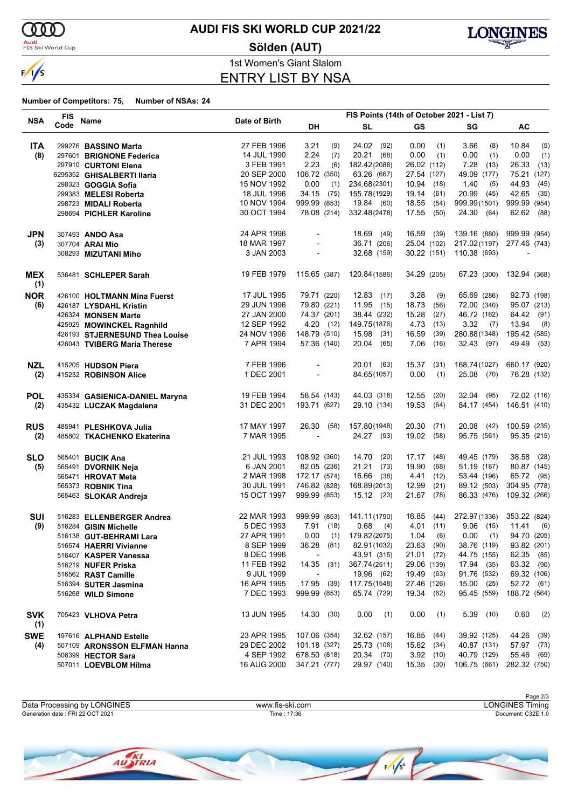

<mark>Audi</mark><br>FIS Ski World Cup

### **AUDI FIS SKI WORLD CUP 2021/22**

**Sölden (AUT)**



1st Women's Giant Slalom ENTRY LIST BY NSA

| <b>FIS</b>        |      |                                                  |               |                          | FIS Points (14th of October 2021 - List 7) |               |              |                          |  |
|-------------------|------|--------------------------------------------------|---------------|--------------------------|--------------------------------------------|---------------|--------------|--------------------------|--|
| <b>NSA</b>        | Code | Name                                             | Date of Birth | DH                       | SL                                         | <b>GS</b>     | SG           | AC                       |  |
| <b>ITA</b>        |      | 299276 BASSINO Marta                             | 27 FEB 1996   | 3.21<br>(9)              | 24.02 (92)                                 | 0.00<br>(1)   | 3.66<br>(8)  | 10.84<br>(5)             |  |
| (8)               |      | 297601 BRIGNONE Federica                         | 14 JUL 1990   | 2.24<br>(7)              | 20.21 (68)                                 | 0.00<br>(1)   | 0.00<br>(1)  | 0.00<br>(1)              |  |
|                   |      | 297910 CURTONI Elena                             | 3 FEB 1991    | 2.23<br>(6)              | 182.42(2088)                               | 26.02 (112)   | 7.28<br>(13) | 26.33<br>(13)            |  |
|                   |      | 6295352 GHISALBERTI Ilaria                       | 20 SEP 2000   | 106.72 (350)             | 63.26 (667)                                | 27.54 (127)   | 49.09 (177)  | 75.21 (127)              |  |
|                   |      | 298323 GOGGIA Sofia                              | 15 NOV 1992   | 0.00<br>(1)              | 234.68(2301)                               | 10.94<br>(18) | 1.40<br>(5)  | 44.93<br>(45)            |  |
|                   |      | 299383 MELESI Roberta                            | 18 JUL 1996   | 34.15 (75)               | 155.78(1929)                               | 19.14<br>(61) | 20.99 (45)   | 42.65<br>(35)            |  |
|                   |      |                                                  | 10 NOV 1994   | 999.99 (853)             | 19.84 (60)                                 | 18.55<br>(54) | 999.99(1501) | 999.99 (954)             |  |
|                   |      | 298723 MIDALI Roberta<br>298694 PICHLER Karoline | 30 OCT 1994   | 78.08 (214)              | 332.48(2478)                               | 17.55<br>(50) | 24.30 (64)   | 62.62 (88)               |  |
|                   |      |                                                  |               |                          |                                            |               |              |                          |  |
| <b>JPN</b>        |      | 307493 ANDO Asa                                  | 24 APR 1996   |                          | 18.69<br>(49)                              | 16.59 (39)    | 139.16 (880) | 999.99 (954)             |  |
| (3)               |      | 307704 ARAI Mio                                  | 18 MAR 1997   |                          | 36.71 (206)                                | 25.04 (102)   | 217.02(1197) | 277.46 (743)             |  |
|                   |      | 308293 MIZUTANI Miho                             | 3 JAN 2003    | $\overline{\phantom{a}}$ | 32.68 (159)                                | 30.22 (151)   | 110.38 (693) | $\overline{\phantom{a}}$ |  |
| <b>MEX</b><br>(1) |      | 536481 SCHLEPER Sarah                            | 19 FEB 1979   | 115.65 (387)             | 120.84 (1586)                              | 34.29 (205)   | 67.23 (300)  | 132.94 (368)             |  |
| <b>NOR</b>        |      | 426100 HOLTMANN Mina Fuerst                      | 17 JUL 1995   | 79.71 (220)              | $12.83$ (17)                               | 3.28<br>(9)   | 65.69 (286)  | 92.73 (198)              |  |
| (6)               |      | 426187 LYSDAHL Kristin                           | 29 JUN 1996   | 79.80 (221)              | 11.95<br>(15)                              | 18.73<br>(56) | 72.00 (340)  | 95.07 (213)              |  |
|                   |      | 426324 MONSEN Marte                              | 27 JAN 2000   | 74.37 (201)              | 38.44 (232)                                | 15.28<br>(27) | 46.72 (162)  | 64.42 (91)               |  |
|                   |      | 425929 MOWINCKEL Ragnhild                        | 12 SEP 1992   | 4.20(12)                 | 149.75(1876)                               | 4.73<br>(13)  | $3.32$ (7)   | 13.94<br>(8)             |  |
|                   |      | 426193 STJERNESUND Thea Louise                   | 24 NOV 1996   | 148.79 (510)             | 15.98 (31)                                 | 16.59<br>(39) | 280.88(1348) | 195.42 (585)             |  |
|                   |      | 426043 TVIBERG Maria Therese                     | 7 APR 1994    | 57.36 (140)              | 20.04 (65)                                 | 7.06<br>(16)  | 32.43 (97)   | 49.49 (53)               |  |
|                   |      |                                                  | 7 FEB 1996    |                          | 20.01 (63)                                 | 15.37         | 168.74(1027) | 660.17 (920)             |  |
| <b>NZL</b>        |      | 415205 HUDSON Piera<br>415232 ROBINSON Alice     | 1 DEC 2001    | $\overline{\phantom{a}}$ | 84.65(1057)                                | (31)<br>0.00  | 25.08 (70)   | 76.28 (132)              |  |
| (2)               |      |                                                  |               |                          |                                            | (1)           |              |                          |  |
| <b>POL</b>        |      | 435334 GASIENICA-DANIEL Maryna                   | 19 FEB 1994   | 58.54 (143)              | 44.03 (318)                                | 12.55<br>(20) | 32.04 (95)   | 72.02 (116)              |  |
| (2)               |      | 435432 LUCZAK Magdalena                          | 31 DEC 2001   | 193.71 (627)             | 29.10 (134)                                | 19.53<br>(64) | 84.17 (454)  | 146.51 (410)             |  |
| <b>RUS</b>        |      | 485941 PLESHKOVA Julia                           | 17 MAY 1997   | 26.30 (58)               | 157.80(1948)                               | 20.30<br>(71) | 20.08 (42)   | 100.59 (235)             |  |
| (2)               |      | 485802 TKACHENKO Ekaterina                       | 7 MAR 1995    |                          | 24.27 (93)                                 | 19.02<br>(58) | 95.75 (561)  | 95.35 (215)              |  |
| <b>SLO</b>        |      | 565401 <b>BUCIK Ana</b>                          | 21 JUL 1993   | 108.92 (360)             | 14.70<br>(20)                              | 17.17<br>(48) | 49.45 (179)  | 38.58 (28)               |  |
| (5)               |      | 565491 DVORNIK Neja                              | 6 JAN 2001    | 82.05 (236)              | 21.21<br>(73)                              | 19.90<br>(68) | 51.19 (187)  | 80.87 (145)              |  |
|                   |      | 565471 HROVAT Meta                               | 2 MAR 1998    | 172.17 (574)             | 16.66 (38)                                 | 4.41<br>(12)  | 53.44 (196)  | 65.72 (95)               |  |
|                   |      | 565373 ROBNIK Tina                               | 30 JUL 1991   | 746.82 (828)             | 168.89(2013)                               | 12.99<br>(21) | 89.12 (503)  | 304.95 (778)             |  |
|                   |      | 565463 SLOKAR Andreja                            | 15 OCT 1997   | 999.99 (853)             | 15.12(23)                                  | 21.67<br>(78) | 86.33 (476)  | 109.32 (266)             |  |
|                   |      |                                                  |               |                          |                                            |               |              |                          |  |
| <b>SUI</b>        |      | 516283 ELLENBERGER Andrea                        | 22 MAR 1993   | 999.99 (853)             | 141.11(1790)                               | 16.85<br>(44) | 272.97(1336) | 353.22 (824)             |  |
| (9)               |      | 516284 GISIN Michelle                            | 5 DEC 1993    | 7.91<br>(18)             | 0.68<br>(4)                                | 4.01<br>(11)  | $9.06$ (15)  | 11.41<br>(6)             |  |
|                   |      | 516138 GUT-BEHRAMI Lara                          | 27 APR 1991   | 0.00<br>(1)              | 179.82(2075)                               | 1.04<br>(6)   | 0.00<br>(1)  | 94.70 (205)              |  |
|                   |      | 516574 HAERRI Vivianne                           | 8 SEP 1999    | 36.28 (81)               | 82.91 (1032)                               | 23.63 (90)    | 38.76 (119)  | 93.82 (201)              |  |
|                   |      | 516407 KASPER Vanessa                            | 8 DEC 1996    |                          | 43.91 (315)                                | 21.01 (72)    | 44.75 (155)  | 62.35 (85)               |  |
|                   |      | 516219 NUFER Priska                              | 11 FEB 1992   | $14.35$ (31)             | 367.74(2511)                               | 29.06 (139)   | 17.94 (35)   | 63.32 (90)               |  |
|                   |      | 516562 RAST Camille                              | 9 JUL 1999    |                          | 19.96 (62)                                 | 19.49 (63)    | 91.76 (532)  | 69.32 (106)              |  |
|                   |      | 516394 SUTER Jasmina                             | 16 APR 1995   | 17.95 (39)               | 117.75(1548)                               | 27.46 (126)   | 15.00(25)    | 52.72 (61)               |  |
|                   |      | 516268 WILD Simone                               | 7 DEC 1993    | 999.99 (853)             | 65.74 (729)                                | 19.34 (62)    | 95.45 (559)  | 188.72 (564)             |  |
| <b>SVK</b>        |      | 705423 VLHOVA Petra                              | 13 JUN 1995   | 14.30 (30)               | 0.00(1)                                    | 0.00<br>(1)   | $5.39$ (10)  | 0.60<br>(2)              |  |
| (1)<br><b>SWE</b> |      | 197616 ALPHAND Estelle                           | 23 APR 1995   | 107.06 (354)             | 32.62 (157)                                | 16.85 (44)    | 39.92 (125)  | 44.26 (39)               |  |
| (4)               |      | 507109 ARONSSON ELFMAN Hanna                     | 29 DEC 2002   | 101.18 (327)             | 25.73 (108)                                | 15.62 (34)    | 40.87 (131)  | 57.97 (73)               |  |
|                   |      | 506399 HECTOR Sara                               | 4 SEP 1992    | 678.50 (818)             | 20.34 (70)                                 | 3.92(10)      | 40.79 (129)  | 55.46 (69)               |  |
|                   |      | 507011 LOEVBLOM Hilma                            | 16 AUG 2000   | 347.21 (777)             | 29.97 (140)                                | 15.35(30)     | 106.75 (661) | 282.32 (750)             |  |
|                   |      |                                                  |               |                          |                                            |               |              |                          |  |

|                                  |                 | Page 2/3           |
|----------------------------------|-----------------|--------------------|
| Data Processing by LONGINES      | www.fis-ski.com | LONGINES Timing    |
| Generation date: FRI 22 OCT 2021 | Time: 17:36     | Document: C32E 1.0 |
|                                  |                 |                    |

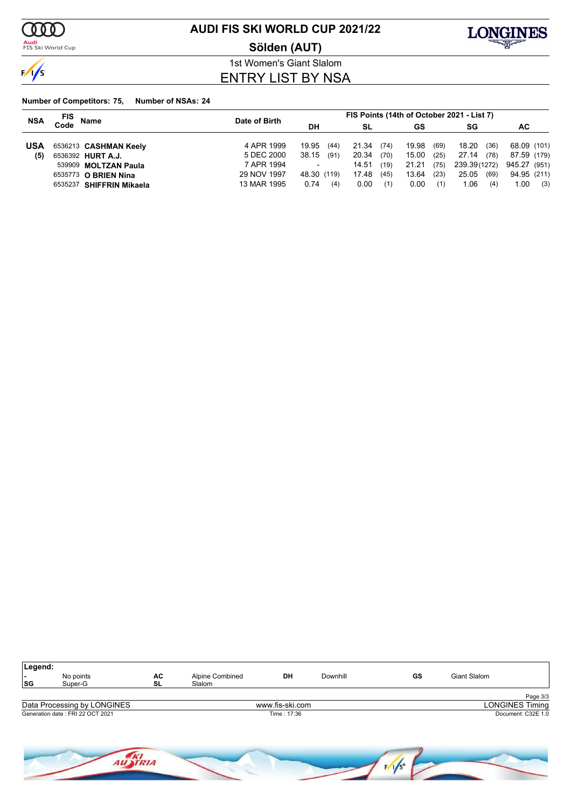

<mark>Audi</mark><br>FIS Ski World Cup

### **AUDI FIS SKI WORLD CUP 2021/22**

**Sölden (AUT)**



1st Women's Giant Slalom ENTRY LIST BY NSA

|            | FIS<br><b>Name</b>       | Date of Birth | FIS Points (14th of October 2021 - List 7) |               |               |               |              |  |
|------------|--------------------------|---------------|--------------------------------------------|---------------|---------------|---------------|--------------|--|
| <b>NSA</b> | Code                     |               | DH                                         | SL<br>GS      |               |               | SG<br>АC     |  |
| <b>USA</b> | 6536213 CASHMAN Keely    | 4 APR 1999    | 19.95<br>(44)                              | 21.34<br>(74) | 19.98<br>(69) | 18.20<br>(36) | 68.09 (101)  |  |
| (5)        | 6536392 HURT A.J.        | 5 DEC 2000    | 38.15<br>(91)                              | 20.34<br>(70) | 15.00<br>(25) | 27.14<br>(78) | 87.59 (179)  |  |
|            | 539909 MOLTZAN Paula     | 7 APR 1994    | $\overline{\phantom{a}}$                   | (19)<br>14.51 | 21.21<br>(75) | 239.39(1272)  | 945.27 (951) |  |
|            | 6535773 O BRIEN Nina     | 29 NOV 1997   | 48.30 (119)                                | 17.48<br>(45) | 13.64<br>(23) | 25.05<br>(69) | 94.95 (211)  |  |
|            | 6535237 SHIFFRIN Mikaela | 13 MAR 1995   | 0.74<br>(4)                                | 0.00<br>(1)   | 0.00<br>(1)   | 1.06<br>(4)   | 1.00<br>(3)  |  |

| Legend:<br>۰.<br> SG | No points<br>Super-G             | AC<br>SL | Alpine Combined<br>Slalom | DH              | Downhill | GS | Giant Slalom           |
|----------------------|----------------------------------|----------|---------------------------|-----------------|----------|----|------------------------|
|                      |                                  |          |                           |                 |          |    | Page 3/3               |
|                      | Data Processing by LONGINES      |          |                           | www.fis-ski.com |          |    | <b>LONGINES Timing</b> |
|                      | Generation date: FRI 22 OCT 2021 |          |                           | Time: 17:36     |          |    | Document: C32E 1.0     |
|                      |                                  |          |                           |                 |          |    |                        |

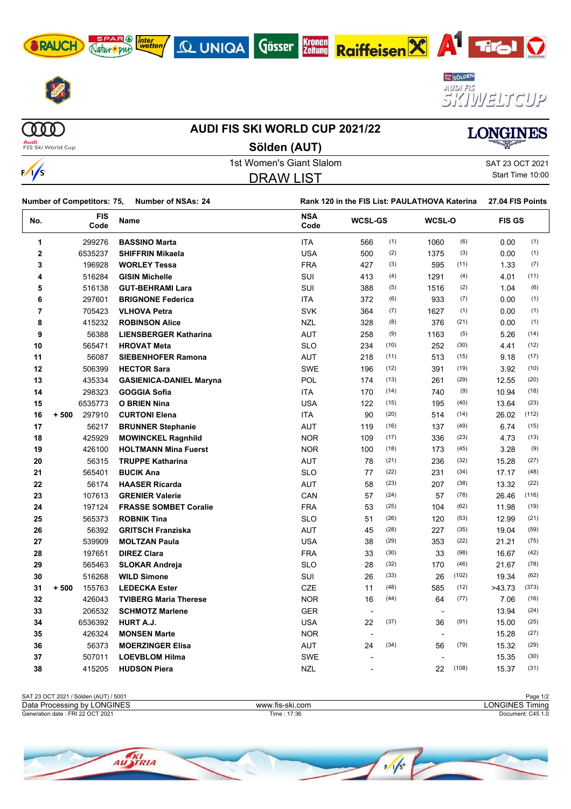

SPAR (A) Inter





 $\begin{array}{c} 0 & 0 & 0 \end{array}$ 

### **AUDI FIS SKI WORLD CUP 2021/22 Sölden (AUT)**

Q UNIQA GÖSSER



**Audi**<br>FIS Ski World Cup

 $\frac{1}{s}$ 

1st Women's Giant Slalom Satt 23 OCT 2021 DRAW LIST

**Kronen**<br>Zeitung

Start Time 10:00

| Number of Competitors: 75,<br><b>Number of NSAs: 24</b> |                  |                    | Rank 120 in the FIS List: PAULATHOVA Katerina |                    |                |      | 27.04 FIS Points |       |               |       |
|---------------------------------------------------------|------------------|--------------------|-----------------------------------------------|--------------------|----------------|------|------------------|-------|---------------|-------|
| No.                                                     |                  | <b>FIS</b><br>Code | Name                                          | <b>NSA</b><br>Code | <b>WCSL-GS</b> |      | WCSL-O           |       | <b>FIS GS</b> |       |
| 1                                                       | 299276           |                    | <b>BASSINO Marta</b>                          | ITA                | 566            | (1)  | 1060             | (6)   | 0.00          | (1)   |
| $\overline{\mathbf{2}}$                                 | 6535237          |                    | <b>SHIFFRIN Mikaela</b>                       | <b>USA</b>         | 500            | (2)  | 1375             | (3)   | 0.00          | (1)   |
| 3                                                       | 196928           |                    | <b>WORLEY Tessa</b>                           | <b>FRA</b>         | 427            | (3)  | 595              | (11)  | 1.33          | (7)   |
| 4                                                       | 516284           |                    | <b>GISIN Michelle</b>                         | SUI                | 413            | (4)  | 1291             | (4)   | 4.01          | (11)  |
| 5                                                       | 516138           |                    | <b>GUT-BEHRAMI Lara</b>                       | SUI                | 388            | (5)  | 1516             | (2)   | 1.04          | (6)   |
| 6                                                       | 297601           |                    | <b>BRIGNONE Federica</b>                      | ITA                | 372            | (6)  | 933              | (7)   | 0.00          | (1)   |
| 7                                                       | 705423           |                    | <b>VLHOVA Petra</b>                           | <b>SVK</b>         | 364            | (7)  | 1627             | (1)   | 0.00          | (1)   |
| 8                                                       | 415232           |                    | <b>ROBINSON Alice</b>                         | <b>NZL</b>         | 328            | (8)  | 376              | (21)  | 0.00          | (1)   |
| 9                                                       |                  | 56388              | <b>LIENSBERGER Katharina</b>                  | <b>AUT</b>         | 258            | (9)  | 1163             | (5)   | 5.26          | (14)  |
| 10                                                      | 565471           |                    | <b>HROVAT Meta</b>                            | <b>SLO</b>         | 234            | (10) | 252              | (30)  | 4.41          | (12)  |
| 11                                                      |                  | 56087              | <b>SIEBENHOFER Ramona</b>                     | AUT                | 218            | (11) | 513              | (15)  | 9.18          | (17)  |
| 12                                                      | 506399           |                    | <b>HECTOR Sara</b>                            | <b>SWE</b>         | 196            | (12) | 391              | (19)  | 3.92          | (10)  |
| 13                                                      | 435334           |                    | <b>GASIENICA-DANIEL Maryna</b>                | <b>POL</b>         | 174            | (13) | 261              | (29)  | 12.55         | (20)  |
| 14                                                      | 298323           |                    | <b>GOGGIA Sofia</b>                           | <b>ITA</b>         | 170            | (14) | 740              | (9)   | 10.94         | (18)  |
| 15                                                      | 6535773          |                    | <b>O BRIEN Nina</b>                           | <b>USA</b>         | 122            | (15) | 195              | (40)  | 13.64         | (23)  |
| 16                                                      | 297910<br>$+500$ |                    | <b>CURTONI Elena</b>                          | ITA                | 90             | (20) | 514              | (14)  | 26.02         | (112) |
| 17                                                      |                  | 56217              | <b>BRUNNER Stephanie</b>                      | AUT                | 119            | (16) | 137              | (49)  | 6.74          | (15)  |
| 18                                                      | 425929           |                    | <b>MOWINCKEL Ragnhild</b>                     | <b>NOR</b>         | 109            | (17) | 336              | (23)  | 4.73          | (13)  |
| 19                                                      | 426100           |                    | <b>HOLTMANN Mina Fuerst</b>                   | <b>NOR</b>         | 100            | (18) | 173              | (45)  | 3.28          | (9)   |
| 20                                                      |                  | 56315              | <b>TRUPPE Katharina</b>                       | AUT                | 78             | (21) | 236              | (32)  | 15.28         | (27)  |
| 21                                                      | 565401           |                    | <b>BUCIK Ana</b>                              | <b>SLO</b>         | 77             | (22) | 231              | (34)  | 17.17         | (48)  |
| 22                                                      |                  | 56174              | <b>HAASER Ricarda</b>                         | AUT                | 58             | (23) | 207              | (38)  | 13.32         | (22)  |
| 23                                                      | 107613           |                    | <b>GRENIER Valerie</b>                        | CAN                | 57             | (24) | 57               | (78)  | 26.46         | (116) |
| 24                                                      | 197124           |                    | <b>FRASSE SOMBET Coralie</b>                  | <b>FRA</b>         | 53             | (25) | 104              | (62)  | 11.98         | (19)  |
| 25                                                      | 565373           |                    | <b>ROBNIK Tina</b>                            | <b>SLO</b>         | 51             | (26) | 120              | (53)  | 12.99         | (21)  |
| 26                                                      |                  | 56392              | <b>GRITSCH Franziska</b>                      | AUT                | 45             | (28) | 227              | (35)  | 19.04         | (59)  |
| 27                                                      | 539909           |                    | <b>MOLTZAN Paula</b>                          | <b>USA</b>         | 38             | (29) | 353              | (22)  | 21.21         | (75)  |
| 28                                                      | 197651           |                    | <b>DIREZ Clara</b>                            | <b>FRA</b>         | 33             | (30) | 33               | (98)  | 16.67         | (42)  |
| 29                                                      | 565463           |                    | <b>SLOKAR Andreja</b>                         | <b>SLO</b>         | 28             | (32) | 170              | (46)  | 21.67         | (78)  |
| 30                                                      | 516268           |                    | <b>WILD Simone</b>                            | SUI                | 26             | (33) | 26               | (102) | 19.34         | (62)  |
| 31                                                      | $+500$<br>155763 |                    | <b>LEDECKA Ester</b>                          | <b>CZE</b>         | 11             | (48) | 585              | (12)  | >43.73        | (373) |
| 32                                                      | 426043           |                    | <b>TVIBERG Maria Therese</b>                  | <b>NOR</b>         | 16             | (44) | 64               | (77)  | 7.06          | (16)  |
| 33                                                      | 206532           |                    | <b>SCHMOTZ Marlene</b>                        | <b>GER</b>         |                |      |                  |       | 13.94         | (24)  |
| 34                                                      | 6536392          |                    | <b>HURT A.J.</b>                              | <b>USA</b>         | 22             | (37) | 36               | (91)  | 15.00         | (25)  |
| 35                                                      | 426324           |                    | <b>MONSEN Marte</b>                           | <b>NOR</b>         |                |      |                  |       | 15.28         | (27)  |
| 36                                                      |                  | 56373              | <b>MOERZINGER Elisa</b>                       | AUT                | 24             | (34) | 56               | (79)  | 15.32         | (29)  |
| 37                                                      | 507011           |                    | <b>LOEVBLOM Hilma</b>                         | <b>SWE</b>         | $\blacksquare$ |      |                  |       | 15.35         | (30)  |
| 38                                                      | 415205           |                    | <b>HUDSON Piera</b>                           | <b>NZL</b>         |                |      | 22               | (108) | 15.37         | (31)  |



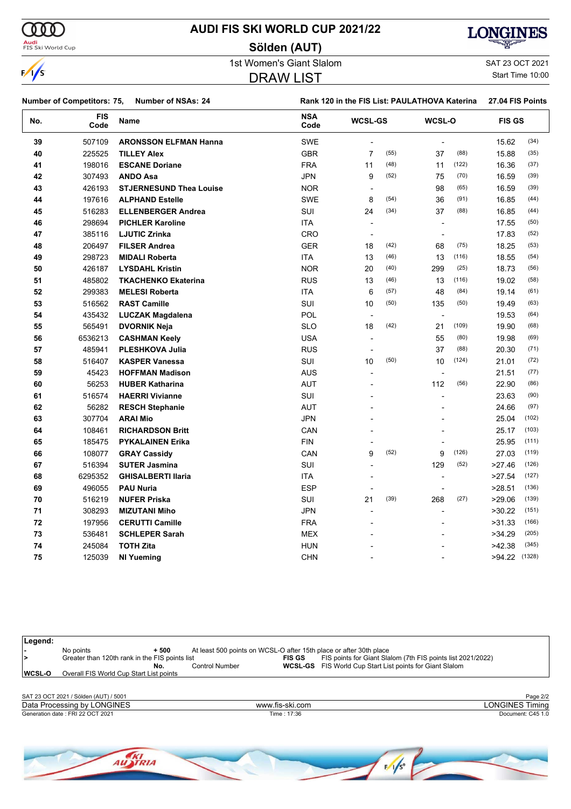

**Legend:**

### **AUDI FIS SKI WORLD CUP 2021/22**

#### **Sölden (AUT)**



1st Women's Giant Slalom SAT 23 OCT 2021

#### DRAW LIST

Start Time 10:00

| <b>Number of Competitors: 75,</b><br><b>Number of NSAs: 24</b> |                    | Rank 120 in the FIS List: PAULATHOVA Katerina |                    |                          |      |                          | 27.04 FIS Points |               |       |
|----------------------------------------------------------------|--------------------|-----------------------------------------------|--------------------|--------------------------|------|--------------------------|------------------|---------------|-------|
| No.                                                            | <b>FIS</b><br>Code | <b>Name</b>                                   | <b>NSA</b><br>Code | <b>WCSL-GS</b>           |      | WCSL-O                   |                  | <b>FIS GS</b> |       |
| 39                                                             | 507109             | <b>ARONSSON ELFMAN Hanna</b>                  | <b>SWE</b>         |                          |      | ÷,                       |                  | 15.62         | (34)  |
| 40                                                             | 225525             | <b>TILLEY Alex</b>                            | <b>GBR</b>         | $\overline{7}$           | (55) | 37                       | (88)             | 15.88         | (35)  |
| 41                                                             | 198016             | <b>ESCANE Doriane</b>                         | <b>FRA</b>         | 11                       | (48) | 11                       | (122)            | 16.36         | (37)  |
| 42                                                             | 307493             | <b>ANDO Asa</b>                               | <b>JPN</b>         | 9                        | (52) | 75                       | (70)             | 16.59         | (39)  |
| 43                                                             | 426193             | <b>STJERNESUND Thea Louise</b>                | <b>NOR</b>         | $\overline{\phantom{a}}$ |      | 98                       | (65)             | 16.59         | (39)  |
| 44                                                             | 197616             | <b>ALPHAND Estelle</b>                        | <b>SWE</b>         | 8                        | (54) | 36                       | (91)             | 16.85         | (44)  |
| 45                                                             | 516283             | <b>ELLENBERGER Andrea</b>                     | SUI                | 24                       | (34) | 37                       | (88)             | 16.85         | (44)  |
| 46                                                             | 298694             | <b>PICHLER Karoline</b>                       | <b>ITA</b>         | $\overline{\phantom{a}}$ |      | $\overline{\phantom{a}}$ |                  | 17.55         | (50)  |
| 47                                                             | 385116             | <b>LJUTIC Zrinka</b>                          | CRO                | $\overline{\phantom{a}}$ |      | $\overline{\phantom{a}}$ |                  | 17.83         | (52)  |
| 48                                                             | 206497             | <b>FILSER Andrea</b>                          | <b>GER</b>         | 18                       | (42) | 68                       | (75)             | 18.25         | (53)  |
| 49                                                             | 298723             | <b>MIDALI Roberta</b>                         | <b>ITA</b>         | 13                       | (46) | 13                       | (116)            | 18.55         | (54)  |
| 50                                                             | 426187             | <b>LYSDAHL Kristin</b>                        | <b>NOR</b>         | 20                       | (40) | 299                      | (25)             | 18.73         | (56)  |
| 51                                                             | 485802             | <b>TKACHENKO Ekaterina</b>                    | <b>RUS</b>         | 13                       | (46) | 13                       | (116)            | 19.02         | (58)  |
| 52                                                             | 299383             | <b>MELESI Roberta</b>                         | ITA                | 6                        | (57) | 48                       | (84)             | 19.14         | (61)  |
| 53                                                             | 516562             | <b>RAST Camille</b>                           | SUI                | 10                       | (50) | 135                      | (50)             | 19.49         | (63)  |
| 54                                                             | 435432             | <b>LUCZAK Magdalena</b>                       | <b>POL</b>         | $\blacksquare$           |      | $\overline{\phantom{a}}$ |                  | 19.53         | (64)  |
| 55                                                             | 565491             | <b>DVORNIK Neja</b>                           | <b>SLO</b>         | 18                       | (42) | 21                       | (109)            | 19.90         | (68)  |
| 56                                                             | 6536213            | <b>CASHMAN Keely</b>                          | <b>USA</b>         | $\overline{\phantom{a}}$ |      | 55                       | (80)             | 19.98         | (69)  |
| 57                                                             | 485941             | <b>PLESHKOVA Julia</b>                        | <b>RUS</b>         |                          |      | 37                       | (88)             | 20.30         | (71)  |
| 58                                                             | 516407             | <b>KASPER Vanessa</b>                         | SUI                | 10                       | (50) | 10                       | (124)            | 21.01         | (72)  |
| 59                                                             | 45423              | <b>HOFFMAN Madison</b>                        | <b>AUS</b>         | $\blacksquare$           |      | $\overline{\phantom{a}}$ |                  | 21.51         | (77)  |
| 60                                                             | 56253              | <b>HUBER Katharina</b>                        | <b>AUT</b>         |                          |      | 112                      | (56)             | 22.90         | (86)  |
| 61                                                             | 516574             | <b>HAERRI Vivianne</b>                        | SUI                |                          |      |                          |                  | 23.63         | (90)  |
| 62                                                             | 56282              | <b>RESCH Stephanie</b>                        | <b>AUT</b>         |                          |      |                          |                  | 24.66         | (97)  |
| 63                                                             | 307704             | <b>ARAI Mio</b>                               | <b>JPN</b>         |                          |      |                          |                  | 25.04         | (102) |
| 64                                                             | 108461             | <b>RICHARDSON Britt</b>                       | CAN                |                          |      |                          |                  | 25.17         | (103) |
| 65                                                             | 185475             | <b>PYKALAINEN Erika</b>                       | <b>FIN</b>         |                          |      |                          |                  | 25.95         | (111) |
| 66                                                             | 108077             | <b>GRAY Cassidy</b>                           | CAN                | 9                        | (52) | 9                        | (126)            | 27.03         | (119) |
| 67                                                             | 516394             | <b>SUTER Jasmina</b>                          | SUI                | $\blacksquare$           |      | 129                      | (52)             | >27.46        | (126) |
| 68                                                             | 6295352            | <b>GHISALBERTI Ilaria</b>                     | ITA                | $\overline{\phantom{a}}$ |      | $\overline{\phantom{a}}$ |                  | >27.54        | (127) |
| 69                                                             | 496055             | <b>PAU Nuria</b>                              | <b>ESP</b>         | $\overline{\phantom{a}}$ |      |                          |                  | >28.51        | (136) |
| 70                                                             | 516219             | <b>NUFER Priska</b>                           | SUI                | 21                       | (39) | 268                      | (27)             | >29.06        | (139) |
| 71                                                             | 308293             | <b>MIZUTANI Miho</b>                          | <b>JPN</b>         | $\overline{a}$           |      | L,                       |                  | >30.22        | (151) |
| 72                                                             | 197956             | <b>CERUTTI Camille</b>                        | <b>FRA</b>         |                          |      |                          |                  | >31.33        | (166) |
| 73                                                             | 536481             | <b>SCHLEPER Sarah</b>                         | <b>MEX</b>         |                          |      |                          |                  | >34.29        | (205) |
| 74                                                             | 245084             | <b>TOTH Zita</b>                              | <b>HUN</b>         |                          |      |                          |                  | >42.38        | (345) |
| 75                                                             | 125039             | <b>NI Yueming</b>                             | <b>CHN</b>         |                          |      |                          |                  | >94.22 (1328) |       |
|                                                                |                    |                                               |                    |                          |      |                          |                  |               |       |

**-** No points **+ 500** At least 500 points on WCSL-O after 15th place or after 30th place **>** Greater than 120th rank in the FIS points list **FIS GS** FIS points for Giant Slalom (7th FIS points list 2021/2022) **No.** Control Number **WCSL-GS** FIS World Cup Start List points for Giant Slalom **WCSL-O** Overall FIS World Cup Start List points SAT 23 OCT 2021 / Sölden (AUT) / 5001 Page 2/2

| SAI 23 OC I 2021.<br>/ Solden (AUT<br>, 200 / |                 | Page 2/2                          |
|-----------------------------------------------|-----------------|-----------------------------------|
| Data Processing by LONGINES                   | www.fis-ski.com | <b>LONGINES T</b><br><b>imina</b> |
| Generation date: FRI 22 OCT 2021              | 17:36<br>ïme ∶  | Document: C45 1.0                 |
|                                               |                 |                                   |

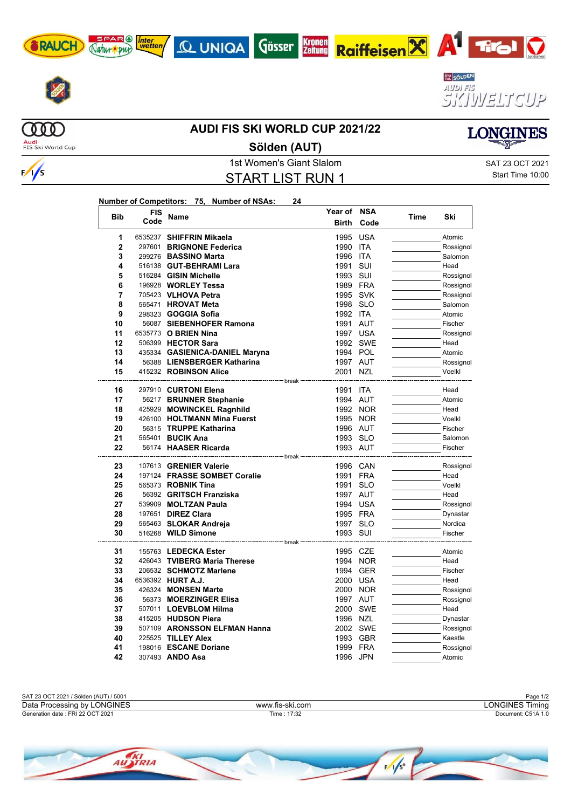











 $\frac{1}{s}$ 

#### **AUDI FIS SKI WORLD CUP 2021/22**

**Sölden (AUT)**

**LONGINES** 

START LIST RUN 1

1st Women's Giant Slalom Satt 23 OCT 2021 Start Time 10:00

| Number of Competitors: 75, Number of NSAs: |  | 24 |
|--------------------------------------------|--|----|
|                                            |  |    |

| <b>Bib</b>     | <b>FIS</b> | Name                                               | Year of NSA  |            |      | Ski       |
|----------------|------------|----------------------------------------------------|--------------|------------|------|-----------|
|                | Code       |                                                    | <b>Birth</b> | Code       | Time |           |
| 1              |            | 6535237 SHIFFRIN Mikaela                           | 1995 USA     |            |      | Atomic    |
| $\overline{2}$ |            | 297601 BRIGNONE Federica                           | 1990         | ITA        |      | Rossignol |
| 3              |            | 299276 BASSINO Marta                               | 1996         | <b>ITA</b> |      | Salomon   |
| 4              |            | 516138 GUT-BEHRAMI Lara                            | 1991         | SUI        |      | Head      |
| 5              |            | 516284 GISIN Michelle                              | 1993 SUI     |            |      | Rossignol |
| 6              |            | 196928 WORLEY Tessa                                | 1989 FRA     |            |      | Rossignol |
| $\overline{7}$ |            | 705423 VLHOVA Petra                                | 1995 SVK     |            |      | Rossignol |
| 8              |            | 565471 HROVAT Meta                                 | 1998 SLO     |            |      | Salomon   |
| 9              |            | 298323 <b>GOGGIA Sofia</b>                         | 1992 ITA     |            |      | Atomic    |
| 10             |            | 56087 SIEBENHOFER Ramona                           | 1991         | <b>AUT</b> |      | Fischer   |
| 11             |            | 6535773 O BRIEN Nina                               | 1997 USA     |            |      | Rossignol |
| 12             |            | 506399 HECTOR Sara                                 | 1992 SWE     |            |      | Head      |
| 13             |            | 435334 GASIENICA-DANIEL Maryna                     | 1994 POL     |            |      | Atomic    |
| 14             |            | 56388 LIENSBERGER Katharina                        | 1997 AUT     |            |      | Rossignol |
| 15             |            | 415232 ROBINSON Alice                              | 2001 NZL     |            |      | Voelkl    |
| 16             |            | ------------------ break<br>297910 CURTONI Elena   | 1991 ITA     |            |      | Head      |
| 17             |            | 56217 BRUNNER Stephanie                            | 1994 AUT     |            |      | Atomic    |
| 18             |            | 425929 MOWINCKEL Ragnhild                          |              | 1992 NOR   |      | Head      |
| 19             |            | 426100 HOLTMANN Mina Fuerst                        | 1995 NOR     |            |      | Voelkl    |
| 20             |            | 56315 TRUPPE Katharina                             | 1996 AUT     |            |      | Fischer   |
| 21             |            | 565401 <b>BUCIK Ana</b>                            | 1993 SLO     |            |      | Salomon   |
| 22             |            | 56174 HAASER Ricarda                               | 1993 AUT     |            |      | Fischer   |
| 23             |            | ---------------- break -<br>107613 GRENIER Valerie | 1996 CAN     |            |      | Rossignol |
| 24             |            | 197124 FRASSE SOMBET Coralie                       | 1991 FRA     |            |      | Head      |
| 25             |            | 565373 <b>ROBNIK Tina</b>                          | 1991         | <b>SLO</b> |      | Voelkl    |
| 26             |            | 56392 GRITSCH Franziska                            | 1997 AUT     |            |      | Head      |
| 27             |            | 539909 MOLTZAN Paula                               | 1994 USA     |            |      | Rossignol |
| 28             |            | 197651 DIREZ Clara                                 | 1995 FRA     |            |      | Dynastar  |
| 29             |            | 565463 SLOKAR Andreja                              | 1997 SLO     |            |      | Nordica   |
| 30             |            | 516268 WILD Simone                                 | 1993 SUI     |            |      | Fischer   |
|                |            | ----------------- break                            |              |            |      |           |
| 31             |            | 155763 LEDECKA Ester                               | 1995 CZE     |            |      | Atomic    |
| 32             |            | 426043 TVIBERG Maria Therese                       |              | 1994 NOR   |      | Head      |
| 33             |            | 206532 SCHMOTZ Marlene                             | 1994 GER     |            |      | Fischer   |
| 34             |            | 6536392 HURT A.J.                                  | 2000 USA     |            |      | Head      |
| 35             |            | 426324 MONSEN Marte                                | 2000 NOR     |            |      | Rossignol |
| 36             |            | 56373 MOERZINGER Elisa                             | 1997 AUT     |            |      | Rossignol |
| 37             |            | 507011 LOEVBLOM Hilma                              | 2000 SWE     |            |      | Head      |
| 38             |            | 415205 HUDSON Piera                                | 1996 NZL     |            |      | Dynastar  |
| 39             |            | 507109 ARONSSON ELFMAN Hanna                       | 2002 SWE     |            |      | Rossignol |
| 40             |            | 225525 TILLEY Alex                                 | 1993 GBR     |            |      | Kaestle   |
| 41             |            | 198016 ESCANE Doriane                              | 1999 FRA     |            |      | Rossignol |
| 42             |            | 307493 ANDO Asa                                    | 1996 JPN     |            |      | Atomic    |



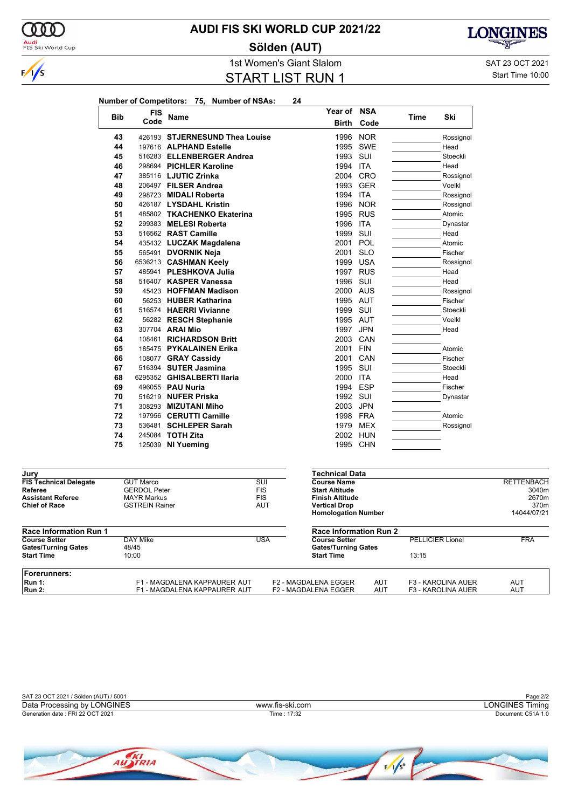

**Jury**

### **AUDI FIS SKI WORLD CUP 2021/22**

**Sölden (AUT)**



1st Women's Giant Slalom SAT 23 OCT 2021 START LIST RUN 1

Start Time 10:00

| Number of Competitors: 75. Number of NSAs: |  |  |
|--------------------------------------------|--|--|
|                                            |  |  |

| <b>Bib</b> | <b>FIS</b> | <b>Name</b>                    | Year of      | <b>NSA</b> | <b>Time</b> | Ski       |
|------------|------------|--------------------------------|--------------|------------|-------------|-----------|
|            | Code       |                                | <b>Birth</b> | Code       |             |           |
| 43         |            | 426193 STJERNESUND Thea Louise | 1996         | <b>NOR</b> |             | Rossignol |
| 44         |            | 197616 ALPHAND Estelle         | 1995         | <b>SWE</b> |             | Head      |
| 45         |            | 516283 ELLENBERGER Andrea      | 1993         | SUI        |             | Stoeckli  |
| 46         |            | 298694 PICHLER Karoline        | 1994         | <b>ITA</b> |             | Head      |
| 47         |            | 385116 LJUTIC Zrinka           |              | 2004 CRO   |             | Rossignol |
| 48         |            | 206497 FILSER Andrea           | 1993         | <b>GER</b> |             | Voelkl    |
| 49         |            | 298723 MIDALI Roberta          | 1994         | ITA        |             | Rossignol |
| 50         |            | 426187 LYSDAHL Kristin         | 1996         | <b>NOR</b> |             | Rossignol |
| 51         |            | 485802 TKACHENKO Ekaterina     | 1995         | <b>RUS</b> |             | Atomic    |
| 52         |            | 299383 MELESI Roberta          | 1996         | <b>ITA</b> |             | Dynastar  |
| 53         |            | 516562 RAST Camille            | 1999         | SUI        |             | Head      |
| 54         |            | 435432 LUCZAK Magdalena        | 2001         | POL        |             | Atomic    |
| 55         |            | 565491 <b>DVORNIK Neja</b>     | 2001         | <b>SLO</b> |             | Fischer   |
| 56         |            | 6536213 CASHMAN Keely          | 1999         | <b>USA</b> |             | Rossignol |
| 57         |            | 485941 PLESHKOVA Julia         | 1997         | <b>RUS</b> |             | Head      |
| 58         |            | 516407 KASPER Vanessa          | 1996         | SUI        |             | Head      |
| 59         |            | 45423 HOFFMAN Madison          | 2000 AUS     |            |             | Rossignol |
| 60         |            | 56253 HUBER Katharina          | 1995 AUT     |            |             | Fischer   |
| 61         |            | 516574 HAERRI Vivianne         | 1999 SUI     |            |             | Stoeckli  |
| 62         |            | 56282 RESCH Stephanie          | 1995 AUT     |            |             | Voelkl    |
| 63         |            | 307704 ARAI Mio                | 1997         | <b>JPN</b> |             | Head      |
| 64         |            | 108461 RICHARDSON Britt        | 2003         | CAN        |             |           |
| 65         |            | 185475 PYKALAINEN Erika        | 2001         | <b>FIN</b> |             | Atomic    |
| 66         |            | 108077 GRAY Cassidy            | 2001         | CAN        |             | Fischer   |
| 67         |            | 516394 SUTER Jasmina           | 1995         | SUI        |             | Stoeckli  |
| 68         |            | 6295352 GHISALBERTI Ilaria     | 2000         | <b>ITA</b> |             | Head      |
| 69         |            | 496055 PAU Nuria               | 1994         | <b>ESP</b> |             | Fischer   |
| 70         |            | 516219 NUFER Priska            | 1992         | SUI        |             | Dynastar  |
| 71         |            | 308293 MIZUTANI Miho           | 2003         | <b>JPN</b> |             |           |
| 72         |            | 197956 CERUTTI Camille         | 1998         | <b>FRA</b> |             | Atomic    |
| 73         |            | 536481 SCHLEPER Sarah          | 1979         | <b>MEX</b> |             | Rossignol |
| 74         |            | 245084 TOTH Zita               | 2002         | HUN        |             |           |
| 75         | 125039     | NI Yuemina                     | 1995         | <b>CHN</b> |             |           |

| Jury                          |                              |            | recnnical Data                |            |                           |                   |
|-------------------------------|------------------------------|------------|-------------------------------|------------|---------------------------|-------------------|
| <b>FIS Technical Delegate</b> | <b>GUT Marco</b>             | SUI        | <b>Course Name</b>            |            |                           | <b>RETTENBACH</b> |
| Referee                       | <b>GERDOL Peter</b>          | <b>FIS</b> | <b>Start Altitude</b>         |            |                           | 3040m             |
| <b>Assistant Referee</b>      | <b>MAYR Markus</b>           | <b>FIS</b> | <b>Finish Altitude</b>        |            |                           | 2670m             |
| <b>Chief of Race</b>          | <b>GSTREIN Rainer</b>        | AUT        | <b>Vertical Drop</b>          |            |                           | 370 <sub>m</sub>  |
|                               |                              |            | <b>Homologation Number</b>    |            |                           | 14044/07/21       |
| <b>Race Information Run 1</b> |                              |            | <b>Race Information Run 2</b> |            |                           |                   |
| <b>Course Setter</b>          | DAY Mike                     | USA        | <b>Course Setter</b>          |            | <b>PELLICIER Lionel</b>   | <b>FRA</b>        |
| <b>Gates/Turning Gates</b>    | 48/45                        |            | <b>Gates/Turning Gates</b>    |            |                           |                   |
| <b>Start Time</b>             | 10:00                        |            | <b>Start Time</b>             |            | 13:15                     |                   |
| Forerunners:                  |                              |            |                               |            |                           |                   |
| Run 1:                        | F1 - MAGDALENA KAPPAURER AUT |            | <b>F2 - MAGDALENA EGGER</b>   | <b>AUT</b> | <b>F3 - KAROLINA AUER</b> | AUT               |
| <b>Run 2:</b>                 | F1 - MAGDALENA KAPPAURER AUT |            | <b>F2 - MAGDALENA EGGER</b>   | AUT        | <b>F3 - KAROLINA AUER</b> | AUT               |

**Technical Data**

| SAT 23 OCT 2021 / Sölden (AUT) / 5001 |                 | Page 2/2           |
|---------------------------------------|-----------------|--------------------|
| Data Processing by LONGINES           | www.fis-ski.com | _ONGINES Timina    |
| Generation date : FRI 22 OCT 2021     | Time : 17:32    | Document: C51A 1.0 |
|                                       |                 |                    |

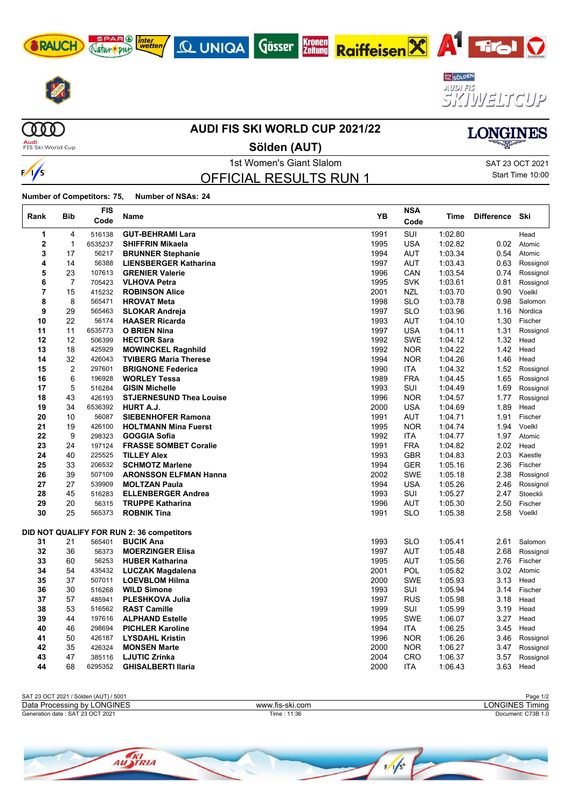









**COOO Audi**<br>FIS Ski World Cup

#### **AUDI FIS SKI WORLD CUP 2021/22**

**Sölden (AUT)**

 $\frac{1}{s}$ 

 $\Gamma$ 

1st Women's Giant Slalom Sattle School and SAT 23 OCT 2021 OFFICIAL RESULTS RUN 1

Start Time 10:00

**LONGINES** 

| Rank           | <b>Bib</b>     | <b>FIS</b><br>Code | Name                                                 | YB   | <b>NSA</b><br>Code | Time    | <b>Difference</b> | Ski                 |
|----------------|----------------|--------------------|------------------------------------------------------|------|--------------------|---------|-------------------|---------------------|
| 1              | 4              | 516138             | <b>GUT-BEHRAMI Lara</b>                              | 1991 | <b>SUI</b>         | 1:02.80 |                   | Head                |
| $\mathbf{2}$   | $\mathbf{1}$   | 6535237            | <b>SHIFFRIN Mikaela</b>                              | 1995 | <b>USA</b>         | 1:02.82 | 0.02              | Atomic              |
| 3              | 17             | 56217              | <b>BRUNNER Stephanie</b>                             | 1994 | <b>AUT</b>         | 1:03.34 | 0.54              | Atomic              |
| 4              | 14             | 56388              | <b>LIENSBERGER Katharina</b>                         | 1997 | <b>AUT</b>         | 1:03.43 | 0.63              | Rossignol           |
| 5              | 23             | 107613             | <b>GRENIER Valerie</b>                               | 1996 | CAN                | 1:03.54 | 0.74              | Rossignol           |
| 6              | 7              | 705423             | <b>VLHOVA Petra</b>                                  | 1995 | <b>SVK</b>         | 1:03.61 | 0.81              | Rossignol           |
| $\overline{7}$ | 15             | 415232             | <b>ROBINSON Alice</b>                                | 2001 | <b>NZL</b>         | 1:03.70 | 0.90              | Voelkl              |
| 8              | 8              | 565471             | <b>HROVAT Meta</b>                                   | 1998 | <b>SLO</b>         | 1:03.78 | 0.98              | Salomon             |
| 9              | 29             | 565463             | <b>SLOKAR Andreja</b>                                | 1997 | <b>SLO</b>         | 1:03.96 | 1.16              | Nordica             |
| 10             | 22             | 56174              | <b>HAASER Ricarda</b>                                | 1993 | <b>AUT</b>         | 1:04.10 | 1.30              | Fischer             |
| 11             | 11             | 6535773            | <b>O BRIEN Nina</b>                                  | 1997 | <b>USA</b>         | 1.04.11 | 1.31              | Rossignol           |
| 12             | 12             | 506399             | <b>HECTOR Sara</b>                                   | 1992 | <b>SWE</b>         | 1:04.12 | 1.32              | Head                |
| 13             | 18             | 425929             | <b>MOWINCKEL Ragnhild</b>                            | 1992 | <b>NOR</b>         | 1:04.22 | 1.42              | Head                |
| 14             | 32             | 426043             | <b>TVIBERG Maria Therese</b>                         | 1994 | <b>NOR</b>         | 1:04.26 | 1.46              | Head                |
| 15             | $\overline{2}$ | 297601             | <b>BRIGNONE Federica</b>                             | 1990 | <b>ITA</b>         | 1:04.32 | 1.52              | Rossignol           |
| 16             | 6              | 196928             | <b>WORLEY Tessa</b>                                  | 1989 | <b>FRA</b>         | 1:04.45 | 1.65              | Rossignol           |
| 17             | 5              | 516284             | <b>GISIN Michelle</b>                                | 1993 | SUI                | 1:04.49 | 1.69              | Rossignol           |
| 18             | 43             | 426193             | <b>STJERNESUND Thea Louise</b>                       | 1996 | <b>NOR</b>         | 1:04.57 | 1.77              | Rossignol           |
| 19             | 34             | 6536392            | <b>HURT A.J.</b>                                     | 2000 | <b>USA</b>         | 1:04.69 | 1.89              | Head                |
| 20             | 10             | 56087              | <b>SIEBENHOFER Ramona</b>                            | 1991 | <b>AUT</b>         | 1:04.71 | 1.91              | Fischer             |
| 21             | 19             | 426100             | <b>HOLTMANN Mina Fuerst</b>                          | 1995 | <b>NOR</b>         | 1:04.74 | 1.94              | Voelkl              |
| 22             | 9              | 298323             | <b>GOGGIA Sofia</b>                                  | 1992 | ITA                | 1.04.77 | 1.97              | Atomic              |
| 23             | 24             | 197124             | <b>FRASSE SOMBET Coralie</b>                         | 1991 | <b>FRA</b>         | 1:04.82 | 2.02              | Head                |
| 24             | 40             | 225525             | <b>TILLEY Alex</b>                                   | 1993 | <b>GBR</b>         | 1:04.83 | 2.03              | Kaestle             |
| 25             | 33             | 206532             | <b>SCHMOTZ Marlene</b>                               | 1994 | <b>GER</b>         | 1:05.16 | 2.36              | Fischer             |
| 26             | 39             | 507109             | <b>ARONSSON ELFMAN Hanna</b>                         | 2002 | <b>SWE</b>         | 1:05.18 | 2.38              | Rossignol           |
| 27             | 27             | 539909             | <b>MOLTZAN Paula</b>                                 | 1994 | <b>USA</b>         | 1:05.26 | 2.46              | Rossignol           |
| 28<br>29       | 45<br>20       | 516283             | <b>ELLENBERGER Andrea</b><br><b>TRUPPE Katharina</b> | 1993 | SUI                | 1:05.27 | 2.47<br>2.50      | Stoeckli<br>Fischer |
| 30             |                | 56315              |                                                      | 1996 | <b>AUT</b>         | 1:05.30 |                   | Voelkl              |
|                | 25             | 565373             | <b>ROBNIK Tina</b>                                   | 1991 | <b>SLO</b>         | 1:05.38 | 2.58              |                     |
|                |                |                    | DID NOT QUALIFY FOR RUN 2: 36 competitors            |      |                    |         |                   |                     |
| 31             | 21             | 565401             | <b>BUCIK Ana</b>                                     | 1993 | <b>SLO</b>         | 1:05.41 | 2.61              | Salomon             |
| 32             | 36             | 56373              | <b>MOERZINGER Elisa</b>                              | 1997 | <b>AUT</b>         | 1:05.48 | 2.68              | Rossignol           |
| 33             | 60             | 56253              | <b>HUBER Katharina</b>                               | 1995 | <b>AUT</b>         | 1:05.56 | 2.76              | Fischer             |
| 34             | 54             | 435432             | <b>LUCZAK Magdalena</b>                              | 2001 | <b>POL</b>         | 1:05.82 | 3.02              | Atomic              |
| 35             | 37             | 507011             | <b>LOEVBLOM Hilma</b>                                | 2000 | <b>SWE</b>         | 1:05.93 | 3.13              | Head                |
| 36             | 30             | 516268             | <b>WILD Simone</b>                                   | 1993 | SUI                | 1:05.94 | 3.14              | Fischer             |
| 37             | 57             | 485941             | <b>PLESHKOVA Julia</b>                               | 1997 | <b>RUS</b>         | 1:05.98 | 3.18              | Head                |
| 38             | 53             | 516562             | <b>RAST Camille</b>                                  | 1999 | SUI                | 1:05.99 | 3.19              | Head                |
| 39             | 44             | 197616             | <b>ALPHAND Estelle</b>                               | 1995 | <b>SWE</b>         | 1:06.07 | 3.27              | Head                |
| 40             | 46             | 298694             | <b>PICHLER Karoline</b>                              | 1994 | <b>ITA</b>         | 1:06.25 | 3.45              | Head                |
| 41             | 50             | 426187             | <b>LYSDAHL Kristin</b>                               | 1996 | <b>NOR</b>         | 1:06.26 | 3.46              | Rossignol           |
| 42             | 35             | 426324             | <b>MONSEN Marte</b>                                  | 2000 | <b>NOR</b>         | 1:06.27 | 3.47              | Rossignol           |
| 43             | 47             | 385116             | <b>LJUTIC Zrinka</b>                                 | 2004 | <b>CRO</b>         | 1:06.37 | 3.57              | Rossignol           |
| 44             | 68             | 6295352            | <b>GHISALBERTI Ilaria</b>                            | 2000 | ITA                | 1:06.43 | 3.63              | Head                |

| SAT 23 OCT 2021 / Sölden (AUT) / 5001 |                 | Page 1/2           |
|---------------------------------------|-----------------|--------------------|
| Data Processing by LONGINES           | www.fis-ski.com | LONGINES Timina    |
| Generation date: SAT 23 OCT 2021      | Time : 11:36    | Document: C73B 1.0 |
|                                       |                 |                    |

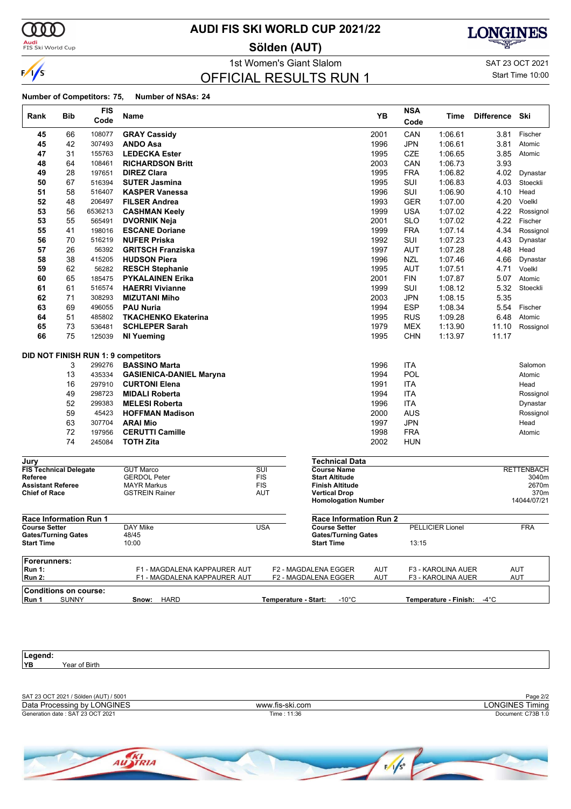

**Audi**<br>FIS Ski World Cup

### **AUDI FIS SKI WORLD CUP 2021/22**

**Sölden (AUT)**



1st Women's Giant Slalom Sat 23 OCT 2021

#### OFFICIAL RESULTS RUN 1

Start Time 10:00

#### **Number of Competitors: 75, Number of NSAs: 24**

| Rank                                            | Bib      | <b>FIS</b><br>Code | Name                                                         |            |                                                    | YB                | <b>NSA</b><br>Code | Time                                     | <b>Difference</b> | Ski                      |
|-------------------------------------------------|----------|--------------------|--------------------------------------------------------------|------------|----------------------------------------------------|-------------------|--------------------|------------------------------------------|-------------------|--------------------------|
| 45                                              | 66       | 108077             | <b>GRAY Cassidy</b>                                          |            |                                                    | 2001              | CAN                | 1:06.61                                  | 3.81              | Fischer                  |
| 45                                              | 42       | 307493             | <b>ANDO Asa</b>                                              |            |                                                    | 1996              | <b>JPN</b>         | 1:06.61                                  | 3.81              | Atomic                   |
| 47                                              | 31       | 155763             | <b>LEDECKA Ester</b>                                         |            |                                                    | 1995              | <b>CZE</b>         | 1:06.65                                  | 3.85              | Atomic                   |
| 48                                              | 64       | 108461             | <b>RICHARDSON Britt</b>                                      |            |                                                    | 2003              | CAN                | 1:06.73                                  | 3.93              |                          |
| 49                                              | 28       | 197651             | <b>DIREZ Clara</b>                                           |            |                                                    | 1995              | <b>FRA</b>         | 1:06.82                                  | 4.02              | Dynastar                 |
| 50                                              | 67       | 516394             | <b>SUTER Jasmina</b>                                         |            |                                                    | 1995              | <b>SUI</b>         | 1:06.83                                  | 4.03              | Stoeckli                 |
| 51                                              | 58       | 516407             | <b>KASPER Vanessa</b>                                        |            |                                                    | 1996              | SUI                | 1:06.90                                  | 4.10              | Head                     |
| 52                                              | 48       | 206497             | <b>FILSER Andrea</b>                                         |            |                                                    | 1993              | <b>GER</b>         | 1:07.00                                  | 4.20              | Voelkl                   |
| 53                                              | 56       | 6536213            | <b>CASHMAN Keely</b>                                         |            |                                                    | 1999              | <b>USA</b>         | 1:07.02                                  | 4.22              | Rossignol                |
| 53                                              | 55       | 565491             | <b>DVORNIK Neja</b>                                          |            |                                                    | 2001              | <b>SLO</b>         | 1:07.02                                  | 4.22              | Fischer                  |
| 55                                              | 41       | 198016             | <b>ESCANE Doriane</b>                                        |            |                                                    | 1999              | <b>FRA</b>         | 1:07.14                                  | 4.34              | Rossignol                |
| 56                                              | 70       | 516219             | <b>NUFER Priska</b>                                          |            |                                                    | 1992              | <b>SUI</b>         | 1:07.23                                  | 4.43              | Dynastar                 |
| 57                                              | 26       | 56392              | <b>GRITSCH Franziska</b>                                     |            |                                                    | 1997              | <b>AUT</b>         | 1:07.28                                  | 4.48              | Head                     |
| 58                                              | 38       | 415205             | <b>HUDSON Piera</b>                                          |            |                                                    | 1996              | <b>NZL</b>         | 1:07.46                                  | 4.66              | Dynastar                 |
| 59                                              | 62       | 56282              | <b>RESCH Stephanie</b>                                       |            |                                                    | 1995              | <b>AUT</b>         | 1:07.51                                  | 4.71              | Voelkl                   |
| 60<br>61                                        | 65<br>61 | 185475<br>516574   | <b>PYKALAINEN Erika</b><br><b>HAERRI Vivianne</b>            |            |                                                    | 2001<br>1999      | <b>FIN</b><br>SUI  | 1:07.87                                  | 5.07<br>5.32      | Atomic<br>Stoeckli       |
| 62                                              | 71       | 308293             | <b>MIZUTANI Miho</b>                                         |            |                                                    |                   | <b>JPN</b>         | 1:08.12<br>1:08.15                       | 5.35              |                          |
| 63                                              | 69       | 496055             | <b>PAU Nuria</b>                                             |            |                                                    | 2003<br>1994      | <b>ESP</b>         | 1:08.34                                  | 5.54              | Fischer                  |
| 64                                              | 51       | 485802             | <b>TKACHENKO Ekaterina</b>                                   |            |                                                    | 1995              | <b>RUS</b>         | 1:09.28                                  | 6.48              | Atomic                   |
| 65                                              | 73       | 536481             | <b>SCHLEPER Sarah</b>                                        |            |                                                    | 1979              | <b>MEX</b>         | 1:13.90                                  | 11.10             | Rossignol                |
| 66                                              | 75       | 125039             | <b>NI Yueming</b>                                            |            |                                                    | 1995              | <b>CHN</b>         | 1:13.97                                  | 11.17             |                          |
|                                                 |          |                    | <b>DID NOT FINISH RUN 1: 9 competitors</b>                   |            |                                                    |                   |                    |                                          |                   |                          |
|                                                 | 3        | 299276             | <b>BASSINO Marta</b>                                         |            |                                                    | 1996              | <b>ITA</b>         |                                          |                   | Salomon                  |
|                                                 | 13       | 435334             | <b>GASIENICA-DANIEL Maryna</b>                               |            |                                                    | 1994              | POL                |                                          |                   | Atomic                   |
|                                                 | 16       | 297910             | <b>CURTONI Elena</b>                                         |            |                                                    | 1991              | <b>ITA</b>         |                                          |                   | Head                     |
|                                                 | 49       | 298723             | <b>MIDALI Roberta</b>                                        |            |                                                    | 1994              | <b>ITA</b>         |                                          |                   | Rossignol                |
|                                                 | 52       | 299383             | <b>MELESI Roberta</b>                                        |            |                                                    | 1996              | <b>ITA</b>         |                                          |                   | Dynastar                 |
|                                                 | 59<br>63 | 45423              | <b>HOFFMAN Madison</b><br><b>ARAI Mio</b>                    |            |                                                    | 2000<br>1997      | <b>AUS</b>         |                                          |                   | Rossignol<br>Head        |
|                                                 | 72       | 307704<br>197956   |                                                              |            |                                                    |                   | <b>JPN</b>         |                                          |                   |                          |
|                                                 | 74       | 245084             | <b>CERUTTI Camille</b><br><b>TOTH Zita</b>                   |            |                                                    | 1998<br>2002      | <b>FRA</b><br>HUN  |                                          |                   | Atomic                   |
| Jury                                            |          |                    |                                                              |            | <b>Technical Data</b>                              |                   |                    |                                          |                   |                          |
| <b>FIS Technical Delegate</b>                   |          |                    | <b>GUT Marco</b>                                             | SUI        | <b>Course Name</b>                                 |                   |                    |                                          |                   | <b>RETTENBACH</b>        |
| <b>Referee</b>                                  |          |                    | <b>GERDOL Peter</b>                                          | <b>FIS</b> | <b>Start Altitude</b>                              |                   |                    |                                          |                   | 3040m                    |
| <b>Assistant Referee</b>                        |          |                    | <b>MAYR Markus</b>                                           | <b>FIS</b> | <b>Finish Altitude</b>                             |                   |                    |                                          |                   | 2670m                    |
| <b>Chief of Race</b>                            |          |                    | <b>GSTREIN Rainer</b>                                        | <b>AUT</b> | <b>Vertical Drop</b><br><b>Homologation Number</b> |                   |                    |                                          |                   | 370m<br>14044/07/21      |
| <b>Race Information Run 1</b>                   |          |                    |                                                              |            | <b>Race Information Run 2</b>                      |                   |                    |                                          |                   |                          |
| <b>Course Setter</b>                            |          |                    | <b>DAY Mike</b>                                              | <b>USA</b> | <b>Course Setter</b>                               |                   |                    | <b>PELLICIER Lionel</b>                  |                   | <b>FRA</b>               |
| <b>Gates/Turning Gates</b><br><b>Start Time</b> |          |                    | 48/45<br>10:00                                               |            | <b>Gates/Turning Gates</b><br><b>Start Time</b>    |                   | 13:15              |                                          |                   |                          |
| Forerunners:                                    |          |                    |                                                              |            |                                                    |                   |                    |                                          |                   |                          |
| <b>Run 1:</b><br><b>Run 2:</b>                  |          |                    | F1 - MAGDALENA KAPPAURER AUT<br>F1 - MAGDALENA KAPPAURER AUT |            | F2 - MAGDALENA EGGER<br>F2 - MAGDALENA EGGER       | <b>AUT</b><br>AUT |                    | F3 - KAROLINA AUER<br>F3 - KAROLINA AUER |                   | <b>AUT</b><br><b>AUT</b> |
| Conditions on course:                           |          |                    |                                                              |            |                                                    |                   |                    |                                          |                   |                          |

**Run 1** SUNNY **Run 11 Show:** HARD **Temperature - Start:** -10°C **Temperature - Finish:** -4°C

**Legend:** Year of Birth

SAT 23 OCT 2021 / Sölden (AUT) / 5001 Page 2/2<br>
Data Processing by LONGINES **Automobia Contract Contract Contract Contract Contract Contract Contract Contract Contract Contract Contract Contract Contract Contract Contract** Generation date : SAT 23 OCT 2021 Time : 11:36 Document: C73B 1.0 Data Processing by LONGINES www.fis-ski.com

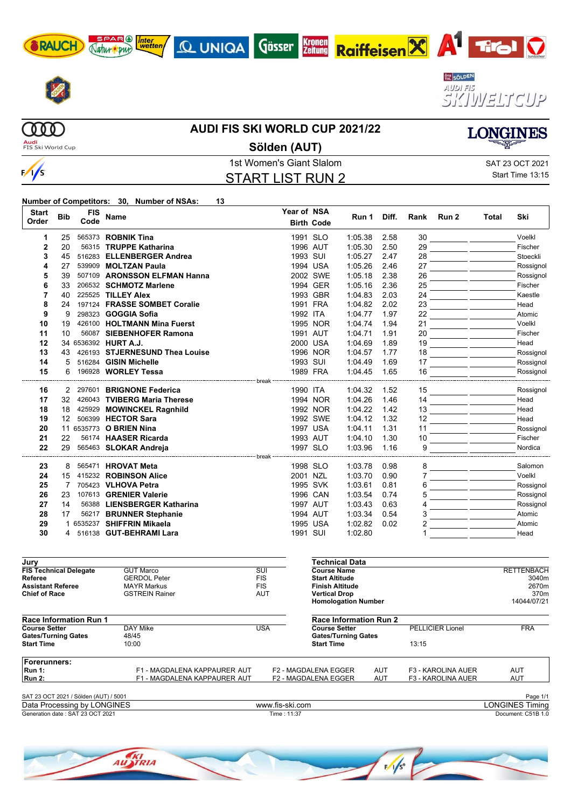









 $000$ Audi<br>FIS Ski World Cup

 $\frac{1}{s}$ 

#### **AUDI FIS SKI WORLD CUP 2021/22**

Gösser



**Sölden (AUT)**

Kronen<br>Zeitung

# START LIST RUN 2

1st Women's Giant Slalom Sattle School and SAT 23 OCT 2021 Start Time 13:15

#### **Number of Competitors: 30, Number of NSAs: 13**

| <b>Start</b><br>Order         | <b>Bib</b>        | <b>FIS</b><br>Code | <b>Name</b>                    | Year of NSA             | <b>Birth Code</b>      | Run 1                 | Diff. | Rank | Run <sub>2</sub> | Total | Ski               |
|-------------------------------|-------------------|--------------------|--------------------------------|-------------------------|------------------------|-----------------------|-------|------|------------------|-------|-------------------|
| 1                             | 25                |                    | 565373 <b>ROBNIK Tina</b>      |                         | 1991 SLO               | 1:05.38               | 2.58  | 30   |                  |       | Voelkl            |
| $\overline{2}$                | 20                |                    | 56315 TRUPPE Katharina         |                         | 1996 AUT               | 1:05.30               | 2.50  | 29   |                  |       | Fischer           |
| 3                             | 45                |                    | 516283 ELLENBERGER Andrea      |                         | 1993 SUI               | 1:05.27               | 2.47  | 28   |                  |       | Stoeckli          |
| 4                             | 27                |                    | 539909 MOLTZAN Paula           |                         | 1994 USA               | 1:05.26               | 2.46  | 27   |                  |       | Rossignol         |
| 5                             | 39                |                    | 507109 ARONSSON ELFMAN Hanna   |                         | 2002 SWE               | 1:05.18               | 2.38  | 26   |                  |       | Rossignol         |
| 6                             | 33                |                    | 206532 SCHMOTZ Marlene         |                         | 1994 GER               | 1:05.16               | 2.36  | 25   |                  |       | Fischer           |
| $\overline{7}$                | 40                |                    | 225525 TILLEY Alex             |                         | 1993 GBR               | 1:04.83               | 2.03  | 24   |                  |       | Kaestle           |
| 8                             | 24                |                    | 197124 FRASSE SOMBET Coralie   |                         | 1991 FRA               | 1:04.82               | 2.02  | 23   |                  |       | Head              |
| 9                             | 9                 |                    | 298323 GOGGIA Sofia            |                         | 1992 ITA               | 1:04.77               | 1.97  | 22   |                  |       | Atomic            |
| 10                            | 19                |                    | 426100 HOLTMANN Mina Fuerst    |                         | 1995 NOR               | 1:04.74               | 1.94  | 21   |                  |       | Voelkl            |
| 11                            | 10                |                    | 56087 SIEBENHOFER Ramona       |                         | 1991 AUT               | 1:04.71               | 1.91  | 20   |                  |       | Fischer           |
| 12                            |                   |                    | 34 6536392 HURT A.J.           |                         | 2000 USA               | 1:04.69               | 1.89  | 19   |                  |       | Head              |
| 13                            | 43                |                    | 426193 STJERNESUND Thea Louise |                         | 1996 NOR               | 1:04.57               | 1.77  | 18   |                  |       | Rossignol         |
| 14                            | 5                 |                    | 516284 GISIN Michelle          |                         | 1993 SUI               | 1:04.49               | 1.69  | 17   |                  |       | Rossignol         |
| 15                            | 6                 |                    | 196928 WORLEY Tessa            | break -                 | 1989 FRA               | 1:04.45               | 1.65  | 16   |                  |       | Rossignol         |
| 16                            | $\mathbf{2}$      |                    | 297601 BRIGNONE Federica       |                         | 1990 ITA               | 1:04.32               | 1.52  | 15   |                  |       | Rossignol         |
| 17                            | 32                |                    | 426043 TVIBERG Maria Therese   |                         | 1994 NOR               | 1:04.26               | 1.46  | 14   |                  |       | Head              |
| 18                            | 18                |                    | 425929 MOWINCKEL Ragnhild      |                         | 1992 NOR               | 1:04.22               | 1.42  | 13   |                  |       | Head              |
| 19                            | $12 \overline{ }$ |                    | 506399 HECTOR Sara             |                         | 1992 SWE               | 1:04.12               | 1.32  | 12   |                  |       | Head              |
| 20                            |                   |                    | 11 6535773 O BRIEN Nina        |                         | 1997 USA               | 1:04.11               | 1.31  | 11   |                  |       | Rossignol         |
| 21                            | 22                |                    | 56174 HAASER Ricarda           |                         | 1993 AUT               | 1:04.10               | 1.30  | 10   |                  |       | Fischer           |
| 22                            | 29                |                    | 565463 SLOKAR Andreja          |                         | 1997 SLO               | 1:03.96               | 1.16  | 9    |                  |       | Nordica           |
|                               |                   |                    |                                |                         |                        |                       |       |      |                  |       |                   |
| 23                            | 8                 |                    | 565471 HROVAT Meta             |                         | 1998 SLO               | 1:03.78               | 0.98  | 8    |                  |       | Salomon           |
| 24                            | 15                |                    | 415232 ROBINSON Alice          |                         | 2001 NZL               | 1:03.70               | 0.90  |      |                  |       | Voelkl            |
| 25                            | 7                 |                    | 705423 VLHOVA Petra            |                         | 1995 SVK               | 1:03.61               | 0.81  | 6    |                  |       | Rossignol         |
| 26                            | 23                |                    | 107613 GRENIER Valerie         |                         | 1996 CAN               | 1:03.54               | 0.74  | 5    |                  |       | Rossignol         |
| 27                            | 14                |                    | 56388 LIENSBERGER Katharina    |                         | 1997 AUT               | 1:03.43               | 0.63  |      |                  |       | Rossignol         |
| 28                            | 17                |                    | 56217 BRUNNER Stephanie        |                         | 1994 AUT               | 1:03.34               | 0.54  | 3    |                  |       | Atomic            |
| 29                            |                   |                    | 1 6535237 SHIFFRIN Mikaela     |                         | 1995 USA               | 1:02.82               | 0.02  |      |                  |       | Atomic            |
| 30                            | 4                 |                    | 516138 GUT-BEHRAMI Lara        |                         | 1991 SUI               | 1:02.80               |       |      |                  |       | Head              |
| Jury                          |                   |                    |                                |                         |                        | <b>Technical Data</b> |       |      |                  |       |                   |
| <b>FIS Technical Delegate</b> |                   |                    | <b>GUT Marco</b>               | $\overline{\text{SUI}}$ | <b>Course Name</b>     |                       |       |      |                  |       | <b>RETTENBACH</b> |
| Referee                       |                   |                    | <b>GERDOL Peter</b>            | <b>FIS</b>              | <b>Start Altitude</b>  |                       |       |      |                  |       | 3040m             |
| <b>Assistant Referee</b>      |                   |                    | <b>MAYR Markus</b>             | <b>FIS</b>              | <b>Finish Altitude</b> |                       |       |      |                  |       | 2670m             |

**Chief of Race** GSTREIN Rainer **AUT Vertical Drop** 370m<br> **Homologation Number** 14044/07/21 **Homologation Number Race Information Run 1 Course Setter** DAY Mike USA<br>
Gates/Turning Gates 48/45 Gates/Turning Gates<br>Start Time 10:00 **Start Time Race Information Run 2** PELLICIER Lionel FRA **Gates/Turning Gates Start Time** 13:15 **Forerunners: Run 1:** F1 - MAGDALENA KAPPAURER AUT F2 - MAGDALENA EGGER AUT F3 - KAROLINA AUER AUT **F1 - MAGDALENA KAPPAURER AUT** 

Page 1/1<br>
Data Processing by LONGINES<br>
Data Processing by LONGINES Timing Generation date : SAT 23 OCT 2021 Time : 11:37 Document: C51B 1.0 Data Processing by LONGINES www.fis-ski.com

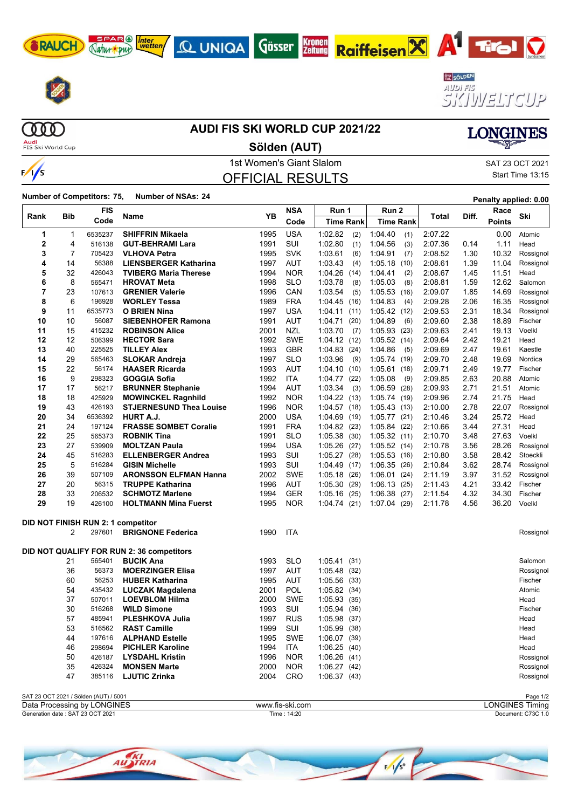









 $\begin{array}{c} 0 \\ 0 \\ 0 \\ 0 \\ \end{array}$ **Audi**<br>FIS Ski World Cup

#### **AUDI FIS SKI WORLD CUP 2021/22**

**Kronen**<br>Zeitung

**Sölden (AUT)**



### 1st Women's Giant Slalom Sattle School and SAT 23 OCT 2021 OFFICIAL RESULTS

Start Time 13:15

**LONGINES** 

**Number of Competitors: 75, Number of NSAs: <sup>24</sup> Penalty applied: 0.00**

|          |                | FIS                                   |                                                       |              | NSA               | Run 1           | Run 2            |                    |              | Race           |                   |
|----------|----------------|---------------------------------------|-------------------------------------------------------|--------------|-------------------|-----------------|------------------|--------------------|--------------|----------------|-------------------|
| Rank     | Bib            | Code                                  | Name                                                  | YΒ           | Code              | Time Rank       | <b>Time Rank</b> | Total              | Diff.        | <b>Points</b>  | Ski               |
| 1        | 1              | 6535237                               | <b>SHIFFRIN Mikaela</b>                               | 1995         | <b>USA</b>        | 1:02.82<br>(2)  | 1:04.40<br>(1)   | 2:07.22            |              | 0.00           | Atomic            |
| 2        | 4              | 516138                                | <b>GUT-BEHRAMI Lara</b>                               | 1991         | SUI               | 1:02.80<br>(1)  | 1:04.56<br>(3)   | 2:07.36            | 0.14         | 1.11           | Head              |
| 3        | 7              | 705423                                | <b>VLHOVA Petra</b>                                   | 1995         | <b>SVK</b>        | 1:03.61<br>(6)  | 1:04.91<br>(7)   | 2:08.52            | 1.30         | 10.32          | Rossignol         |
| 4        | 14             | 56388                                 | <b>LIENSBERGER Katharina</b>                          | 1997         | <b>AUT</b>        | 1:03.43<br>(4)  | 1:05.18<br>(10)  | 2:08.61            | 1.39         | 11.04          | Rossignol         |
| 5        | 32             | 426043                                | <b>TVIBERG Maria Therese</b>                          | 1994         | <b>NOR</b>        | 1:04.26<br>(14) | 1.04.41<br>(2)   | 2:08.67            | 1.45         | 11.51          | Head              |
| 6        | 8              | 565471                                | <b>HROVAT Meta</b>                                    | 1998         | <b>SLO</b>        | 1:03.78<br>(8)  | 1:05.03<br>(8)   | 2:08.81            | 1.59         | 12.62          | Salomon           |
| 7        | 23             | 107613                                | <b>GRENIER Valerie</b>                                | 1996         | CAN               | 1:03.54<br>(5)  | 1:05.53<br>(16)  | 2:09.07            | 1.85         | 14.69          | Rossignol         |
| 8        | 6              | 196928                                | <b>WORLEY Tessa</b>                                   | 1989         | <b>FRA</b>        | 1:04.45(16)     | 1:04.83<br>(4)   | 2:09.28            | 2.06         | 16.35          | Rossignol         |
| 9        | 11             | 6535773                               | <b>O BRIEN Nina</b>                                   | 1997         | USA               | 1:04.11<br>(11) | 1:05.42(12)      | 2:09.53            | 2.31         | 18.34          | Rossignol         |
| 10       | 10             | 56087                                 | <b>SIEBENHOFER Ramona</b>                             | 1991         | AUT               | 1:04.71<br>(20) | 1:04.89<br>(6)   | 2:09.60            | 2.38         | 18.89          | Fischer           |
| 11       | 15             | 415232                                | <b>ROBINSON Alice</b>                                 | 2001         | <b>NZL</b>        | 1:03.70<br>(7)  | 1:05.93<br>(23)  | 2:09.63            | 2.41         | 19.13          | Voelkl            |
| 12       | 12             | 506399                                | <b>HECTOR Sara</b>                                    | 1992         | <b>SWE</b>        | 1:04.12(12)     | 1:05.52(14)      | 2:09.64            | 2.42         | 19.21          | Head              |
| 13       | 40             | 225525                                | <b>TILLEY Alex</b>                                    | 1993         | <b>GBR</b>        | 1:04.83<br>(24) | 1:04.86<br>(5)   | 2:09.69            | 2.47         | 19.61          | Kaestle           |
| 14       | 29             | 565463                                | <b>SLOKAR Andreja</b>                                 | 1997         | <b>SLO</b>        | 1:03.96<br>(9)  | 1:05.74(19)      | 2:09.70            | 2.48         | 19.69          | Nordica           |
| 15       | 22             | 56174                                 | <b>HAASER Ricarda</b>                                 | 1993         | AUT               | 1.04.10(10)     | 1:05.61<br>(18)  | 2:09.71            | 2.49         | 19.77          | Fischer           |
| 16       | 9              | 298323                                | <b>GOGGIA Sofia</b>                                   | 1992         | <b>ITA</b>        | 1:04.77<br>(22) | 1:05.08<br>(9)   | 2:09.85            | 2.63         | 20.88          | Atomic            |
| 17       | 17             | 56217                                 | <b>BRUNNER Stephanie</b>                              | 1994         | <b>AUT</b>        | 1:03.34<br>(3)  | 1:06.59(28)      | 2:09.93            | 2.71         | 21.51          | Atomic            |
| 18       | 18             | 425929                                | <b>MOWINCKEL Ragnhild</b>                             | 1992         | <b>NOR</b>        | 1:04.22(13)     | 1:05.74(19)      | 2:09.96            | 2.74         | 21.75          | Head              |
| 19       | 43             | 426193                                | <b>STJERNESUND Thea Louise</b>                        | 1996         | <b>NOR</b>        | 1:04.57(18)     | 1:05.43(13)      | 2:10.00            | 2.78         | 22.07          | Rossignol         |
| 20       | 34             | 6536392                               | HURT A.J.                                             | 2000         | <b>USA</b>        | 1:04.69<br>(19) | 1:05.77(21)      | 2:10.46            | 3.24         | 25.72          | Head              |
| 21       | 24             | 197124                                | <b>FRASSE SOMBET Coralie</b>                          | 1991         | <b>FRA</b>        | 1:04.82(23)     | 1:05.84(22)      | 2:10.66            | 3.44         | 27.31          | Head              |
| 22       | 25             | 565373                                | <b>ROBNIK Tina</b>                                    | 1991         | SLO               | 1:05.38<br>(30) | 1:05.32(11)      | 2:10.70            | 3.48         | 27.63          | Voelkl            |
| 23       | 27             | 539909                                | <b>MOLTZAN Paula</b>                                  | 1994         | <b>USA</b>        | 1:05.26<br>(27) | 1:05.52(14)      | 2:10.78            | 3.56         | 28.26          | Rossignol         |
| 24       | 45             | 516283                                | <b>ELLENBERGER Andrea</b>                             | 1993         | SUI               | 1:05.27(28)     | 1:05.53(16)      | 2:10.80            | 3.58         | 28.42          | Stoeckli          |
| 25       | 5              | 516284                                | <b>GISIN Michelle</b>                                 | 1993         | SUI               | 1.04.49(17)     | 1:06.35<br>(26)  | 2:10.84            | 3.62         | 28.74          | Rossignol         |
| 26       | 39             | 507109                                | <b>ARONSSON ELFMAN Hanna</b>                          | 2002         | <b>SWE</b>        | 1:05.18<br>(26) | 1:06.01<br>(24)  | 2:11.19            | 3.97         | 31.52          | Rossignol         |
| 27       | 20             | 56315                                 | <b>TRUPPE Katharina</b>                               | 1996         | <b>AUT</b>        | 1:05.30<br>(29) | 1:06.13(25)      | 2:11.43            | 4.21         | 33.42          | Fischer           |
| 28<br>29 | 33<br>19       | 206532<br>426100                      | <b>SCHMOTZ Marlene</b><br><b>HOLTMANN Mina Fuerst</b> | 1994<br>1995 | GER<br><b>NOR</b> | 1:05.16<br>(25) | 1:06.38<br>(27)  | 2:11.54<br>2:11.78 | 4.32<br>4.56 | 34.30<br>36.20 | Fischer<br>Voelkl |
|          |                |                                       |                                                       |              |                   | 1:04.74(21)     | $1:07.04$ (29)   |                    |              |                |                   |
|          |                |                                       | DID NOT FINISH RUN 2: 1 competitor                    |              |                   |                 |                  |                    |              |                |                   |
|          | $\overline{2}$ | 297601                                | <b>BRIGNONE Federica</b>                              | 1990         | <b>ITA</b>        |                 |                  |                    |              |                | Rossignol         |
|          |                |                                       |                                                       |              |                   |                 |                  |                    |              |                |                   |
|          |                |                                       | DID NOT QUALIFY FOR RUN 2: 36 competitors             |              |                   |                 |                  |                    |              |                |                   |
|          | 21             | 565401                                | <b>BUCIK Ana</b>                                      | 1993         | <b>SLO</b>        | 1.05.41(31)     |                  |                    |              |                | Salomon           |
|          | 36             | 56373                                 | <b>MOERZINGER Elisa</b>                               | 1997         | <b>AUT</b>        | 1:05.48<br>(32) |                  |                    |              |                | Rossignol         |
|          | 60             | 56253                                 | <b>HUBER Katharina</b>                                | 1995         | <b>AUT</b>        | 1:05.56 (33)    |                  |                    |              |                | Fischer           |
|          | 54             | 435432                                | <b>LUCZAK Magdalena</b>                               | 2001         | POL               | 1:05.82(34)     |                  |                    |              |                | Atomic            |
|          | 37             | 507011                                | <b>LOEVBLOM Hilma</b>                                 | 2000         | <b>SWE</b>        | 1:05.93(35)     |                  |                    |              |                | Head              |
|          | 30             | 516268                                | <b>WILD Simone</b>                                    | 1993         | SUI               | 1:05.94(36)     |                  |                    |              |                | Fischer           |
|          | 57             | 485941                                | <b>PLESHKOVA Julia</b>                                | 1997         | <b>RUS</b>        | 1:05.98(37)     |                  |                    |              |                | Head              |
|          | 53             | 516562                                | <b>RAST Camille</b>                                   | 1999         | <b>SUI</b>        | 1:05.99 (38)    |                  |                    |              |                | Head              |
|          | 44             | 197616                                | <b>ALPHAND Estelle</b>                                | 1995         | SWE               | 1:06.07(39)     |                  |                    |              |                | Head              |
|          | 46             | 298694                                | <b>PICHLER Karoline</b>                               | 1994         | <b>ITA</b>        | 1:06.25(40)     |                  |                    |              |                | Head              |
|          | 50             | 426187                                | <b>LYSDAHL Kristin</b>                                | 1996         | <b>NOR</b>        | 1:06.26(41)     |                  |                    |              |                | Rossignol         |
|          | 35             | 426324                                | <b>MONSEN Marte</b>                                   | 2000         | <b>NOR</b>        | 1:06.27(42)     |                  |                    |              |                | Rossignol         |
|          | 47             | 385116                                | <b>LJUTIC Zrinka</b>                                  | 2004         | CRO               | 1:06.37(43)     |                  |                    |              |                | Rossignol         |
|          |                | SAT 23 OCT 2021 / Sölden (AUT) / 5001 |                                                       |              |                   |                 |                  |                    |              |                | Page 1/2          |

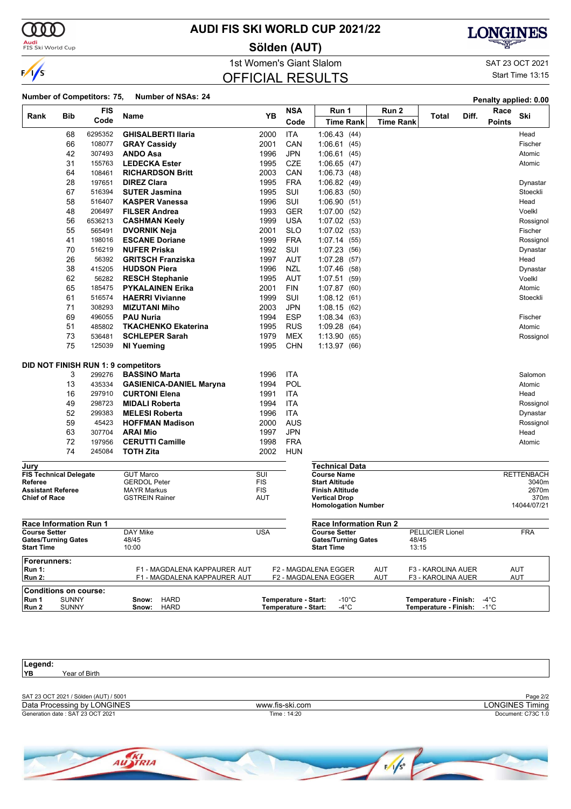

### **AUDI FIS SKI WORLD CUP 2021/22**

**Sölden (AUT)**

OFFICIAL RESULTS



1st Women's Giant Slalom SAT 23 OCT 2021

Start Time 13:15

| Number of Competitors: 75, Number of NSAs: 24 |  | Penalty applied: 0.00 |
|-----------------------------------------------|--|-----------------------|

|                                                 |              | <b>FIS</b> |                                            |            | <b>NSA</b>           | Run 1                                              | Run 2     |                            | Race          |                     |
|-------------------------------------------------|--------------|------------|--------------------------------------------|------------|----------------------|----------------------------------------------------|-----------|----------------------------|---------------|---------------------|
| Rank                                            | Bib          | Code       | Name                                       | YB         |                      |                                                    |           | Diff.<br>Total             |               | Ski                 |
|                                                 |              |            |                                            |            | Code                 | <b>Time Rank</b>                                   | Time Rank |                            | <b>Points</b> |                     |
|                                                 | 68           | 6295352    | <b>GHISALBERTI Ilaria</b>                  | 2000       | <b>ITA</b>           | 1:06.43(44)                                        |           |                            |               | Head                |
|                                                 | 66           | 108077     | <b>GRAY Cassidy</b>                        | 2001       | CAN                  | 1:06.61(45)                                        |           |                            |               | Fischer             |
|                                                 | 42           | 307493     | <b>ANDO Asa</b>                            | 1996       | <b>JPN</b>           | 1:06.61(45)                                        |           |                            |               | Atomic              |
|                                                 | 31           | 155763     | <b>LEDECKA Ester</b>                       | 1995       | <b>CZE</b>           | 1:06.65(47)                                        |           |                            |               | Atomic              |
|                                                 | 64           | 108461     | <b>RICHARDSON Britt</b>                    | 2003       | CAN                  | 1:06.73 (48)                                       |           |                            |               |                     |
|                                                 | 28           | 197651     | <b>DIREZ Clara</b>                         | 1995       | <b>FRA</b>           | 1:06.82(49)                                        |           |                            |               | Dynastar            |
|                                                 | 67           | 516394     | <b>SUTER Jasmina</b>                       | 1995       | SUI                  | 1:06.83(50)                                        |           |                            |               | Stoeckli            |
|                                                 | 58           | 516407     | <b>KASPER Vanessa</b>                      | 1996       | SUI                  | 1:06.90(51)                                        |           |                            |               | Head                |
|                                                 | 48           | 206497     | <b>FILSER Andrea</b>                       | 1993       | <b>GER</b>           | 1:07.00(52)                                        |           |                            |               | Voelkl              |
|                                                 | 56           | 6536213    | <b>CASHMAN Keely</b>                       | 1999       | <b>USA</b>           | 1:07.02(53)                                        |           |                            |               | Rossignol           |
|                                                 | 55           | 565491     | <b>DVORNIK Neja</b>                        | 2001       | SLO                  | 1:07.02(53)                                        |           |                            |               | Fischer             |
|                                                 | 41           | 198016     | <b>ESCANE Doriane</b>                      | 1999       | <b>FRA</b>           | 1:07.14(55)                                        |           |                            |               | Rossignol           |
|                                                 | 70           | 516219     | <b>NUFER Priska</b>                        | 1992       | SUI                  | 1:07.23 (56)                                       |           |                            |               | Dynastar            |
|                                                 | 26           | 56392      | <b>GRITSCH Franziska</b>                   | 1997       | <b>AUT</b>           | 1:07.28(57)                                        |           |                            |               | Head                |
|                                                 | 38           | 415205     | <b>HUDSON Piera</b>                        | 1996       | <b>NZL</b>           | 1:07.46(58)                                        |           |                            |               | Dynastar            |
|                                                 | 62           | 56282      | <b>RESCH Stephanie</b>                     | 1995       | AUT                  | 1:07.51(59)                                        |           |                            |               | Voelkl              |
|                                                 | 65           | 185475     | <b>PYKALAINEN Erika</b>                    | 2001       | FIN                  | 1:07.87(60)                                        |           |                            |               | Atomic              |
|                                                 | 61           | 516574     | <b>HAERRI Vivianne</b>                     | 1999       | SUI                  | 1:08.12(61)                                        |           |                            |               | Stoeckli            |
|                                                 | 71           | 308293     | <b>MIZUTANI Miho</b>                       | 2003       | JPN                  | 1:08.15(62)                                        |           |                            |               |                     |
|                                                 | 69           | 496055     | <b>PAU Nuria</b>                           | 1994       | <b>ESP</b>           | 1.08.34(63)                                        |           |                            |               | Fischer             |
|                                                 | 51           | 485802     | <b>TKACHENKO Ekaterina</b>                 | 1995       | <b>RUS</b>           | 1:09.28(64)                                        |           |                            |               | Atomic              |
|                                                 | 73           | 536481     | <b>SCHLEPER Sarah</b>                      | 1979       | <b>MEX</b>           | 1:13.90(65)                                        |           |                            |               | Rossignol           |
|                                                 | 75           | 125039     | <b>NI Yueming</b>                          | 1995       | <b>CHN</b>           | 1:13.97 (66)                                       |           |                            |               |                     |
|                                                 |              |            |                                            |            |                      |                                                    |           |                            |               |                     |
|                                                 |              |            | <b>DID NOT FINISH RUN 1: 9 competitors</b> |            |                      |                                                    |           |                            |               |                     |
|                                                 | 3            | 299276     | <b>BASSINO Marta</b>                       | 1996       | ITA                  |                                                    |           |                            |               | Salomon             |
|                                                 | 13           | 435334     | <b>GASIENICA-DANIEL Maryna</b>             | 1994       | POL                  |                                                    |           |                            |               | Atomic              |
|                                                 | 16           | 297910     | <b>CURTONI Elena</b>                       | 1991       | ITA                  |                                                    |           |                            |               | Head                |
|                                                 | 49           | 298723     | <b>MIDALI Roberta</b>                      | 1994       | ITA                  |                                                    |           |                            |               | Rossignol           |
|                                                 | 52           | 299383     | <b>MELESI Roberta</b>                      | 1996       | <b>ITA</b>           |                                                    |           |                            |               | Dynastar            |
|                                                 | 59           | 45423      | <b>HOFFMAN Madison</b>                     | 2000       | AUS                  |                                                    |           |                            |               | Rossignol           |
|                                                 | 63           | 307704     | <b>ARAI Mio</b>                            | 1997       | JPN                  |                                                    |           |                            |               | Head                |
|                                                 | 72           | 197956     | <b>CERUTTI Camille</b>                     | 1998       | <b>FRA</b>           |                                                    |           |                            |               | Atomic              |
|                                                 | 74           | 245084     | <b>TOTH Zita</b>                           | 2002       | HUN                  |                                                    |           |                            |               |                     |
| Jury                                            |              |            |                                            |            |                      | <b>Technical Data</b>                              |           |                            |               |                     |
| <b>FIS Technical Delegate</b>                   |              |            | <b>GUT Marco</b>                           | SUI        |                      | <b>Course Name</b>                                 |           |                            |               | <b>RETTENBACH</b>   |
| Referee                                         |              |            | <b>GERDOL Peter</b>                        | <b>FIS</b> |                      | <b>Start Altitude</b>                              |           |                            |               | 3040m               |
| <b>Assistant Referee</b>                        |              |            | <b>MAYR Markus</b>                         | <b>FIS</b> |                      | <b>Finish Altitude</b>                             |           |                            |               | 2670m               |
| <b>Chief of Race</b>                            |              |            | <b>GSTREIN Rainer</b>                      | <b>AUT</b> |                      | <b>Vertical Drop</b><br><b>Homologation Number</b> |           |                            |               | 370m<br>14044/07/21 |
|                                                 |              |            |                                            |            |                      |                                                    |           |                            |               |                     |
| <b>Race Information Run 1</b>                   |              |            |                                            |            |                      | <b>Race Information Run 2</b>                      |           |                            |               |                     |
| <b>Course Setter</b>                            |              |            | DAY Mike                                   | USA        |                      | <b>Course Setter</b>                               |           | PELLICIER Lionel           |               | <b>FRA</b>          |
| <b>Gates/Turning Gates</b><br><b>Start Time</b> |              |            | 48/45<br>10:00                             |            |                      | <b>Gates/Turning Gates</b><br><b>Start Time</b>    |           | 48/45<br>13:15             |               |                     |
| Forerunners:                                    |              |            |                                            |            |                      |                                                    |           |                            |               |                     |
| <b>Run 1:</b>                                   |              |            | F1 - MAGDALENA KAPPAURER AUT               |            |                      | F2 - MAGDALENA EGGER                               | AUT       | F3 - KAROLINA AUER         |               | <b>AUT</b>          |
| <b>Run 2:</b>                                   |              |            | F1 - MAGDALENA KAPPAURER AUT               |            |                      | F2 - MAGDALENA EGGER                               | AUT       | F3 - KAROLINA AUER         |               | AUT                 |
| <b>Conditions on course:</b>                    |              |            |                                            |            |                      |                                                    |           |                            |               |                     |
| Run 1                                           | <b>SUNNY</b> |            | <b>HARD</b><br>Snow:                       |            | Temperature - Start: | $-10^{\circ}$ C                                    |           | Temperature - Finish: -4°C |               |                     |
| Run 2                                           | <b>SUNNY</b> |            | <b>HARD</b><br>Snow:                       |            | Temperature - Start: | $-4^{\circ}$ C                                     |           | Temperature - Finish: -1°C |               |                     |

| Legend:                               |                   |                        |
|---------------------------------------|-------------------|------------------------|
| YB.<br>Year of Birth                  |                   |                        |
|                                       |                   |                        |
| SAT 23 OCT 2021 / Sölden (AUT) / 5001 |                   | Page 2/2               |
| Data Processing by LONGINES           | www.fis-ski.com   | <b>LONGINES Timing</b> |
| Generation date: SAT 23 OCT 2021      | Time: 14:20       | Document: C73C 1.0     |
|                                       |                   |                        |
|                                       |                   |                        |
| <b>CONTRACTOR</b>                     | <b>CONTRACTOR</b> |                        |

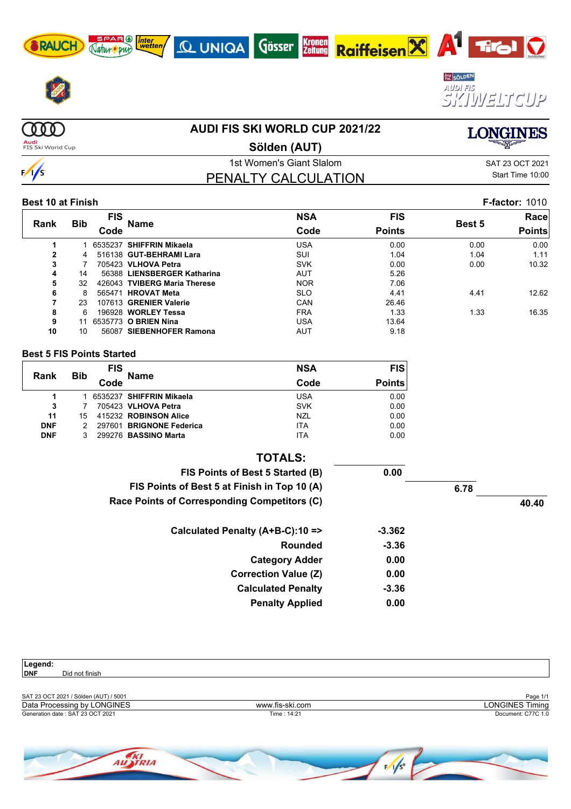









**COOD Audi**<br>FIS Ski World Cup

 $\frac{1}{s}$ 

# **AUDI FIS SKI WORLD CUP 2021/22**

**LONGINES** 

**Sölden (AUT)**

PENALTY CALCULATION

1st Women's Giant Slalom Sattle School and SAT 23 OCT 2021 Start Time 10:00

#### **Best 10 at Finish F-factor:** 1010

| Rank         |            | <b>FIS</b> | Name                         | <b>NSA</b> | <b>FIS</b>    |               | Racel         |
|--------------|------------|------------|------------------------------|------------|---------------|---------------|---------------|
|              | <b>Bib</b> | Code       |                              | Code       | <b>Points</b> | <b>Best 5</b> | <b>Points</b> |
|              |            |            | 6535237 SHIFFRIN Mikaela     | USA        | 0.00          | 0.00          | 0.00          |
| $\mathbf{2}$ |            |            | 516138 GUT-BEHRAMI Lara      | SUI        | 1.04          | 1.04          | 1.11          |
| 3            |            |            | 705423 VLHOVA Petra          | <b>SVK</b> | 0.00          | 0.00          | 10.32         |
| 4            | 14         |            | 56388 LIENSBERGER Katharina  | <b>AUT</b> | 5.26          |               |               |
| 5            | 32         |            | 426043 TVIBERG Maria Therese | <b>NOR</b> | 7.06          |               |               |
| 6            | 8          |            | 565471 HROVAT Meta           | <b>SLO</b> | 4.41          | 4.41          | 12.62         |
| 7            | 23         |            | 107613 GRENIER Valerie       | CAN        | 26.46         |               |               |
| 8            | 6          |            | 196928 WORLEY Tessa          | <b>FRA</b> | 1.33          | 1.33          | 16.35         |
| 9            | 11         |            | 6535773 O BRIEN Nina         | USA        | 13.64         |               |               |
| 10           | 10         |            | 56087 SIEBENHOFER Ramona     | <b>AUT</b> | 9.18          |               |               |

#### **Best 5 FIS Points Started**

| Rank       | <b>Bib</b> | <b>FIS</b> | <b>Name</b>              | <b>NSA</b> | <b>FIS</b>    |
|------------|------------|------------|--------------------------|------------|---------------|
|            |            | Code       |                          | Code       | <b>Points</b> |
|            |            |            | 6535237 SHIFFRIN Mikaela | <b>USA</b> | 0.00          |
| 3          |            |            | 705423 VLHOVA Petra      | <b>SVK</b> | 0.00          |
| 11         | 15         |            | 415232 ROBINSON Alice    | <b>NZL</b> | 0.00          |
| <b>DNF</b> |            |            | 297601 BRIGNONE Federica | <b>ITA</b> | 0.00          |
| <b>DNF</b> |            |            | 299276 BASSINO Marta     | <b>ITA</b> | 0.00          |

| <b>TOTALS:</b>                               |         |      |       |
|----------------------------------------------|---------|------|-------|
| FIS Points of Best 5 Started (B)             | 0.00    |      |       |
| FIS Points of Best 5 at Finish in Top 10 (A) |         | 6.78 |       |
| Race Points of Corresponding Competitors (C) |         |      | 40.40 |
| Calculated Penalty (A+B-C):10 =>             | -3.362  |      |       |
| Rounded                                      | $-3.36$ |      |       |
| <b>Category Adder</b>                        | 0.00    |      |       |
| <b>Correction Value (Z)</b>                  | 0.00    |      |       |
| <b>Calculated Penalty</b>                    | $-3.36$ |      |       |
| <b>Penalty Applied</b>                       | 0.00    |      |       |

| Legend:                               |                 |                        |
|---------------------------------------|-----------------|------------------------|
| <b>DNF</b><br>Did not finish          |                 |                        |
|                                       |                 |                        |
| SAT 23 OCT 2021 / Sölden (AUT) / 5001 |                 | Page 1/1               |
| Data Processing by LONGINES           | www.fis-ski.com | <b>LONGINES Timing</b> |
| Generation date: SAT 23 OCT 2021      | Time: 14:21     | Document: C77C 1.0     |
|                                       |                 |                        |
|                                       |                 |                        |
|                                       |                 |                        |

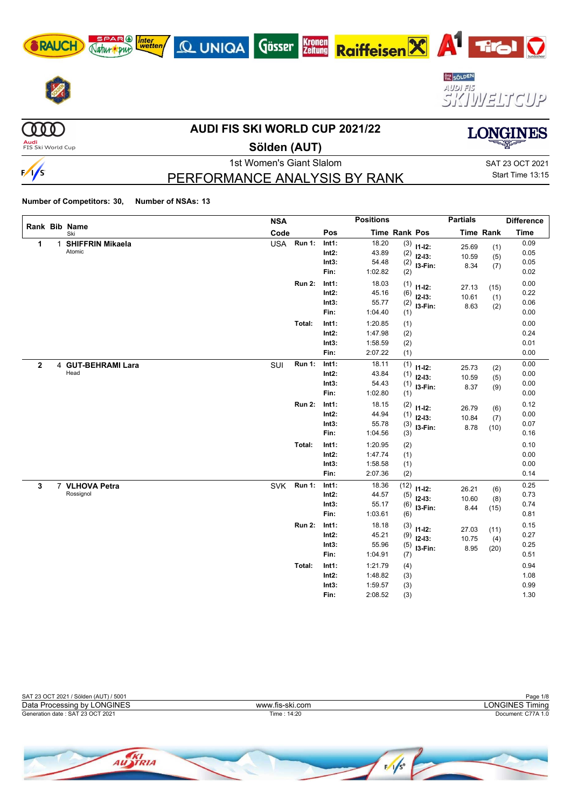









**COOD** 

 $\frac{1}{s}$ 

### **AUDI FIS SKI WORLD CUP 2021/22**

**Audi**<br>FIS Ski World Cup

### **Sölden (AUT)**

PERFORMANCE ANALYSIS BY RANK

1st Women's Giant Slalom Sattle School and SAT 23 OCT 2021

Start Time 13:15

**LONGINES** 

**Number of Competitors: 30, Number of NSAs: 13**

Natur our

|              |   | Rank Bib Name                     | <b>NSA</b> |               |                                    | <b>Positions</b>                              |                                 |                                       | <b>Partials</b>        |                     | <b>Difference</b>            |
|--------------|---|-----------------------------------|------------|---------------|------------------------------------|-----------------------------------------------|---------------------------------|---------------------------------------|------------------------|---------------------|------------------------------|
|              |   | Ski                               | Code       |               | Pos                                | Time Rank Pos                                 |                                 |                                       |                        | <b>Time Rank</b>    | <b>Time</b>                  |
| $\mathbf{1}$ | 1 | <b>SHIFFRIN Mikaela</b><br>Atomic | <b>USA</b> | <b>Run 1:</b> | Int1:<br>$Int2$ :<br>Int3:<br>Fin: | 18.20<br>43.89<br>54.48                       | (2)<br>(2)                      | $(3)$ 11-12:<br>$12-13:$<br>I3-Fin:   | 25.69<br>10.59<br>8.34 | (1)<br>(5)<br>(7)   | 0.09<br>0.05<br>0.05<br>0.02 |
|              |   |                                   |            | <b>Run 2:</b> | Int1:<br>$Int2$ :<br>Int3:<br>Fin: | 1:02.82<br>18.03<br>45.16<br>55.77<br>1:04.40 | (2)<br>(1)<br>(6)<br>(2)<br>(1) | $11 - 12$ :<br>$12 - 13$ :<br>I3-Fin: | 27.13<br>10.61<br>8.63 | (15)<br>(1)<br>(2)  | 0.00<br>0.22<br>0.06<br>0.00 |
|              |   |                                   |            | Total:        | Int1:<br>$Int2$ :<br>Int3:<br>Fin: | 1:20.85<br>1:47.98<br>1:58.59<br>2:07.22      | (1)<br>(2)<br>(2)<br>(1)        |                                       |                        |                     | 0.00<br>0.24<br>0.01<br>0.00 |
| $\mathbf{2}$ |   | 4 GUT-BEHRAMI Lara<br>Head        | SUI        | <b>Run 1:</b> | Int1:<br>$Int2$ :<br>Int3:<br>Fin: | 18.11<br>43.84<br>54.43<br>1:02.80            | (1)<br>(1)<br>(1)<br>(1)        | $11 - 12$ :<br>$12-13:$<br>I3-Fin:    | 25.73<br>10.59<br>8.37 | (2)<br>(5)<br>(9)   | 0.00<br>0.00<br>0.00<br>0.00 |
|              |   |                                   |            | <b>Run 2:</b> | Int1:<br>Int2:<br>Int3:<br>Fin:    | 18.15<br>44.94<br>55.78<br>1:04.56            | (2)<br>(1)<br>(3)<br>(3)        | $11 - 12$ :<br>$12-13:$<br>I3-Fin:    | 26.79<br>10.84<br>8.78 | (6)<br>(7)<br>(10)  | 0.12<br>0.00<br>0.07<br>0.16 |
|              |   |                                   |            | Total:        | Int1:<br>Int2:<br>Int3:<br>Fin:    | 1:20.95<br>1:47.74<br>1:58.58<br>2:07.36      | (2)<br>(1)<br>(1)<br>(2)        |                                       |                        |                     | 0.10<br>0.00<br>0.00<br>0.14 |
| 3            |   | 7 VLHOVA Petra<br>Rossignol       | <b>SVK</b> | <b>Run 1:</b> | Int1:<br>$Int2$ :<br>Int3:<br>Fin: | 18.36<br>44.57<br>55.17<br>1:03.61            | (12)<br>(5)<br>(6)<br>(6)       | $11 - 12$ :<br>$12-13:$<br>I3-Fin:    | 26.21<br>10.60<br>8.44 | (6)<br>(8)<br>(15)  | 0.25<br>0.73<br>0.74<br>0.81 |
|              |   |                                   |            | <b>Run 2:</b> | Int1:<br>$Int2$ :<br>Int3:<br>Fin: | 18.18<br>45.21<br>55.96<br>1:04.91            | (3)<br>(9)<br>(5)<br>(7)        | $11 - 12$ :<br>$12-13:$<br>I3-Fin:    | 27.03<br>10.75<br>8.95 | (11)<br>(4)<br>(20) | 0.15<br>0.27<br>0.25<br>0.51 |
|              |   |                                   |            | Total:        | Int1:<br>$Int2$ :<br>Int3:<br>Fin: | 1:21.79<br>1:48.82<br>1:59.57<br>2:08.52      | (4)<br>(3)<br>(3)<br>(3)        |                                       |                        |                     | 0.94<br>1.08<br>0.99<br>1.30 |

| SAT 23 OCT 2021 / Sölden (AUT) / 5001 |                 | Page 1/8           |
|---------------------------------------|-----------------|--------------------|
| Data Processing by LONGINES           | www.fis-ski.com | LONGINES Timina    |
| Generation date: SAT 23 OCT 2021      | Time : 14:20    | Document: C77A 1.0 |
|                                       |                 |                    |

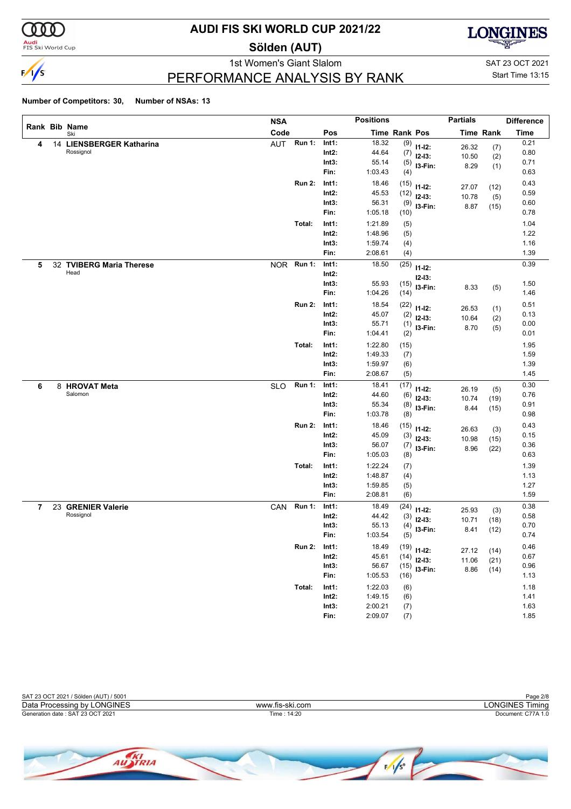

**Audi**<br>FIS Ski World Cup

### **AUDI FIS SKI WORLD CUP 2021/22**

**Sölden (AUT)**



PERFORMANCE ANALYSIS BY RANK

1st Women's Giant Slalom Sattes and Sattes Control of the SAT 23 OCT 2021 Start Time 13:15

| Rank Bib Name<br>Code<br>Pos<br><b>Time Rank Pos</b><br><b>Time Rank</b><br>Ski<br><b>Run 1:</b><br>18.32<br>Int1: |             |
|--------------------------------------------------------------------------------------------------------------------|-------------|
|                                                                                                                    | <b>Time</b> |
| AUT<br>14 LIENSBERGER Katharina<br>(9)<br>4<br>$11 - 12$ :<br>26.32<br>(7)                                         | 0.21        |
| Rossignol<br>$Int2$ :<br>44.64<br>(7)<br>$12-13:$<br>10.50<br>(2)                                                  | 0.80        |
| Int3:<br>55.14<br>(5)<br>I3-Fin:<br>8.29<br>(1)                                                                    | 0.71        |
| Fin:<br>1:03.43<br>(4)                                                                                             | 0.63        |
| 18.46<br><b>Run 2:</b><br>Int1:<br>(15)<br>$11 - 12$ :<br>27.07<br>(12)                                            | 0.43        |
| $Int2$ :<br>45.53<br>(12)<br>$12-13:$<br>10.78<br>(5)                                                              | 0.59        |
| Int3:<br>56.31<br>(9)<br>I3-Fin:<br>8.87<br>(15)                                                                   | 0.60        |
| Fin:<br>1:05.18<br>(10)                                                                                            | 0.78        |
| Total:<br>1:21.89<br>Int1:<br>(5)                                                                                  | 1.04        |
| $Int2$ :<br>1:48.96<br>(5)                                                                                         | 1.22        |
| Int3:<br>1:59.74<br>(4)                                                                                            | 1.16        |
| 2:08.61<br>Fin:<br>(4)                                                                                             | 1.39        |
| <b>Run 1:</b><br>(25)<br>Int1:<br>18.50<br>32 TVIBERG Maria Therese<br><b>NOR</b><br>5<br>$11 - 12$ :              | 0.39        |
| Head<br>$Int2$ :<br>$12 - 13:$                                                                                     |             |
| Int3:<br>55.93<br>(15)<br>I3-Fin:<br>8.33<br>(5)                                                                   | 1.50        |
| Fin:<br>1:04.26<br>(14)                                                                                            | 1.46        |
| 18.54<br><b>Run 2:</b><br>Int1:<br>(22)<br>$11 - 12$ :<br>26.53<br>(1)                                             | 0.51        |
| $Int2$ :<br>45.07<br>(2)<br>$12-13:$<br>10.64<br>(2)                                                               | 0.13        |
| Int3:<br>55.71<br>(1)<br>I3-Fin:<br>8.70<br>(5)                                                                    | 0.00        |
| Fin:<br>1:04.41<br>(2)                                                                                             | 0.01        |
| Total:<br>1:22.80<br>Int1:<br>(15)                                                                                 | 1.95        |
| $Int2$ :<br>1:49.33<br>(7)                                                                                         | 1.59        |
| 1:59.97<br>Int3:<br>(6)                                                                                            | 1.39        |
| Fin:<br>2:08.67<br>(5)                                                                                             | 1.45        |
| <b>Run 1:</b><br>Int1:<br>18.41<br>(17)<br>8 HROVAT Meta<br><b>SLO</b><br>6                                        | 0.30        |
| $11 - 12$ :<br>26.19<br>(5)<br>Salomon<br>$Int2$ :<br>44.60<br>(6)<br>$12-13:$                                     | 0.76        |
| 10.74<br>(19)<br>Int3:<br>55.34<br>(8)<br>I3-Fin:<br>8.44                                                          | 0.91        |
| (15)<br>Fin:<br>1:03.78<br>(8)                                                                                     | 0.98        |
| <b>Run 2:</b><br>18.46<br>Int1:<br>(15)                                                                            | 0.43        |
| $11 - 12$ :<br>26.63<br>(3)<br>$Int2$ :<br>45.09<br>(3)<br>$12-13:$                                                | 0.15        |
| 10.98<br>(15)<br>Int3:<br>56.07<br>(7)<br>I3-Fin:                                                                  | 0.36        |
| 8.96<br>(22)<br>Fin:<br>1:05.03<br>(8)                                                                             | 0.63        |
| Total:<br>1:22.24<br>Int1:<br>(7)                                                                                  | 1.39        |
| $Int2$ :<br>1:48.87<br>(4)                                                                                         | 1.13        |
| Int3:<br>1:59.85<br>(5)                                                                                            | 1.27        |
| 2:08.81<br>Fin:<br>(6)                                                                                             | 1.59        |
| 23 GRENIER Valerie<br>CAN Run 1:<br>18.49<br>Int1:<br>(24)<br>7                                                    | 0.38        |
| $11 - 12$ :<br>25.93<br>(3)<br>Rossignol<br>Int2:<br>44.42<br>(3)<br>$12-13:$                                      | 0.58        |
| 10.71<br>(18)<br>55.13<br>Int3:<br>(4)<br>I3-Fin:                                                                  | 0.70        |
| 8.41<br>(12)<br>1:03.54<br>Fin:<br>(5)                                                                             | 0.74        |
| <b>Run 2:</b><br>18.49<br>Int1:                                                                                    | 0.46        |
| $(19)$ 11-12:<br>27.12<br>(14)<br>45.61<br>Int2:<br>(14)                                                           | 0.67        |
| $12-13:$<br>11.06<br>(21)<br>Int3:<br>56.67<br>(15)                                                                | 0.96        |
| I3-Fin:<br>8.86<br>(14)<br>Fin:<br>1:05.53<br>(16)                                                                 | 1.13        |
| Int1:<br>1:22.03<br>Total:<br>(6)                                                                                  | 1.18        |
| 1:49.15<br>$Int2$ :<br>(6)                                                                                         | 1.41        |
| 2:00.21<br>Int3:<br>(7)                                                                                            | 1.63        |
| Fin:<br>2:09.07<br>(7)                                                                                             | 1.85        |

| SAT 23 OCT 2021 / Sölden (AUT) / 5001 |                 | Page 2/8           |
|---------------------------------------|-----------------|--------------------|
| Data Processing by LONGINES           | www.fis-ski.com | LONGINES Timina    |
| Generation date: SAT 23 OCT 2021      | Time : 14:20    | Document: C77A 1.0 |
|                                       |                 |                    |
|                                       |                 |                    |

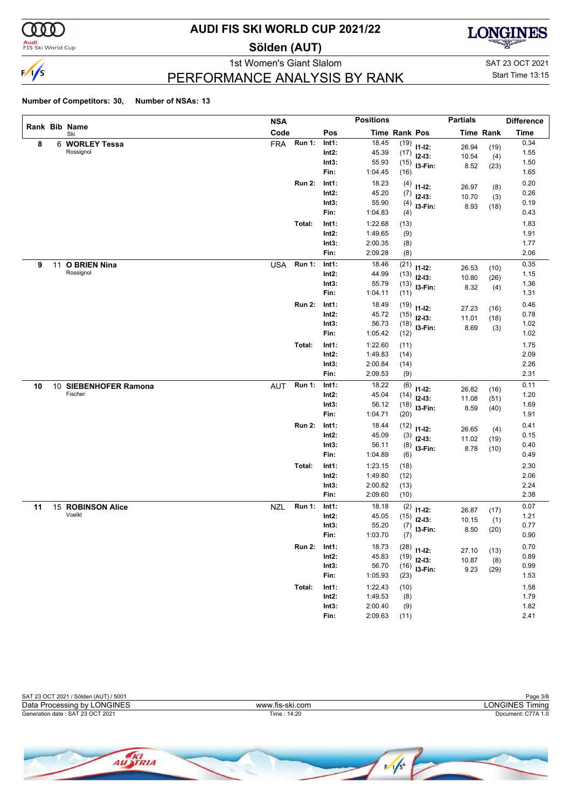

**Audi**<br>FIS Ski World Cup

### **AUDI FIS SKI WORLD CUP 2021/22**

**Sölden (AUT)**



PERFORMANCE ANALYSIS BY RANK

1st Women's Giant Slalom SAT 23 OCT 2021 Start Time 13:15

|    |    |                       | <b>NSA</b> |               |          | <b>Positions</b>     |      |               | <b>Partials</b> |                  | <b>Difference</b> |
|----|----|-----------------------|------------|---------------|----------|----------------------|------|---------------|-----------------|------------------|-------------------|
|    |    | Rank Bib Name<br>Ski  | Code       |               | Pos      | <b>Time Rank Pos</b> |      |               |                 | <b>Time Rank</b> | <b>Time</b>       |
| 8  |    | 6 WORLEY Tessa        | <b>FRA</b> | <b>Run 1:</b> | Int1:    | 18.45                | (19) | $11 - 12$ :   | 26.94           | (19)             | 0.34              |
|    |    | Rossignol             |            |               | $Int2$ : | 45.39                | (17) | $12-13:$      | 10.54           | (4)              | 1.55              |
|    |    |                       |            |               | Int3:    | 55.93                | (15) | 13-Fin:       | 8.52            | (23)             | 1.50              |
|    |    |                       |            |               | Fin:     | 1:04.45              | (16) |               |                 |                  | 1.65              |
|    |    |                       |            | <b>Run 2:</b> | Int1:    | 18.23                | (4)  | $11 - 12$ :   | 26.97           | (8)              | 0.20              |
|    |    |                       |            |               | $Int2$ : | 45.20                | (7)  | $12-13:$      | 10.70           | (3)              | 0.26              |
|    |    |                       |            |               | Int3:    | 55.90                | (4)  | I3-Fin:       | 8.93            | (18)             | 0.19              |
|    |    |                       |            |               | Fin:     | 1:04.83              | (4)  |               |                 |                  | 0.43              |
|    |    |                       |            | Total:        | Int1:    | 1:22.68              | (13) |               |                 |                  | 1.83              |
|    |    |                       |            |               | $Int2$ : | 1:49.65              | (9)  |               |                 |                  | 1.91              |
|    |    |                       |            |               | Int3:    | 2:00.35              | (8)  |               |                 |                  | 1.77              |
|    |    |                       |            |               | Fin:     | 2:09.28              | (8)  |               |                 |                  | 2.06              |
| 9  | 11 | <b>O BRIEN Nina</b>   | <b>USA</b> | <b>Run 1:</b> | Int1:    | 18.46                | (21) | $11 - 12$ :   | 26.53           | (10)             | 0.35              |
|    |    | Rossignol             |            |               | Int2:    | 44.99                | (13) | $12-13:$      | 10.80           | (26)             | 1.15              |
|    |    |                       |            |               | Int3:    | 55.79                | (13) | I3-Fin:       | 8.32            | (4)              | 1.36              |
|    |    |                       |            |               | Fin:     | 1:04.11              | (11) |               |                 |                  | 1.31              |
|    |    |                       |            | <b>Run 2:</b> | Int1:    | 18.49                | (19) | $11 - 12$ :   | 27.23           | (16)             | 0.46              |
|    |    |                       |            |               | Int2:    | 45.72                | (15) | $12-13:$      | 11.01           | (18)             | 0.78              |
|    |    |                       |            |               | Int3:    | 56.73                | (18) | I3-Fin:       | 8.69            | (3)              | 1.02              |
|    |    |                       |            |               | Fin:     | 1:05.42              | (12) |               |                 |                  | 1.02              |
|    |    |                       |            | Total:        | Int1:    | 1:22.60              | (11) |               |                 |                  | 1.75              |
|    |    |                       |            |               | Int2:    | 1:49.83              | (14) |               |                 |                  | 2.09              |
|    |    |                       |            |               | Int3:    | 2:00.84              | (14) |               |                 |                  | 2.26              |
|    |    |                       |            |               | Fin:     | 2:09.53              | (9)  |               |                 |                  | 2.31              |
| 10 |    | 10 SIEBENHOFER Ramona | <b>AUT</b> | <b>Run 1:</b> | Int1:    | 18.22                | (6)  | $11 - 12$ :   | 26.82           | (16)             | 0.11              |
|    |    | Fischer               |            |               | Int2:    | 45.04                | (14) | $12-13:$      | 11.08           | (51)             | 1.20              |
|    |    |                       |            |               | Int3:    | 56.12                | (18) | I3-Fin:       | 8.59            | (40)             | 1.69              |
|    |    |                       |            |               | Fin:     | 1:04.71              | (20) |               |                 |                  | 1.91              |
|    |    |                       |            | <b>Run 2:</b> | Int1:    | 18.44                | (12) | $11 - 12$ :   | 26.65           | (4)              | 0.41              |
|    |    |                       |            |               | Int2:    | 45.09                | (3)  | $12-13:$      | 11.02           | (19)             | 0.15              |
|    |    |                       |            |               | Int3:    | 56.11                | (8)  | I3-Fin:       | 8.78            | (10)             | 0.40              |
|    |    |                       |            |               | Fin:     | 1:04.89              | (6)  |               |                 |                  | 0.49              |
|    |    |                       |            | Total:        | Int1:    | 1:23.15              | (18) |               |                 |                  | 2.30              |
|    |    |                       |            |               | $Int2$ : | 1:49.80              | (12) |               |                 |                  | 2.06              |
|    |    |                       |            |               | Int3:    | 2:00.82              | (13) |               |                 |                  | 2.24              |
|    |    |                       |            |               | Fin:     | 2:09.60              | (10) |               |                 |                  | 2.38              |
| 11 |    | 15 ROBINSON Alice     | <b>NZL</b> | <b>Run 1:</b> | Int1:    | 18.18                | (2)  | $11 - 12$ :   | 26.87           | (17)             | 0.07              |
|    |    | Voelkl                |            |               | Int2:    | 45.05                | (15) | $12-13:$      | 10.15           | (1)              | 1.21              |
|    |    |                       |            |               | Int3:    | 55.20                | (7)  | I3-Fin:       | 8.50            | (20)             | 0.77              |
|    |    |                       |            |               | Fin:     | 1:03.70              | (7)  |               |                 |                  | 0.90              |
|    |    |                       |            | <b>Run 2:</b> | Int1:    | 18.73                |      | $(28)$ 11-12: | 27.10           |                  | 0.70              |
|    |    |                       |            |               | $Int2$ : | 45.83                | (19) | $12-13:$      | 10.87           | (13)             | 0.89              |
|    |    |                       |            |               | Int3:    | 56.70                | (16) | $13-Fin:$     | 9.23            | (8)              | 0.99              |
|    |    |                       |            |               | Fin:     | 1:05.93              | (23) |               |                 | (29)             | 1.53              |
|    |    |                       |            | Total:        | Int1:    | 1:22.43              | (10) |               |                 |                  | 1.58              |
|    |    |                       |            |               | $Int2$ : | 1:49.53              | (8)  |               |                 |                  | 1.79              |
|    |    |                       |            |               | Int3:    | 2:00.40              | (9)  |               |                 |                  | 1.82              |
|    |    |                       |            |               | Fin:     | 2:09.63              | (11) |               |                 |                  | 2.41              |



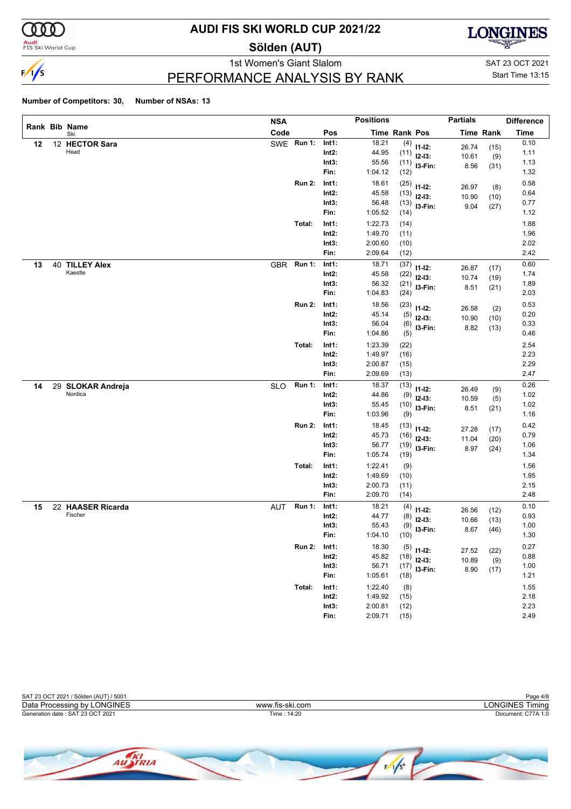

#### **Audi**<br>FIS Ski World Cup

### **AUDI FIS SKI WORLD CUP 2021/22**

**Sölden (AUT)**



PERFORMANCE ANALYSIS BY RANK

1st Women's Giant Slalom SAT 23 OCT 2021 Start Time 13:15

|    |                              | <b>NSA</b> |               |          | <b>Positions</b> |                      |              | <b>Partials</b> |                  | <b>Difference</b> |
|----|------------------------------|------------|---------------|----------|------------------|----------------------|--------------|-----------------|------------------|-------------------|
|    | Rank Bib Name<br>Ski         | Code       |               | Pos      |                  | <b>Time Rank Pos</b> |              |                 | <b>Time Rank</b> | <b>Time</b>       |
| 12 | 12 HECTOR Sara               |            | SWE Run 1:    | Int1:    | 18.21            | (4)                  | $11 - 12$ :  | 26.74           | (15)             | 0.10              |
|    | Head                         |            |               | $Int2$ : | 44.95            | (11)                 | $12-13:$     | 10.61           | (9)              | 1.11              |
|    |                              |            |               | Int3:    | 55.56            | (11)                 | I3-Fin:      | 8.56            | (31)             | 1.13              |
|    |                              |            |               | Fin:     | 1:04.12          | (12)                 |              |                 |                  | 1.32              |
|    |                              |            | <b>Run 2:</b> | Int1:    | 18.61            | (25)                 | $11 - 12$ :  | 26.97           | (8)              | 0.58              |
|    |                              |            |               | $Int2$ : | 45.58            | (13)                 | $12-13:$     | 10.90           | (10)             | 0.64              |
|    |                              |            |               | Int3:    | 56.48            | (13)                 | I3-Fin:      | 9.04            | (27)             | 0.77              |
|    |                              |            |               | Fin:     | 1:05.52          | (14)                 |              |                 |                  | 1.12              |
|    |                              |            | Total:        | Int1:    | 1:22.73          | (14)                 |              |                 |                  | 1.88              |
|    |                              |            |               | $Int2$ : | 1:49.70          | (11)                 |              |                 |                  | 1.96              |
|    |                              |            |               | Int3:    | 2:00.60          | (10)                 |              |                 |                  | 2.02              |
|    |                              |            |               | Fin:     | 2:09.64          | (12)                 |              |                 |                  | 2.42              |
| 13 | 40 TILLEY Alex               | <b>GBR</b> | <b>Run 1:</b> | Int1:    | 18.71            | (37)                 | $11 - 12$ :  | 26.87           | (17)             | 0.60              |
|    | Kaestle                      |            |               | $Int2$ : | 45.58            | (22)                 | $12-13:$     | 10.74           | (19)             | 1.74              |
|    |                              |            |               | Int3:    | 56.32            | (21)                 | I3-Fin:      | 8.51            | (21)             | 1.89              |
|    |                              |            |               | Fin:     | 1:04.83          | (24)                 |              |                 |                  | 2.03              |
|    |                              |            | <b>Run 2:</b> | Int1:    | 18.56            | (23)                 | $11 - 12$ :  | 26.58           | (2)              | 0.53              |
|    |                              |            |               | $Int2$ : | 45.14            | (5)                  | $12-13:$     | 10.90           | (10)             | 0.20              |
|    |                              |            |               | Int3:    | 56.04            | (6)                  | I3-Fin:      | 8.82            | (13)             | 0.33              |
|    |                              |            |               | Fin:     | 1:04.86          | (5)                  |              |                 |                  | 0.46              |
|    |                              |            | Total:        | Int1:    | 1:23.39          | (22)                 |              |                 |                  | 2.54              |
|    |                              |            |               | $Int2$ : | 1:49.97          | (16)                 |              |                 |                  | 2.23              |
|    |                              |            |               | Int3:    | 2:00.87          | (15)                 |              |                 |                  | 2.29              |
|    |                              |            |               | Fin:     | 2:09.69          | (13)                 |              |                 |                  | 2.47              |
| 14 | 29 SLOKAR Andreja            | <b>SLO</b> | <b>Run 1:</b> | Int1:    | 18.37            | (13)                 | $11 - 12$ :  | 26.49           | (9)              | 0.26              |
|    | Nordica                      |            |               | $Int2$ : | 44.86            | (9)                  | $12-13:$     | 10.59           | (5)              | 1.02              |
|    |                              |            |               | Int3:    | 55.45            | (10)                 | I3-Fin:      | 8.51            | (21)             | 1.02              |
|    |                              |            |               | Fin:     | 1:03.96          | (9)                  |              |                 |                  | 1.16              |
|    |                              |            | <b>Run 2:</b> | Int1:    | 18.45            | (13)                 | $11 - 12$ :  | 27.28           | (17)             | 0.42              |
|    |                              |            |               | $Int2$ : | 45.73            | (16)                 | $12-13:$     | 11.04           | (20)             | 0.79              |
|    |                              |            |               | Int3:    | 56.77            | (19)                 | I3-Fin:      | 8.97            | (24)             | 1.06              |
|    |                              |            |               | Fin:     | 1:05.74          | (19)                 |              |                 |                  | 1.34              |
|    |                              |            | Total:        | Int1:    | 1:22.41          | (9)                  |              |                 |                  | 1.56              |
|    |                              |            |               | $Int2$ : | 1:49.69          | (10)                 |              |                 |                  | 1.95              |
|    |                              |            |               | Int3:    | 2:00.73          | (11)                 |              |                 |                  | 2.15              |
|    |                              |            |               | Fin:     | 2:09.70          | (14)                 |              |                 |                  | 2.48              |
| 15 | 22 HAASER Ricarda<br>Fischer | AUT        | <b>Run 1:</b> | Int1:    | 18.21            | (4)                  | $11 - 12$ :  | 26.56           | (12)             | 0.10              |
|    |                              |            |               | Int2:    | 44.77            | (8)                  | $12 - 13:$   | 10.66           | (13)             | 0.93              |
|    |                              |            |               | Int3:    | 55.43            | (9)                  | I3-Fin:      | 8.67            | (46)             | 1.00              |
|    |                              |            |               | Fin:     | 1:04.10          | (10)                 |              |                 |                  | 1.30              |
|    |                              |            | <b>Run 2:</b> | Int1:    | 18.30            |                      | $(5)$ 11-12: | 27.52           | (22)             | 0.27              |
|    |                              |            |               | $Int2$ : | 45.82            | (18)                 | $12-13:$     | 10.89           | (9)              | 0.88              |
|    |                              |            |               | Int3:    | 56.71            | (17)                 | I3-Fin:      | 8.90            | (17)             | 1.00              |
|    |                              |            |               | Fin:     | 1:05.61          | (18)                 |              |                 |                  | 1.21              |
|    |                              |            | Total:        | Int1:    | 1:22.40          | (8)                  |              |                 |                  | 1.55              |
|    |                              |            |               | $Int2$ : | 1:49.92          | (15)                 |              |                 |                  | 2.18              |
|    |                              |            |               | Int3:    | 2:00.81          | (12)                 |              |                 |                  | 2.23              |
|    |                              |            |               | Fin:     | 2:09.71          | (15)                 |              |                 |                  | 2.49              |



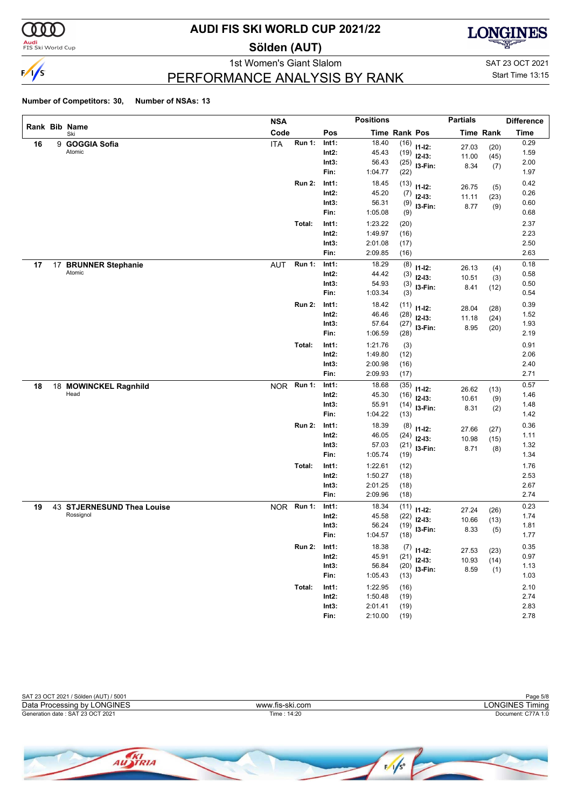

<mark>Audi</mark><br>FIS Ski World Cup

### **AUDI FIS SKI WORLD CUP 2021/22**

**Sölden (AUT)**



PERFORMANCE ANALYSIS BY RANK

1st Women's Giant Slalom SAT 23 OCT 2021 Start Time 13:15

|    |    |                            | <b>NSA</b> |               |          | <b>Positions</b> |               |               | <b>Partials</b> |                  | <b>Difference</b> |
|----|----|----------------------------|------------|---------------|----------|------------------|---------------|---------------|-----------------|------------------|-------------------|
|    |    | Rank Bib Name<br>Ski       | Code       |               | Pos      |                  | Time Rank Pos |               |                 | <b>Time Rank</b> | <b>Time</b>       |
| 16 |    | 9 GOGGIA Sofia             | <b>ITA</b> | <b>Run 1:</b> | Int1:    | 18.40            | (16)          | $11 - 12$ :   | 27.03           | (20)             | 0.29              |
|    |    | Atomic                     |            |               | $Int2$ : | 45.43            | (19)          | $12-13:$      | 11.00           | (45)             | 1.59              |
|    |    |                            |            |               | Int3:    | 56.43            | (25)          | I3-Fin:       | 8.34            | (7)              | 2.00              |
|    |    |                            |            |               | Fin:     | 1:04.77          | (22)          |               |                 |                  | 1.97              |
|    |    |                            |            | <b>Run 2:</b> | Int1:    | 18.45            | (13)          | $11 - 12$ :   | 26.75           | (5)              | 0.42              |
|    |    |                            |            |               | $Int2$ : | 45.20            | (7)           | $12-13:$      | 11.11           | (23)             | 0.26              |
|    |    |                            |            |               | Int3:    | 56.31            | (9)           | I3-Fin:       | 8.77            | (9)              | 0.60              |
|    |    |                            |            |               | Fin:     | 1:05.08          | (9)           |               |                 |                  | 0.68              |
|    |    |                            |            | Total:        | Int1:    | 1:23.22          | (20)          |               |                 |                  | 2.37              |
|    |    |                            |            |               | $Int2$ : | 1:49.97          | (16)          |               |                 |                  | 2.23              |
|    |    |                            |            |               | Int3:    | 2:01.08          | (17)          |               |                 |                  | 2.50              |
|    |    |                            |            |               | Fin:     | 2:09.85          | (16)          |               |                 |                  | 2.63              |
| 17 | 17 | <b>BRUNNER Stephanie</b>   | <b>AUT</b> | <b>Run 1:</b> | Int1:    | 18.29            | (8)           | $11 - 12$ :   | 26.13           | (4)              | 0.18              |
|    |    | Atomic                     |            |               | $Int2$ : | 44.42            | (3)           | $12-13:$      | 10.51           | (3)              | 0.58              |
|    |    |                            |            |               | Int3:    | 54.93            | (3)           | I3-Fin:       | 8.41            | (12)             | 0.50              |
|    |    |                            |            |               | Fin:     | 1:03.34          | (3)           |               |                 |                  | 0.54              |
|    |    |                            |            | <b>Run 2:</b> | Int1:    | 18.42            | (11)          | $11 - 12$ :   | 28.04           | (28)             | 0.39              |
|    |    |                            |            |               | $Int2$ : | 46.46            | (28)          | $12-13:$      | 11.18           | (24)             | 1.52              |
|    |    |                            |            |               | Int3:    | 57.64            | (27)          | I3-Fin:       | 8.95            | (20)             | 1.93              |
|    |    |                            |            |               | Fin:     | 1:06.59          | (28)          |               |                 |                  | 2.19              |
|    |    |                            |            | Total:        | Int1:    | 1:21.76          | (3)           |               |                 |                  | 0.91              |
|    |    |                            |            |               | $Int2$ : | 1:49.80          | (12)          |               |                 |                  | 2.06              |
|    |    |                            |            |               | Int3:    | 2:00.98          | (16)          |               |                 |                  | 2.40              |
|    |    |                            |            |               | Fin:     | 2:09.93          | (17)          |               |                 |                  | 2.71              |
| 18 |    | 18 MOWINCKEL Ragnhild      |            | NOR Run 1:    | Int1:    | 18.68            | (35)          | $11 - 12$ :   | 26.62           | (13)             | 0.57              |
|    |    | Head                       |            |               | $Int2$ : | 45.30            | (16)          | $12-13:$      | 10.61           | (9)              | 1.46              |
|    |    |                            |            |               | Int3:    | 55.91            | (14)          | I3-Fin:       | 8.31            | (2)              | 1.48              |
|    |    |                            |            |               | Fin:     | 1:04.22          | (13)          |               |                 |                  | 1.42              |
|    |    |                            |            | <b>Run 2:</b> | Int1:    | 18.39            | (8)           | $11 - 12$ :   | 27.66           | (27)             | 0.36              |
|    |    |                            |            |               | $Int2$ : | 46.05            | (24)          | $12-13:$      | 10.98           | (15)             | 1.11              |
|    |    |                            |            |               | Int3:    | 57.03            | (21)          | I3-Fin:       | 8.71            | (8)              | 1.32              |
|    |    |                            |            |               | Fin:     | 1:05.74          | (19)          |               |                 |                  | 1.34              |
|    |    |                            |            | Total:        | Int1:    | 1:22.61          | (12)          |               |                 |                  | 1.76              |
|    |    |                            |            |               | $Int2$ : | 1:50.27          | (18)          |               |                 |                  | 2.53              |
|    |    |                            |            |               | Int3:    | 2:01.25          | (18)          |               |                 |                  | 2.67              |
|    |    |                            |            |               | Fin:     | 2:09.96          | (18)          |               |                 |                  | 2.74              |
| 19 |    | 43 STJERNESUND Thea Louise |            | NOR Run 1:    | Int1:    | 18.34            | (11)          | $11 - 12$ :   | 27.24           | (26)             | 0.23              |
|    |    | Rossignol                  |            |               | Int2:    | 45.58            | (22)          | $12-13:$      | 10.66           | (13)             | 1.74              |
|    |    |                            |            |               | Int3:    | 56.24            | (19)          | I3-Fin:       | 8.33            | (5)              | 1.81              |
|    |    |                            |            |               | Fin:     | 1:04.57          | (18)          |               |                 |                  | 1.77              |
|    |    |                            |            | <b>Run 2:</b> | Int1:    | 18.38            |               | $(7)$ 11-12:  | 27.53           | (23)             | 0.35              |
|    |    |                            |            |               | $Int2$ : | 45.91            |               | $(21)$ 12-13: | 10.93           | (14)             | 0.97              |
|    |    |                            |            |               | Int3:    | 56.84            | (20)          | I3-Fin:       | 8.59            | (1)              | 1.13              |
|    |    |                            |            |               | Fin:     | 1:05.43          | (13)          |               |                 |                  | 1.03              |
|    |    |                            |            | Total:        | Int1:    | 1:22.95          | (16)          |               |                 |                  | 2.10              |
|    |    |                            |            |               | $Int2$ : | 1:50.48          | (19)          |               |                 |                  | 2.74              |
|    |    |                            |            |               | Int3:    | 2:01.41          | (19)          |               |                 |                  | 2.83              |
|    |    |                            |            |               | Fin:     | 2:10.00          | (19)          |               |                 |                  | 2.78              |

| SAT 23 OCT 2021 / Sölden (AUT) / 5001 |                 | Page 5/8           |  |  |  |  |
|---------------------------------------|-----------------|--------------------|--|--|--|--|
| Data Processing by LONGINES           | www.fis-ski.com | LONGINES Timina    |  |  |  |  |
| Generation date: SAT 23 OCT 2021      | Time: 14:20     | Document: C77A 1.0 |  |  |  |  |
|                                       |                 |                    |  |  |  |  |
|                                       |                 |                    |  |  |  |  |

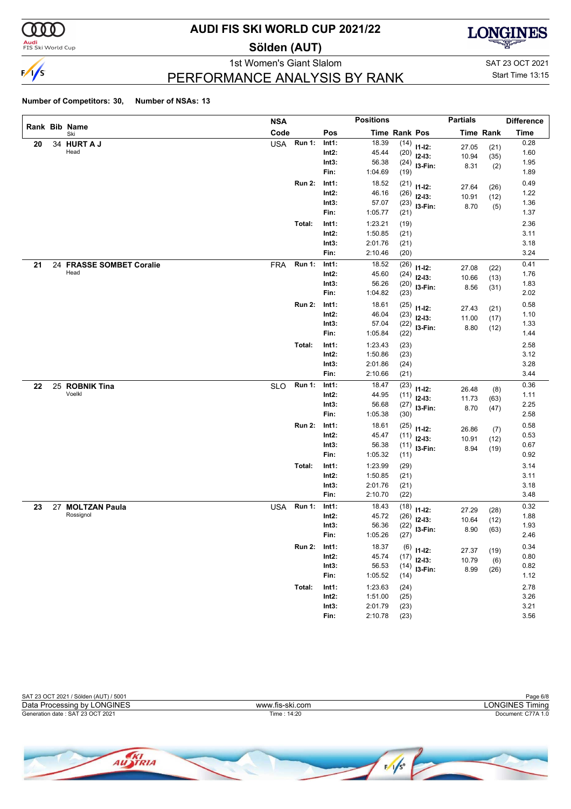

**Audi**<br>FIS Ski World Cup

### **AUDI FIS SKI WORLD CUP 2021/22**

**Sölden (AUT)**



PERFORMANCE ANALYSIS BY RANK

1st Women's Giant Slalom SAT 23 OCT 2021 Start Time 13:15

|    |                          | <b>NSA</b> |               |                   | <b>Positions</b> |               |                         | <b>Partials</b> |                  | <b>Difference</b> |
|----|--------------------------|------------|---------------|-------------------|------------------|---------------|-------------------------|-----------------|------------------|-------------------|
|    | Rank Bib Name<br>Ski     | Code       |               | Pos               |                  | Time Rank Pos |                         |                 | <b>Time Rank</b> | <b>Time</b>       |
| 20 | 34 HURT A J              | <b>USA</b> | <b>Run 1:</b> | Int1:             | 18.39            | (14)          | $11 - 12$ :             | 27.05           | (21)             | 0.28              |
|    | Head                     |            |               | $Int2$ :          | 45.44            | (20)          | $12-13:$                | 10.94           | (35)             | 1.60              |
|    |                          |            |               | Int3:             | 56.38            |               | $(24)$ 13-Fin:          | 8.31            | (2)              | 1.95              |
|    |                          |            |               | Fin:              | 1:04.69          | (19)          |                         |                 |                  | 1.89              |
|    |                          |            | <b>Run 2:</b> | Int1:             | 18.52            | (21)          | $11 - 12$ :             | 27.64           | (26)             | 0.49              |
|    |                          |            |               | $Int2$ :          | 46.16            | (26)          | $12-13:$                | 10.91           | (12)             | 1.22              |
|    |                          |            |               | Int3:             | 57.07            |               | $(23)$ 13-Fin:          | 8.70            | (5)              | 1.36              |
|    |                          |            |               | Fin:              | 1:05.77          | (21)          |                         |                 |                  | 1.37              |
|    |                          |            | Total:        | Int1:             | 1:23.21          | (19)          |                         |                 |                  | 2.36              |
|    |                          |            |               | $Int2$ :          | 1:50.85          | (21)          |                         |                 |                  | 3.11              |
|    |                          |            |               | Int3:             | 2:01.76          | (21)          |                         |                 |                  | 3.18              |
|    |                          |            |               | Fin:              | 2:10.46          | (20)          |                         |                 |                  | 3.24              |
| 21 | 24 FRASSE SOMBET Coralie | <b>FRA</b> | <b>Run 1:</b> | Int1:             | 18.52            | (26)          | $11 - 12$ :             |                 |                  | 0.41              |
|    | Head                     |            |               | Int2:             | 45.60            | (24)          | $12-13:$                | 27.08<br>10.66  | (22)             | 1.76              |
|    |                          |            |               | Int3:             | 56.26            | (20)          | I3-Fin:                 | 8.56            | (13)<br>(31)     | 1.83              |
|    |                          |            |               | Fin:              | 1:04.82          | (23)          |                         |                 |                  | 2.02              |
|    |                          |            | <b>Run 2:</b> | Int1:             | 18.61            | (25)          |                         |                 |                  | 0.58              |
|    |                          |            |               | $Int2$ :          | 46.04            | (23)          | $11 - 12$ :<br>$12-13:$ | 27.43           | (21)             | 1.10              |
|    |                          |            |               | Int3:             | 57.04            | (22)          | I3-Fin:                 | 11.00           | (17)             | 1.33              |
|    |                          |            |               | Fin:              | 1:05.84          | (22)          |                         | 8.80            | (12)             | 1.44              |
|    |                          |            | Total:        | Int1:             | 1:23.43          | (23)          |                         |                 |                  | 2.58              |
|    |                          |            |               | Int2:             | 1:50.86          | (23)          |                         |                 |                  | 3.12              |
|    |                          |            |               | Int3:             | 2:01.86          | (24)          |                         |                 |                  | 3.28              |
|    |                          |            |               | Fin:              | 2:10.66          | (21)          |                         |                 |                  | 3.44              |
| 22 | 25 ROBNIK Tina           | <b>SLO</b> | <b>Run 1:</b> | Int1:             | 18.47            | (23)          |                         |                 |                  | 0.36              |
|    | Voelkl                   |            |               | $Int2$ :          | 44.95            | (11)          | $11 - 12$ :             | 26.48           | (8)              | 1.11              |
|    |                          |            |               | Int3:             | 56.68            | (27)          | $12-13:$                | 11.73           | (63)             | 2.25              |
|    |                          |            |               | Fin:              | 1:05.38          | (30)          | I3-Fin:                 | 8.70            | (47)             | 2.58              |
|    |                          |            | <b>Run 2:</b> | Int1:             | 18.61            | (25)          |                         |                 |                  | 0.58              |
|    |                          |            |               | Int2:             | 45.47            | (11)          | $11 - 12$ :             | 26.86           | (7)              | 0.53              |
|    |                          |            |               | Int3:             | 56.38            | (11)          | $12-13:$                | 10.91           | (12)             | 0.67              |
|    |                          |            |               | Fin:              | 1:05.32          | (11)          | I3-Fin:                 | 8.94            | (19)             | 0.92              |
|    |                          |            | Total:        | Int1:             | 1:23.99          | (29)          |                         |                 |                  | 3.14              |
|    |                          |            |               | $Int2$ :          | 1:50.85          | (21)          |                         |                 |                  | 3.11              |
|    |                          |            |               | Int3:             | 2:01.76          | (21)          |                         |                 |                  | 3.18              |
|    |                          |            |               | Fin:              | 2:10.70          | (22)          |                         |                 |                  | 3.48              |
| 23 | 27 MOLTZAN Paula         | <b>USA</b> | <b>Run 1:</b> | Int1:             | 18.43            | (18)          |                         |                 |                  | 0.32              |
|    | Rossignol                |            |               | Int2:             | 45.72            | (26)          | $11 - 12$ :             | 27.29           | (28)             | 1.88              |
|    |                          |            |               | Int3:             | 56.36            | (22)          | $12-13:$                | 10.64           | (12)             | 1.93              |
|    |                          |            |               | Fin:              | 1:05.26          | (27)          | I3-Fin:                 | 8.90            | (63)             | 2.46              |
|    |                          |            | <b>Run 2:</b> |                   | 18.37            |               |                         |                 |                  | 0.34              |
|    |                          |            |               | Int1:<br>$Int2$ : | 45.74            | (17)          | $(6)$ 11-12:            | 27.37           | (19)             | 0.80              |
|    |                          |            |               | Int3:             | 56.53            |               | $12-13:$                | 10.79           | (6)              | 0.82              |
|    |                          |            |               | Fin:              | 1:05.52          | (14)          | $(14)$ 13-Fin:          | 8.99            | (26)             | 1.12              |
|    |                          |            |               |                   | 1:23.63          |               |                         |                 |                  | 2.78              |
|    |                          |            | Total:        | Int1:<br>$Int2$ : | 1:51.00          | (24)          |                         |                 |                  | 3.26              |
|    |                          |            |               | Int3:             | 2:01.79          | (25)<br>(23)  |                         |                 |                  | 3.21              |
|    |                          |            |               | Fin:              | 2:10.78          | (23)          |                         |                 |                  | 3.56              |
|    |                          |            |               |                   |                  |               |                         |                 |                  |                   |



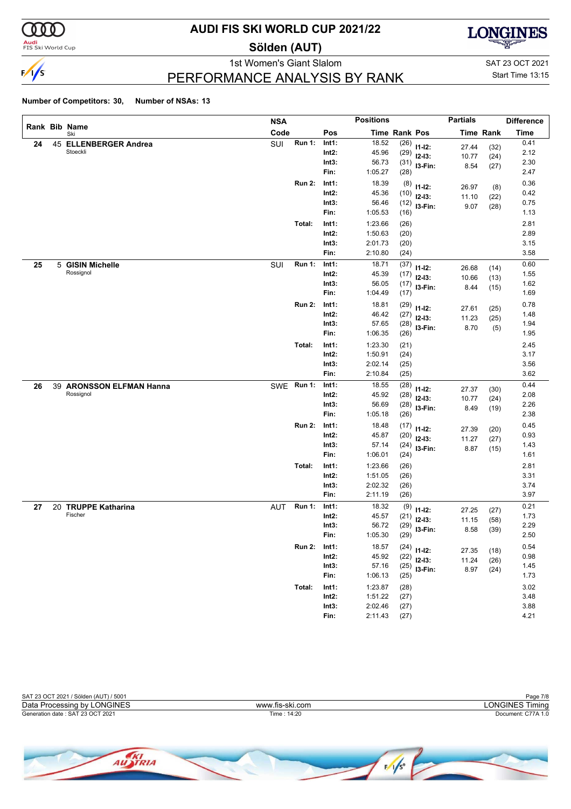

<mark>Audi</mark><br>FIS Ski World Cup

### **AUDI FIS SKI WORLD CUP 2021/22**

**Sölden (AUT)**



PERFORMANCE ANALYSIS BY RANK

1st Women's Giant Slalom SAT 23 OCT 2021 Start Time 13:15

|    |   |                          | <b>NSA</b> |               |          | <b>Positions</b> |                      |                         | <b>Partials</b> |                  | <b>Difference</b> |
|----|---|--------------------------|------------|---------------|----------|------------------|----------------------|-------------------------|-----------------|------------------|-------------------|
|    |   | Rank Bib Name<br>Ski     | Code       |               | Pos      |                  | <b>Time Rank Pos</b> |                         |                 | <b>Time Rank</b> | <b>Time</b>       |
| 24 |   | 45 ELLENBERGER Andrea    | SUI        | <b>Run 1:</b> | Int1:    | 18.52            | (26)                 | $11 - 12$ :             | 27.44           | (32)             | 0.41              |
|    |   | Stoeckli                 |            |               | $Int2$ : | 45.96            | (29)                 | $12-13:$                | 10.77           | (24)             | 2.12              |
|    |   |                          |            |               | Int3:    | 56.73            | (31)                 | I3-Fin:                 | 8.54            | (27)             | 2.30              |
|    |   |                          |            |               | Fin:     | 1:05.27          | (28)                 |                         |                 |                  | 2.47              |
|    |   |                          |            | <b>Run 2:</b> | Int1:    | 18.39            | (8)                  | $11 - 12$ :             | 26.97           | (8)              | 0.36              |
|    |   |                          |            |               | $Int2$ : | 45.36            | (10)                 | $12-13:$                | 11.10           | (22)             | 0.42              |
|    |   |                          |            |               | Int3:    | 56.46            | (12)                 | I3-Fin:                 | 9.07            | (28)             | 0.75              |
|    |   |                          |            |               | Fin:     | 1:05.53          | (16)                 |                         |                 |                  | 1.13              |
|    |   |                          |            | Total:        | Int1:    | 1:23.66          | (26)                 |                         |                 |                  | 2.81              |
|    |   |                          |            |               | $Int2$ : | 1:50.63          | (20)                 |                         |                 |                  | 2.89              |
|    |   |                          |            |               | Int3:    | 2:01.73          | (20)                 |                         |                 |                  | 3.15              |
|    |   |                          |            |               | Fin:     | 2:10.80          | (24)                 |                         |                 |                  | 3.58              |
| 25 | 5 | <b>GISIN Michelle</b>    | SUI        | <b>Run 1:</b> | Int1:    | 18.71            | (37)                 | $11 - 12$ :             | 26.68           | (14)             | 0.60              |
|    |   | Rossignol                |            |               | Int2:    | 45.39            | (17)                 | $12-13:$                | 10.66           | (13)             | 1.55              |
|    |   |                          |            |               | Int3:    | 56.05            | (17)                 | I3-Fin:                 | 8.44            | (15)             | 1.62              |
|    |   |                          |            |               | Fin:     | 1:04.49          | (17)                 |                         |                 |                  | 1.69              |
|    |   |                          |            | <b>Run 2:</b> | Int1:    | 18.81            | (29)                 | $11 - 12$ :             |                 |                  | 0.78              |
|    |   |                          |            |               | $Int2$ : | 46.42            | (27)                 | $12-13:$                | 27.61<br>11.23  | (25)             | 1.48              |
|    |   |                          |            |               | Int3:    | 57.65            | (28)                 | I3-Fin:                 | 8.70            | (25)<br>(5)      | 1.94              |
|    |   |                          |            |               | Fin:     | 1:06.35          | (26)                 |                         |                 |                  | 1.95              |
|    |   |                          |            | Total:        | Int1:    | 1:23.30          | (21)                 |                         |                 |                  | 2.45              |
|    |   |                          |            |               | $Int2$ : | 1:50.91          | (24)                 |                         |                 |                  | 3.17              |
|    |   |                          |            |               | Int3:    | 2:02.14          | (25)                 |                         |                 |                  | 3.56              |
|    |   |                          |            |               | Fin:     | 2:10.84          | (25)                 |                         |                 |                  | 3.62              |
| 26 |   | 39 ARONSSON ELFMAN Hanna |            | SWE Run 1:    | Int1:    | 18.55            | (28)                 |                         |                 |                  | 0.44              |
|    |   | Rossignol                |            |               | $Int2$ : | 45.92            | (28)                 | $11 - 12$ :<br>$12-13:$ | 27.37           | (30)             | 2.08              |
|    |   |                          |            |               | Int3:    | 56.69            | (28)                 | I3-Fin:                 | 10.77           | (24)             | 2.26              |
|    |   |                          |            |               | Fin:     | 1:05.18          | (26)                 |                         | 8.49            | (19)             | 2.38              |
|    |   |                          |            | <b>Run 2:</b> | Int1:    | 18.48            | (17)                 |                         |                 |                  | 0.45              |
|    |   |                          |            |               | Int2:    | 45.87            | (20)                 | $11 - 12$ :<br>$12-13:$ | 27.39           | (20)             | 0.93              |
|    |   |                          |            |               | Int3:    | 57.14            | (24)                 | I3-Fin:                 | 11.27           | (27)             | 1.43              |
|    |   |                          |            |               | Fin:     | 1:06.01          | (24)                 |                         | 8.87            | (15)             | 1.61              |
|    |   |                          |            | Total:        | Int1:    | 1:23.66          | (26)                 |                         |                 |                  | 2.81              |
|    |   |                          |            |               | $Int2$ : | 1:51.05          | (26)                 |                         |                 |                  | 3.31              |
|    |   |                          |            |               | Int3:    | 2:02.32          | (26)                 |                         |                 |                  | 3.74              |
|    |   |                          |            |               | Fin:     | 2:11.19          | (26)                 |                         |                 |                  | 3.97              |
| 27 |   | 20 TRUPPE Katharina      | <b>AUT</b> | <b>Run 1:</b> | Int1:    | 18.32            | (9)                  |                         |                 |                  | 0.21              |
|    |   | Fischer                  |            |               | Int2:    | 45.57            | (21)                 | $11 - 12$ :             | 27.25           | (27)             | 1.73              |
|    |   |                          |            |               | Int3:    | 56.72            | (29)                 | $12-13:$                | 11.15           | (58)             | 2.29              |
|    |   |                          |            |               | Fin:     | 1:05.30          | (29)                 | I3-Fin:                 | 8.58            | (39)             | 2.50              |
|    |   |                          |            | <b>Run 2:</b> | Int1:    | 18.57            |                      |                         |                 |                  | 0.54              |
|    |   |                          |            |               | $Int2$ : | 45.92            | (22)                 | $(24)$ 11-12:           | 27.35           | (18)             | 0.98              |
|    |   |                          |            |               | Int3:    | 57.16            |                      | $12-13:$                | 11.24           | (26)             | 1.45              |
|    |   |                          |            |               | Fin:     | 1:06.13          | (25)                 | $(25)$ 13-Fin:          | 8.97            | (24)             | 1.73              |
|    |   |                          |            | Total:        | Int1:    | 1:23.87          | (28)                 |                         |                 |                  | 3.02              |
|    |   |                          |            |               | $Int2$ : | 1:51.22          | (27)                 |                         |                 |                  | 3.48              |
|    |   |                          |            |               | Int3:    | 2:02.46          | (27)                 |                         |                 |                  | 3.88              |
|    |   |                          |            |               | Fin:     | 2:11.43          | (27)                 |                         |                 |                  | 4.21              |
|    |   |                          |            |               |          |                  |                      |                         |                 |                  |                   |

| SAT 23 OCT 2021 / Sölden (AUT) / 5001 |                 | Page 7/8           |
|---------------------------------------|-----------------|--------------------|
| Data Processing by LONGINES           | www.fis-ski.com | LONGINES Timina    |
| Generation date: SAT 23 OCT 2021      | Time: 14:20     | Document: C77A 1.0 |
|                                       |                 |                    |

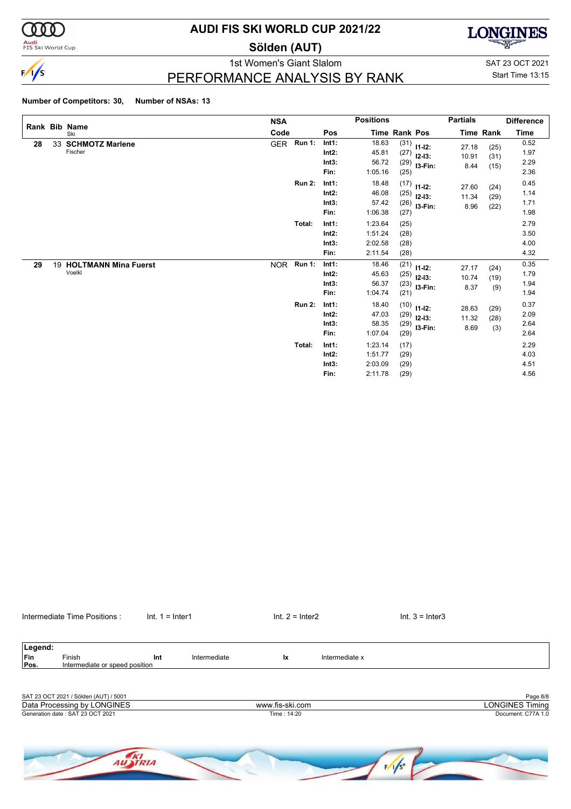

**Audi**<br>FIS Ski World Cup

### **AUDI FIS SKI WORLD CUP 2021/22**

**Sölden (AUT)**



PERFORMANCE ANALYSIS BY RANK

1st Women's Giant Slalom SAT 23 OCT 2021 Start Time 13:15

#### **Number of Competitors: 30, Number of NSAs: 13**

|    |                                   | <b>NSA</b> |               |                                    | <b>Positions</b>                         |                              |                                                       | <b>Partials</b>        |                      | <b>Difference</b>            |
|----|-----------------------------------|------------|---------------|------------------------------------|------------------------------------------|------------------------------|-------------------------------------------------------|------------------------|----------------------|------------------------------|
|    | Rank Bib Name<br>Ski              | Code       |               | Pos                                |                                          | Time Rank Pos                |                                                       |                        | Time Rank            | Time                         |
| 28 | 33 SCHMOTZ Marlene<br>Fischer     | <b>GER</b> | <b>Run 1:</b> | Int1:<br>Int2:<br>Int3:<br>Fin:    | 18.63<br>45.81<br>56.72<br>1:05.16       | (25)                         | $(31)$ 11-12:<br>$(27)$ 12-13:<br>$(29)$ 13-Fin:      | 27.18<br>10.91<br>8.44 | (25)<br>(31)<br>(15) | 0.52<br>1.97<br>2.29<br>2.36 |
|    |                                   |            | <b>Run 2:</b> | Int1:<br>$Int2$ :<br>Int3:<br>Fin: | 18.48<br>46.08<br>57.42<br>1:06.38       | (25)<br>(27)                 | $(17)$ 11-12:<br>$12 - 13:$<br>$(26)$ 13-Fin:         | 27.60<br>11.34<br>8.96 | (24)<br>(29)<br>(22) | 0.45<br>1.14<br>1.71<br>1.98 |
|    |                                   |            | Total:        | Int1:<br>Int2:<br>Int3:<br>Fin:    | 1:23.64<br>1:51.24<br>2:02.58<br>2:11.54 | (25)<br>(28)<br>(28)<br>(28) |                                                       |                        |                      | 2.79<br>3.50<br>4.00<br>4.32 |
| 29 | 19 HOLTMANN Mina Fuerst<br>Voelkl | <b>NOR</b> | <b>Run 1:</b> | Int1:<br>Int2:<br>Int3:<br>Fin:    | 18.46<br>45.63<br>56.37<br>1:04.74       | (21)                         | $\sqrt{21}$ 11-12:<br>$(25)$ 12-13:<br>$(23)$ 13-Fin: | 27.17<br>10.74<br>8.37 | (24)<br>(19)<br>(9)  | 0.35<br>1.79<br>1.94<br>1.94 |
|    |                                   |            | <b>Run 2:</b> | Int1:<br>Int2:<br>Int3:<br>Fin:    | 18.40<br>47.03<br>58.35<br>1:07.04       | (29)                         | $(10)$ 11-12:<br>$(29)$ 12-13:<br>$(29)$ 13-Fin:      | 28.63<br>11.32<br>8.69 | (29)<br>(28)<br>(3)  | 0.37<br>2.09<br>2.64<br>2.64 |
|    |                                   |            | Total:        | Int1:<br>Int2:<br>Int3:<br>Fin:    | 1:23.14<br>1:51.77<br>2:03.09<br>2:11.78 | (17)<br>(29)<br>(29)<br>(29) |                                                       |                        |                      | 2.29<br>4.03<br>4.51<br>4.56 |

| Legend: |                                       |     |              |                 |                |                        |
|---------|---------------------------------------|-----|--------------|-----------------|----------------|------------------------|
| Fin     | Finish                                | Int | Intermediate | Ιx              | Intermediate x |                        |
| Pos.    | Intermediate or speed position        |     |              |                 |                |                        |
|         |                                       |     |              |                 |                |                        |
|         |                                       |     |              |                 |                |                        |
|         | SAT 23 OCT 2021 / Sölden (AUT) / 5001 |     |              |                 |                | Page 8/8               |
|         | Data Processing by LONGINES           |     |              | www.fis-ski.com |                | <b>LONGINES Timing</b> |
|         | Generation date: SAT 23 OCT 2021      |     |              | Time: 14:20     |                | Document: C77A 1.0     |

Intermediate Time Positions : Int. 1 = Inter1 Internetiate Time Positions : Int. 1 = Inter1 Int. 2 = Inter2 Int. 3 = Inter3

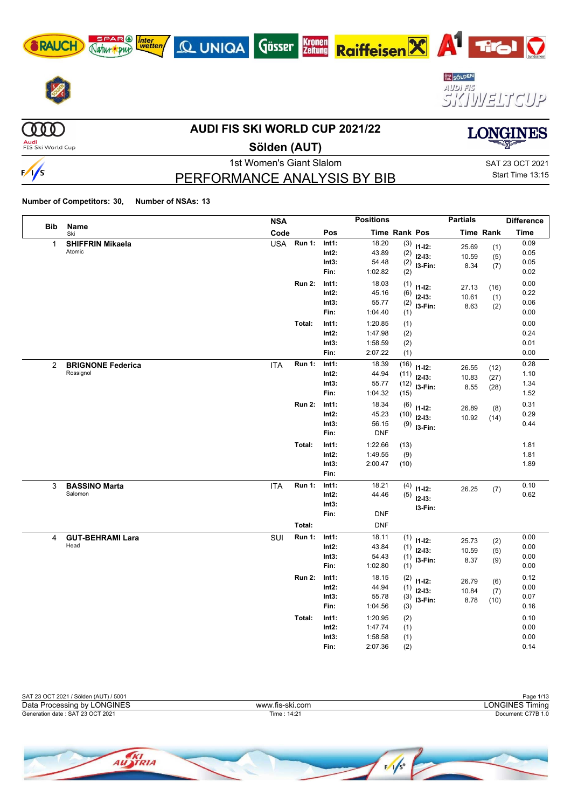









 $\begin{array}{c} 0 & 0 & 0 \end{array}$ 

 $\frac{1}{s}$ 

### **AUDI FIS SKI WORLD CUP 2021/22**

**Audi**<br>FIS Ski World Cup

### **Sölden (AUT)**

PERFORMANCE ANALYSIS BY BIB

**Kronen**<br>Zeitung

1st Women's Giant Slalom Sattle School and SAT 23 OCT 2021 Start Time 13:15

**LONGINES** 

**Number of Competitors: 30, Number of NSAs: 13**

AUSTRIA

SPAR (A) *Inter*<br>Jatur (Dur) wetten

Natur pur

|                |                                       | <b>NSA</b> |                         |                                    | <b>Positions</b>                                 |                                                                      | <b>Partials</b>        |                      | <b>Difference</b>            |
|----------------|---------------------------------------|------------|-------------------------|------------------------------------|--------------------------------------------------|----------------------------------------------------------------------|------------------------|----------------------|------------------------------|
| <b>Bib</b>     | Name<br>Ski                           | Code       |                         | Pos                                |                                                  | Time Rank Pos                                                        |                        | <b>Time Rank</b>     | <b>Time</b>                  |
| $\mathbf{1}$   | <b>SHIFFRIN Mikaela</b><br>Atomic     |            | USA Run 1:              | Int1:<br>$Int2$ :<br>Int3:<br>Fin: | 18.20<br>43.89<br>54.48<br>1:02.82               | $(3)$ 11-12:<br>(2)<br>$12-13:$<br>(2)<br>I3-Fin:<br>(2)             | 25.69<br>10.59<br>8.34 | (1)<br>(5)<br>(7)    | 0.09<br>0.05<br>0.05<br>0.02 |
|                |                                       |            | <b>Run 2:</b>           | Int1:<br>$Int2$ :<br>Int3:<br>Fin: | 18.03<br>45.16<br>55.77<br>1:04.40               | $(1)$ 11-12:<br>(6)<br>$12-13:$<br>(2)<br>$13-Fin:$<br>(1)           | 27.13<br>10.61<br>8.63 | (16)<br>(1)<br>(2)   | 0.00<br>0.22<br>0.06<br>0.00 |
|                |                                       |            | Total:                  | Int1:<br>$Int2$ :<br>Int3:<br>Fin: | 1:20.85<br>1:47.98<br>1:58.59<br>2:07.22         | (1)<br>(2)<br>(2)<br>(1)                                             |                        |                      | 0.00<br>0.24<br>0.01<br>0.00 |
| $\overline{2}$ | <b>BRIGNONE Federica</b><br>Rossignol | <b>ITA</b> | <b>Run 1:</b>           | Int1:<br>$Int2$ :<br>Int3:<br>Fin: | 18.39<br>44.94<br>55.77<br>1:04.32               | (16)<br>$11 - 12$ :<br>(11)<br>$12-13:$<br>(12)<br>$13-Fin:$<br>(15) | 26.55<br>10.83<br>8.55 | (12)<br>(27)<br>(28) | 0.28<br>1.10<br>1.34<br>1.52 |
|                |                                       |            | <b>Run 2:</b>           | Int1:<br>$Int2$ :<br>Int3:<br>Fin: | 18.34<br>45.23<br>56.15<br><b>DNF</b>            | $(6)$ 11-12:<br>(10)<br>$12-13:$<br>$(9)$ 13-Fin:                    | 26.89<br>10.92         | (8)<br>(14)          | 0.31<br>0.29<br>0.44         |
|                |                                       |            | Total:                  | Int1:<br>$Int2$ :<br>Int3:<br>Fin: | 1:22.66<br>1:49.55<br>2:00.47                    | (13)<br>(9)<br>(10)                                                  |                        |                      | 1.81<br>1.81<br>1.89         |
| 3              | <b>BASSINO Marta</b><br>Salomon       | <b>ITA</b> | <b>Run 1:</b>           | Int1:<br>$Int2$ :<br>Int3:<br>Fin: | 18.21<br>44.46<br><b>DNF</b>                     | (4)<br>$11 - 12$ :<br>$(5)$ 12-13:<br>I3-Fin:                        | 26.25                  | (7)                  | 0.10<br>0.62                 |
| 4              | <b>GUT-BEHRAMI Lara</b><br>Head       | SUI        | Total:<br><b>Run 1:</b> | Int1:<br>$Int2$ :<br>Int3:<br>Fin: | <b>DNF</b><br>18.11<br>43.84<br>54.43<br>1:02.80 | $(1)$ 11-12:<br>(1)<br>$12 - 13:$<br>(1)<br>$13-Fin:$<br>(1)         | 25.73<br>10.59<br>8.37 | (2)<br>(5)<br>(9)    | 0.00<br>0.00<br>0.00<br>0.00 |
|                |                                       |            | <b>Run 2:</b>           | Int1:<br>$Int2$ :<br>Int3:<br>Fin: | 18.15<br>44.94<br>55.78<br>1:04.56               | (2)<br>$11-12:$<br>(1)<br>$12-13:$<br>(3)<br>I3-Fin:<br>(3)          | 26.79<br>10.84<br>8.78 | (6)<br>(7)<br>(10)   | 0.12<br>0.00<br>0.07<br>0.16 |
|                |                                       |            | Total:                  | Int1:<br>Int2:<br>Int3:<br>Fin:    | 1:20.95<br>1:47.74<br>1:58.58<br>2:07.36         | (2)<br>(1)<br>(1)<br>(2)                                             |                        |                      | 0.10<br>0.00<br>0.00<br>0.14 |



 $\sqrt{s}$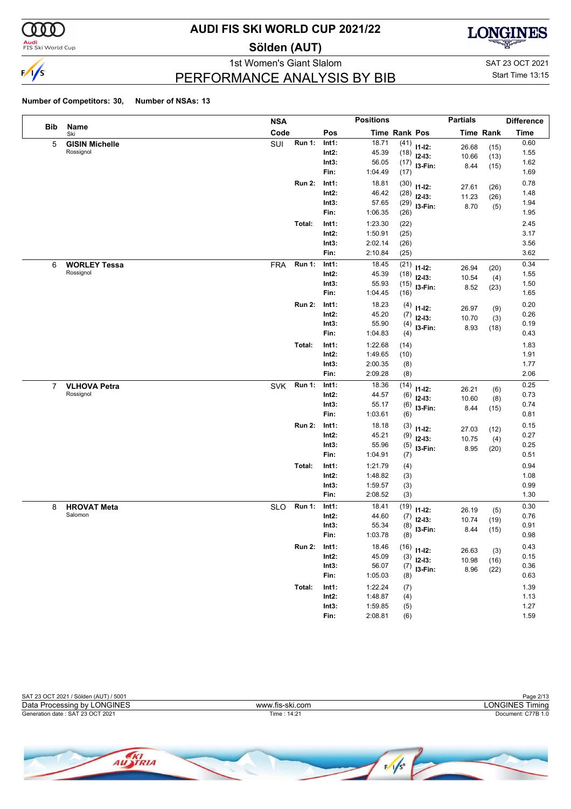

<mark>Audi</mark><br>FIS Ski World Cup

### **AUDI FIS SKI WORLD CUP 2021/22**

**Sölden (AUT)**



PERFORMANCE ANALYSIS BY BIB

1st Women's Giant Slalom SAT 23 OCT 2021 Start Time 13:15

|                |                       | <b>NSA</b> |               |          | <b>Positions</b> |      |               | <b>Partials</b> |                  | <b>Difference</b> |
|----------------|-----------------------|------------|---------------|----------|------------------|------|---------------|-----------------|------------------|-------------------|
| <b>Bib</b>     | Name<br>Ski           | Code       |               | Pos      | Time Rank Pos    |      |               |                 | <b>Time Rank</b> | <b>Time</b>       |
| 5              | <b>GISIN Michelle</b> | SUI        | <b>Run 1:</b> | Int1:    | 18.71            | (41) | $11 - 12$ :   | 26.68           | (15)             | 0.60              |
|                | Rossignol             |            |               | $Int2$ : | 45.39            | (18) | $12-13:$      | 10.66           | (13)             | 1.55              |
|                |                       |            |               | Int3:    | 56.05            | (17) | I3-Fin:       | 8.44            | (15)             | 1.62              |
|                |                       |            |               | Fin:     | 1:04.49          | (17) |               |                 |                  | 1.69              |
|                |                       |            | <b>Run 2:</b> | Int1:    | 18.81            | (30) | $11 - 12$ :   | 27.61           | (26)             | 0.78              |
|                |                       |            |               | $Int2$ : | 46.42            | (28) | $12-13:$      | 11.23           | (26)             | 1.48              |
|                |                       |            |               | Int3:    | 57.65            | (29) | I3-Fin:       | 8.70            | (5)              | 1.94              |
|                |                       |            |               | Fin:     | 1:06.35          | (26) |               |                 |                  | 1.95              |
|                |                       |            | Total:        | Int1:    | 1:23.30          | (22) |               |                 |                  | 2.45              |
|                |                       |            |               | $Int2$ : | 1:50.91          | (25) |               |                 |                  | 3.17              |
|                |                       |            |               | Int3:    | 2:02.14          | (26) |               |                 |                  | 3.56              |
|                |                       |            |               | Fin:     | 2:10.84          | (25) |               |                 |                  | 3.62              |
| 6              | <b>WORLEY Tessa</b>   | <b>FRA</b> | <b>Run 1:</b> | Int1:    | 18.45            | (21) | $11 - 12$ :   | 26.94           | (20)             | 0.34              |
|                | Rossignol             |            |               | $Int2$ : | 45.39            | (18) | $12-13:$      | 10.54           | (4)              | 1.55              |
|                |                       |            |               | Int3:    | 55.93            | (15) | I3-Fin:       | 8.52            | (23)             | 1.50              |
|                |                       |            |               | Fin:     | 1:04.45          | (16) |               |                 |                  | 1.65              |
|                |                       |            | <b>Run 2:</b> | Int1:    | 18.23            | (4)  | $11 - 12$ :   | 26.97           | (9)              | 0.20              |
|                |                       |            |               | $Int2$ : | 45.20            | (7)  | $12 - 13$ :   | 10.70           | (3)              | 0.26              |
|                |                       |            |               | Int3:    | 55.90            | (4)  | I3-Fin:       | 8.93            | (18)             | 0.19              |
|                |                       |            |               | Fin:     | 1:04.83          | (4)  |               |                 |                  | 0.43              |
|                |                       |            | Total:        | Int1:    | 1:22.68          | (14) |               |                 |                  | 1.83              |
|                |                       |            |               | $Int2$ : | 1:49.65          | (10) |               |                 |                  | 1.91              |
|                |                       |            |               | Int3:    | 2:00.35          | (8)  |               |                 |                  | 1.77              |
|                |                       |            |               | Fin:     | 2:09.28          | (8)  |               |                 |                  | 2.06              |
| $\overline{7}$ | <b>VLHOVA Petra</b>   | SVK        | <b>Run 1:</b> | Int1:    | 18.36            | (14) | $11 - 12$ :   | 26.21           | (6)              | 0.25              |
|                | Rossignol             |            |               | $Int2$ : | 44.57            | (6)  | $12-13:$      | 10.60           | (8)              | 0.73              |
|                |                       |            |               | Int3:    | 55.17            | (6)  | I3-Fin:       | 8.44            | (15)             | 0.74              |
|                |                       |            |               | Fin:     | 1:03.61          | (6)  |               |                 |                  | 0.81              |
|                |                       |            | <b>Run 2:</b> | Int1:    | 18.18            | (3)  | $11 - 12$ :   | 27.03           | (12)             | 0.15              |
|                |                       |            |               | $Int2$ : | 45.21            | (9)  | $12-13:$      | 10.75           | (4)              | 0.27              |
|                |                       |            |               | Int3:    | 55.96            | (5)  | I3-Fin:       | 8.95            | (20)             | 0.25              |
|                |                       |            |               | Fin:     | 1:04.91          | (7)  |               |                 |                  | 0.51              |
|                |                       |            | Total:        | Int1:    | 1:21.79          | (4)  |               |                 |                  | 0.94              |
|                |                       |            |               | $Int2$ : | 1:48.82          | (3)  |               |                 |                  | 1.08              |
|                |                       |            |               | Int3:    | 1:59.57          | (3)  |               |                 |                  | 0.99              |
|                |                       |            |               | Fin:     | 2:08.52          | (3)  |               |                 |                  | 1.30              |
| 8              | <b>HROVAT Meta</b>    | <b>SLO</b> | <b>Run 1:</b> | Int1:    | 18.41            | (19) | $11 - 12$ :   | 26.19           | (5)              | 0.30              |
|                | Salomon               |            |               | Int2:    | 44.60            | (7)  | $12 - 13:$    | 10.74           | (19)             | 0.76              |
|                |                       |            |               | Int3:    | 55.34            | (8)  | I3-Fin:       | 8.44            | (15)             | 0.91              |
|                |                       |            |               | Fin:     | 1:03.78          | (8)  |               |                 |                  | 0.98              |
|                |                       |            | <b>Run 2:</b> | Int1:    | 18.46            |      | $(16)$ 11-12: | 26.63           | (3)              | 0.43              |
|                |                       |            |               | $Int2$ : | 45.09            | (3)  | $12-13:$      | 10.98           | (16)             | 0.15              |
|                |                       |            |               | Int3:    | 56.07            | (7)  | $13-Fin:$     | 8.96            | (22)             | 0.36              |
|                |                       |            |               | Fin:     | 1:05.03          | (8)  |               |                 |                  | 0.63              |
|                |                       |            | Total:        | Int1:    | 1:22.24          | (7)  |               |                 |                  | 1.39              |
|                |                       |            |               | $Int2$ : | 1:48.87          | (4)  |               |                 |                  | 1.13              |
|                |                       |            |               | Int3:    | 1:59.85          | (5)  |               |                 |                  | 1.27              |
|                |                       |            |               | Fin:     | 2:08.81          | (6)  |               |                 |                  | 1.59              |

| SAT 23 OCT 2021 / Sölden (AUT) / 5001 |                 | Page 2/13          |
|---------------------------------------|-----------------|--------------------|
| Data Processing by LONGINES           | www.fis-ski.com | ∟ONGINES Timina    |
| Generation date: SAT 23 OCT 2021      | Time: 14:21     | Document: C77B 1.0 |
|                                       |                 |                    |

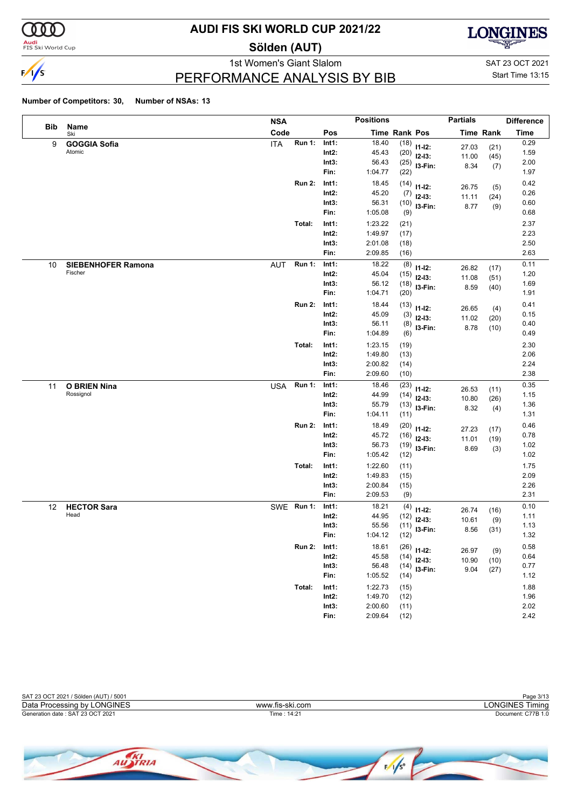

**Audi**<br>FIS Ski World Cup

### **AUDI FIS SKI WORLD CUP 2021/22**

**Sölden (AUT)**



PERFORMANCE ANALYSIS BY BIB

1st Women's Giant Slalom SAT 23 OCT 2021 Start Time 13:15

|     |                                      | <b>NSA</b> |               |                | <b>Positions</b>     |              |                         | <b>Partials</b>  |              | <b>Difference</b> |
|-----|--------------------------------------|------------|---------------|----------------|----------------------|--------------|-------------------------|------------------|--------------|-------------------|
| Bib | Name<br>Ski                          | Code       |               | Pos            | <b>Time Rank Pos</b> |              |                         | <b>Time Rank</b> |              | <b>Time</b>       |
| 9   | <b>GOGGIA Sofia</b>                  | <b>ITA</b> | <b>Run 1:</b> | Int1:          | 18.40                |              | $(18)$ 11-12:           | 27.03            | (21)         | 0.29              |
|     | Atomic                               |            |               | Int2:          | 45.43                |              | $(20)$ 12-13:           | 11.00            | (45)         | 1.59              |
|     |                                      |            |               | Int3:          | 56.43                |              | $(25)$ 13-Fin:          | 8.34             | (7)          | 2.00              |
|     |                                      |            |               | Fin:           | 1:04.77              | (22)         |                         |                  |              | 1.97              |
|     |                                      |            | <b>Run 2:</b> | Int1:          | 18.45                |              | $(14)$ 11-12:           | 26.75            | (5)          | 0.42              |
|     |                                      |            |               | Int2:          | 45.20                |              | $(7)$ 12-13:            | 11.11            | (24)         | 0.26              |
|     |                                      |            |               | Int3:          | 56.31                |              | $(10)$ 13-Fin:          | 8.77             | (9)          | 0.60              |
|     |                                      |            |               | Fin:           | 1:05.08              | (9)          |                         |                  |              | 0.68              |
|     |                                      |            | Total:        | Int1:          | 1:23.22              | (21)         |                         |                  |              | 2.37              |
|     |                                      |            |               | Int2:          | 1:49.97              | (17)         |                         |                  |              | 2.23              |
|     |                                      |            |               | Int3:          | 2:01.08<br>2:09.85   | (18)         |                         |                  |              | 2.50<br>2.63      |
|     |                                      |            |               | Fin:           |                      | (16)         |                         |                  |              |                   |
| 10  | <b>SIEBENHOFER Ramona</b><br>Fischer | <b>AUT</b> | <b>Run 1:</b> | Int1:          | 18.22                | (8)          | $11 - 12$ :             | 26.82            | (17)         | 0.11              |
|     |                                      |            |               | Int2:<br>Int3: | 45.04<br>56.12       | (15)         | $12-13:$                | 11.08            | (51)         | 1.20<br>1.69      |
|     |                                      |            |               | Fin:           | 1:04.71              | (18)<br>(20) | I3-Fin:                 | 8.59             | (40)         | 1.91              |
|     |                                      |            |               |                |                      |              |                         |                  |              |                   |
|     |                                      |            | <b>Run 2:</b> | Int1:<br>Int2: | 18.44<br>45.09       |              | $(13)$ 11-12:           | 26.65            | (4)          | 0.41<br>0.15      |
|     |                                      |            |               | Int3:          | 56.11                | (3)          | $12-13:$                | 11.02            | (20)         | 0.40              |
|     |                                      |            |               | Fin:           | 1:04.89              | (8)<br>(6)   | I3-Fin:                 | 8.78             | (10)         | 0.49              |
|     |                                      |            | Total:        | Int1:          | 1:23.15              | (19)         |                         |                  |              | 2.30              |
|     |                                      |            |               | $Int2$ :       | 1:49.80              | (13)         |                         |                  |              | 2.06              |
|     |                                      |            |               | Int3:          | 2:00.82              | (14)         |                         |                  |              | 2.24              |
|     |                                      |            |               | Fin:           | 2:09.60              | (10)         |                         |                  |              | 2.38              |
| 11  | <b>O BRIEN Nina</b>                  | <b>USA</b> | <b>Run 1:</b> | Int1:          | 18.46                | (23)         |                         |                  |              | 0.35              |
|     | Rossignol                            |            |               | Int2:          | 44.99                | (14)         | $11 - 12$ :<br>$12-13:$ | 26.53            | (11)         | 1.15              |
|     |                                      |            |               | Int3:          | 55.79                | (13)         | $13-Fin:$               | 10.80            | (26)         | 1.36              |
|     |                                      |            |               | Fin:           | 1:04.11              | (11)         |                         | 8.32             | (4)          | 1.31              |
|     |                                      |            | <b>Run 2:</b> | Int1:          | 18.49                |              | $(20)$ 11-12:           |                  |              | 0.46              |
|     |                                      |            |               | $Int2$ :       | 45.72                | (16)         | $12-13:$                | 27.23<br>11.01   | (17)<br>(19) | 0.78              |
|     |                                      |            |               | Int3:          | 56.73                |              | $(19)$ 13-Fin:          | 8.69             | (3)          | 1.02              |
|     |                                      |            |               | Fin:           | 1:05.42              | (12)         |                         |                  |              | 1.02              |
|     |                                      |            | Total:        | Int1:          | 1:22.60              | (11)         |                         |                  |              | 1.75              |
|     |                                      |            |               | Int2:          | 1:49.83              | (15)         |                         |                  |              | 2.09              |
|     |                                      |            |               | Int3:          | 2:00.84              | (15)         |                         |                  |              | 2.26              |
|     |                                      |            |               | Fin:           | 2:09.53              | (9)          |                         |                  |              | 2.31              |
| 12  | <b>HECTOR Sara</b>                   |            | SWE Run 1:    | Int1:          | 18.21                | (4)          | $11 - 12$ :             | 26.74            | (16)         | 0.10              |
|     | Head                                 |            |               | Int2:          | 44.95                | (12)         | $12-13:$                | 10.61            | (9)          | 1.11              |
|     |                                      |            |               | Int3:          | 55.56                | (11)         | 13-Fin:                 | 8.56             | (31)         | 1.13              |
|     |                                      |            |               | Fin:           | 1:04.12              | (12)         |                         |                  |              | 1.32              |
|     |                                      |            | Run 2:        | Int1:          | 18.61                |              | $(26)$ 11-12:           | 26.97            | (9)          | 0.58              |
|     |                                      |            |               | Int2:          | 45.58                | (14)         | $12 - 13:$              | 10.90            | (10)         | 0.64              |
|     |                                      |            |               | Int3:          | 56.48                |              | $(14)$ 13-Fin:          | 9.04             | (27)         | 0.77              |
|     |                                      |            |               | Fin:           | 1:05.52              | (14)         |                         |                  |              | 1.12              |
|     |                                      |            | Total:        | Int1:          | 1:22.73              | (15)         |                         |                  |              | 1.88              |
|     |                                      |            |               | $Int2$ :       | 1:49.70              | (12)         |                         |                  |              | 1.96              |
|     |                                      |            |               | Int3:<br>Fin:  | 2:00.60<br>2:09.64   | (11)<br>(12) |                         |                  |              | 2.02<br>2.42      |
|     |                                      |            |               |                |                      |              |                         |                  |              |                   |



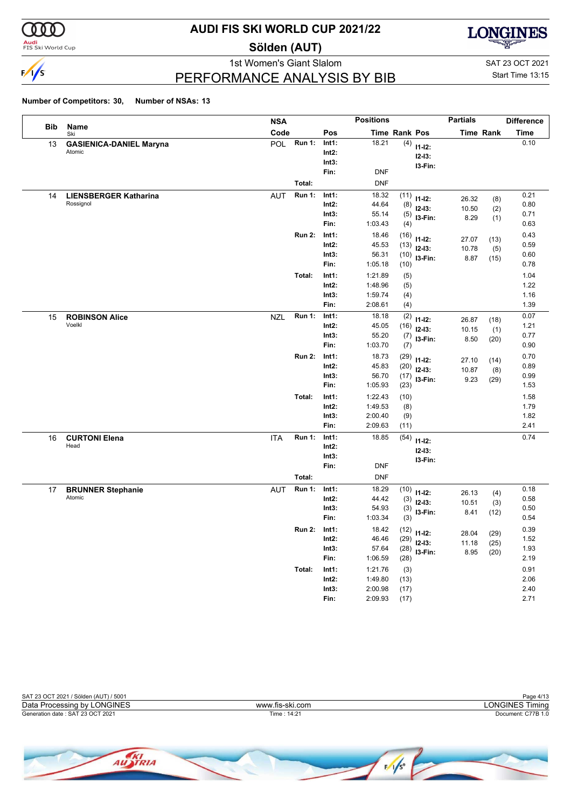

<mark>Audi</mark><br>FIS Ski World Cup

## **AUDI FIS SKI WORLD CUP 2021/22**

**Sölden (AUT)**



PERFORMANCE ANALYSIS BY BIB

1st Women's Giant Slalom SAT 23 OCT 2021 Start Time 13:15

|     |                                           | <b>NSA</b>           |               |                                    | <b>Positions</b>                         |                              |                                      | <b>Partials</b>        |                      | <b>Difference</b>            |
|-----|-------------------------------------------|----------------------|---------------|------------------------------------|------------------------------------------|------------------------------|--------------------------------------|------------------------|----------------------|------------------------------|
| Bib | Name<br>Ski                               | Code                 |               | Pos                                |                                          | Time Rank Pos                |                                      |                        | <b>Time Rank</b>     | Time                         |
| 13  | <b>GASIENICA-DANIEL Maryna</b><br>Atomic  | <b>POL</b>           | <b>Run 1:</b> | Int1:<br>$Int2$ :<br>Int3:<br>Fin: | 18.21<br><b>DNF</b>                      | (4)                          | $11-12:$<br>$12 - 13:$<br>I3-Fin:    |                        |                      | 0.10                         |
|     |                                           | Total:               |               |                                    | <b>DNF</b>                               |                              |                                      |                        |                      |                              |
| 14  | <b>LIENSBERGER Katharina</b><br>Rossignol | <b>AUT</b>           | <b>Run 1:</b> | Int1:<br>Int2:<br>Int3:<br>Fin:    | 18.32<br>44.64<br>55.14<br>1:03.43       | (11)<br>(8)<br>(5)<br>(4)    | $11 - 12$ :<br>$12-13:$<br>I3-Fin:   | 26.32<br>10.50<br>8.29 | (8)<br>(2)<br>(1)    | 0.21<br>0.80<br>0.71<br>0.63 |
|     |                                           |                      | <b>Run 2:</b> | Int1:<br>Int2:<br>Int3:<br>Fin:    | 18.46<br>45.53<br>56.31<br>1:05.18       | (16)<br>(13)<br>(10)<br>(10) | $11 - 12$ :<br>$12-13:$<br>I3-Fin:   | 27.07<br>10.78<br>8.87 | (13)<br>(5)<br>(15)  | 0.43<br>0.59<br>0.60<br>0.78 |
|     |                                           | Total:               |               | Int1:<br>$Int2$ :<br>Int3:<br>Fin: | 1:21.89<br>1:48.96<br>1:59.74<br>2:08.61 | (5)<br>(5)<br>(4)<br>(4)     |                                      |                        |                      | 1.04<br>1.22<br>1.16<br>1.39 |
| 15  | <b>ROBINSON Alice</b><br>Voelkl           | <b>NZL</b>           | <b>Run 1:</b> | Int1:<br>Int2:<br>Int3:<br>Fin:    | 18.18<br>45.05<br>55.20<br>1:03.70       | (2)<br>(16)<br>(7)<br>(7)    | $11-12:$<br>$12 - 13:$<br>I3-Fin:    | 26.87<br>10.15<br>8.50 | (18)<br>(1)<br>(20)  | 0.07<br>1.21<br>0.77<br>0.90 |
|     |                                           |                      | <b>Run 2:</b> | Int1:<br>Int2:<br>Int3:<br>Fin:    | 18.73<br>45.83<br>56.70<br>1:05.93       | (29)<br>(20)<br>(17)<br>(23) | $11 - 12$ :<br>$12-13:$<br>I3-Fin:   | 27.10<br>10.87<br>9.23 | (14)<br>(8)<br>(29)  | 0.70<br>0.89<br>0.99<br>1.53 |
|     |                                           | Total:               |               | Int1:<br>$Int2$ :<br>Int3:<br>Fin: | 1:22.43<br>1:49.53<br>2:00.40<br>2:09.63 | (10)<br>(8)<br>(9)<br>(11)   |                                      |                        |                      | 1.58<br>1.79<br>1.82<br>2.41 |
| 16  | <b>CURTONI Elena</b><br>Head              | <b>ITA</b><br>Total: | <b>Run 1:</b> | Int1:<br>$Int2$ :<br>Int3:<br>Fin: | 18.85<br><b>DNF</b><br><b>DNF</b>        | (54)                         | $11 - 12$ :<br>$12 - 13:$<br>I3-Fin: |                        |                      | 0.74                         |
| 17  | <b>BRUNNER Stephanie</b><br>Atomic        | <b>AUT</b>           | <b>Run 1:</b> | Int1:<br>$Int2$ :<br>Int3:<br>Fin: | 18.29<br>44.42<br>54.93<br>1:03.34       | (10)<br>(3)<br>(3)<br>(3)    | $11-12:$<br>$12-13:$<br>I3-Fin:      | 26.13<br>10.51<br>8.41 | (4)<br>(3)<br>(12)   | 0.18<br>0.58<br>0.50<br>0.54 |
|     |                                           |                      | <b>Run 2:</b> | Int1:<br>Int2:<br>Int3:<br>Fin:    | 18.42<br>46.46<br>57.64<br>1:06.59       | (12)<br>(29)<br>(28)<br>(28) | $11 - 12$ :<br>$12-13:$<br>I3-Fin:   | 28.04<br>11.18<br>8.95 | (29)<br>(25)<br>(20) | 0.39<br>1.52<br>1.93<br>2.19 |
|     |                                           | Total:               |               | Int1:<br>$Int2$ :<br>Int3:<br>Fin: | 1:21.76<br>1:49.80<br>2:00.98<br>2:09.93 | (3)<br>(13)<br>(17)<br>(17)  |                                      |                        |                      | 0.91<br>2.06<br>2.40<br>2.71 |

| SAT 23 OCT 2021 / Sölden (AUT) / 5001 |                 | Page 4/13          |
|---------------------------------------|-----------------|--------------------|
| Data Processing by LONGINES           | www.fis-ski.com | _ONGINES Timina    |
| Generation date: SAT 23 OCT 2021      | Time : 14:21    | Document: C77B 1.0 |
|                                       |                 |                    |

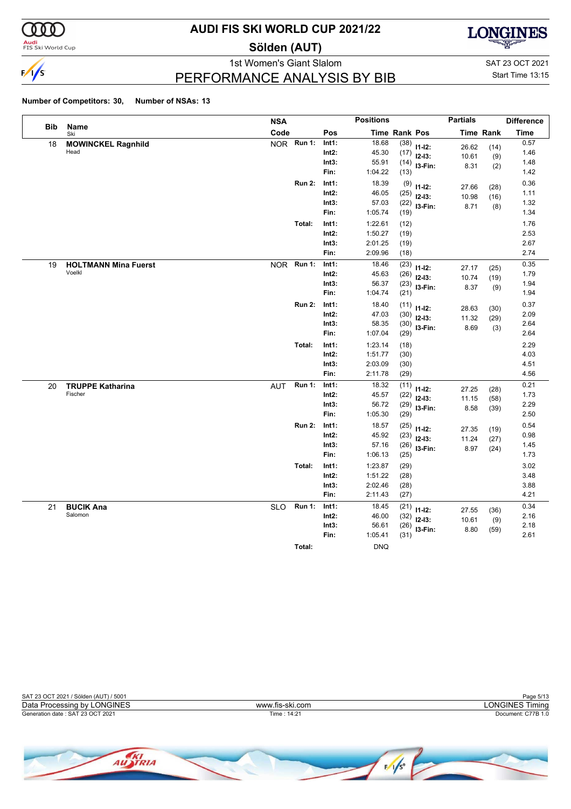

<mark>Audi</mark><br>FIS Ski World Cup

### **AUDI FIS SKI WORLD CUP 2021/22**

**Sölden (AUT)**



PERFORMANCE ANALYSIS BY BIB

1st Women's Giant Slalom SAT 23 OCT 2021 Start Time 13:15

|            |                             | <b>NSA</b> |               |                   | <b>Positions</b>   |               |                     | <b>Partials</b> |             | <b>Difference</b> |
|------------|-----------------------------|------------|---------------|-------------------|--------------------|---------------|---------------------|-----------------|-------------|-------------------|
| <b>Bib</b> | <b>Name</b><br>Ski          | Code       |               | Pos               |                    | Time Rank Pos |                     |                 | Time Rank   | <b>Time</b>       |
| 18         | <b>MOWINCKEL Ragnhild</b>   |            | NOR Run 1:    | Int1:             | 18.68              | (38)          | $11-12:$            | 26.62           | (14)        | 0.57              |
|            | Head                        |            |               | $Int2$ :          | 45.30              | (17)          | $12-13:$            | 10.61           | (9)         | 1.46              |
|            |                             |            |               | Int3:             | 55.91              | (14)          | I3-Fin:             | 8.31            | (2)         | 1.48              |
|            |                             |            |               | Fin:              | 1:04.22            | (13)          |                     |                 |             | 1.42              |
|            |                             |            | <b>Run 2:</b> | Int1:             | 18.39              | (9)           | $11-12:$            | 27.66           | (28)        | 0.36              |
|            |                             |            |               | $Int2$ :          | 46.05              | (25)          | $12-13:$            | 10.98           | (16)        | 1.11              |
|            |                             |            |               | Int3:<br>Fin:     | 57.03<br>1:05.74   | (22)          | I3-Fin:             | 8.71            | (8)         | 1.32<br>1.34      |
|            |                             |            |               |                   |                    | (19)          |                     |                 |             |                   |
|            |                             |            | Total:        | Int1:<br>$Int2$ : | 1:22.61<br>1:50.27 | (12)          |                     |                 |             | 1.76<br>2.53      |
|            |                             |            |               | Int3:             | 2:01.25            | (19)<br>(19)  |                     |                 |             | 2.67              |
|            |                             |            |               | Fin:              | 2:09.96            | (18)          |                     |                 |             | 2.74              |
| 19         | <b>HOLTMANN Mina Fuerst</b> | <b>NOR</b> | <b>Run 1:</b> | Int1:             | 18.46              | (23)          |                     |                 |             | 0.35              |
|            | Voelkl                      |            |               | $Int2$ :          | 45.63              | (26)          | $11 - 12$ :         | 27.17           | (25)        | 1.79              |
|            |                             |            |               | Int3:             | 56.37              | (23)          | $12-13:$<br>I3-Fin: | 10.74           | (19)        | 1.94              |
|            |                             |            |               | Fin:              | 1:04.74            | (21)          |                     | 8.37            | (9)         | 1.94              |
|            |                             |            | <b>Run 2:</b> | Int1:             | 18.40              | (11)          | $11 - 12$ :         |                 |             | 0.37              |
|            |                             |            |               | Int2:             | 47.03              | (30)          | $12-13:$            | 28.63           | (30)        | 2.09              |
|            |                             |            |               | Int3:             | 58.35              | (30)          | I3-Fin:             | 11.32<br>8.69   | (29)<br>(3) | 2.64              |
|            |                             |            |               | Fin:              | 1:07.04            | (29)          |                     |                 |             | 2.64              |
|            |                             |            | Total:        | Int1:             | 1:23.14            | (18)          |                     |                 |             | 2.29              |
|            |                             |            |               | $Int2$ :          | 1:51.77            | (30)          |                     |                 |             | 4.03              |
|            |                             |            |               | Int3:             | 2:03.09            | (30)          |                     |                 |             | 4.51              |
|            |                             |            |               | Fin:              | 2:11.78            | (29)          |                     |                 |             | 4.56              |
| 20         | <b>TRUPPE Katharina</b>     | <b>AUT</b> | <b>Run 1:</b> | Int1:             | 18.32              | (11)          | $11 - 12$ :         | 27.25           | (28)        | 0.21              |
|            | Fischer                     |            |               | Int2:             | 45.57              | (22)          | $12-13:$            | 11.15           | (58)        | 1.73              |
|            |                             |            |               | Int3:<br>Fin:     | 56.72<br>1:05.30   | (29)          | I3-Fin:             | 8.58            | (39)        | 2.29<br>2.50      |
|            |                             |            |               |                   |                    | (29)          |                     |                 |             |                   |
|            |                             |            | <b>Run 2:</b> | Int1:<br>Int2:    | 18.57<br>45.92     | (25)          | $11-12:$            | 27.35           | (19)        | 0.54<br>0.98      |
|            |                             |            |               | Int3:             | 57.16              | (23)<br>(26)  | $12-13:$            | 11.24           | (27)        | 1.45              |
|            |                             |            |               | Fin:              | 1:06.13            | (25)          | I3-Fin:             | 8.97            | (24)        | 1.73              |
|            |                             |            | Total:        | Int1:             | 1:23.87            | (29)          |                     |                 |             | 3.02              |
|            |                             |            |               | $Int2$ :          | 1:51.22            | (28)          |                     |                 |             | 3.48              |
|            |                             |            |               | Int3:             | 2:02.46            | (28)          |                     |                 |             | 3.88              |
|            |                             |            |               | Fin:              | 2:11.43            | (27)          |                     |                 |             | 4.21              |
| 21         | <b>BUCIK Ana</b>            | <b>SLO</b> | <b>Run 1:</b> | Int1:             | 18.45              | (21)          | $11 - 12$ :         | 27.55           | (36)        | 0.34              |
|            | Salomon                     |            |               | $Int2$ :          | 46.00              | (32)          | $12-13:$            | 10.61           | (9)         | 2.16              |
|            |                             |            |               | Int3:             | 56.61              | (26)          | I3-Fin:             | 8.80            | (59)        | 2.18              |
|            |                             |            |               | Fin:              | 1:05.41            | (31)          |                     |                 |             | 2.61              |
|            |                             |            | Total:        |                   | <b>DNQ</b>         |               |                     |                 |             |                   |

| SAT 23 OCT 2021 / Sölden (AUT) / 5001 |                 | Page 5/13          |
|---------------------------------------|-----------------|--------------------|
| Data Processing by LONGINES           | www.fis-ski.com | LONGINES Timina    |
| Generation date: SAT 23 OCT 2021      | Time: 14:21     | Document: C77B 1.0 |
|                                       |                 |                    |

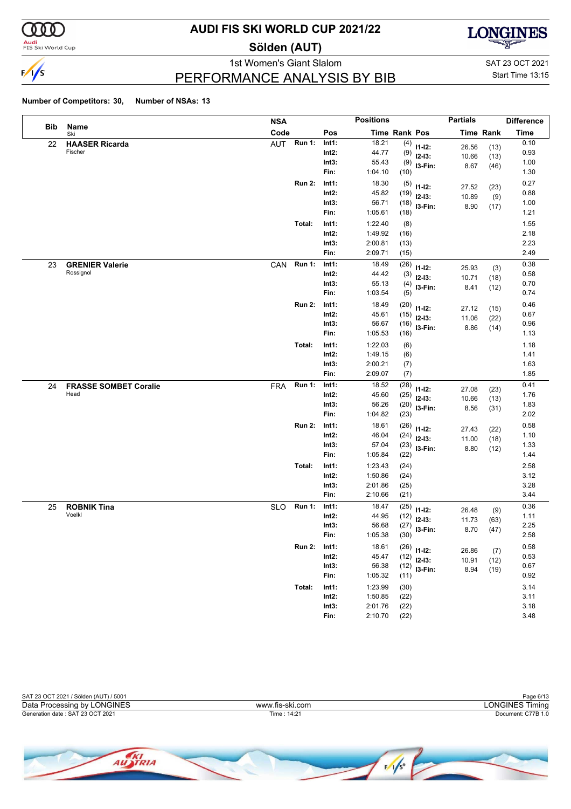

**Audi**<br>FIS Ski World Cup

### **AUDI FIS SKI WORLD CUP 2021/22**

**Sölden (AUT)**



PERFORMANCE ANALYSIS BY BIB

1st Women's Giant Slalom SAT 23 OCT 2021 Start Time 13:15

|            |                                      | <b>NSA</b> |               |                   | <b>Positions</b> |              |                            | <b>Partials</b> |                  | <b>Difference</b> |
|------------|--------------------------------------|------------|---------------|-------------------|------------------|--------------|----------------------------|-----------------|------------------|-------------------|
| <b>Bib</b> | Name<br>Ski                          | Code       |               | Pos               | Time Rank Pos    |              |                            |                 | <b>Time Rank</b> | <b>Time</b>       |
| 22         | <b>HAASER Ricarda</b>                | <b>AUT</b> | <b>Run 1:</b> | Int1:             | 18.21            | (4)          | $11 - 12$ :                | 26.56           | (13)             | 0.10              |
|            | Fischer                              |            |               | $Int2$ :          | 44.77            | (9)          | $12-13:$                   | 10.66           | (13)             | 0.93              |
|            |                                      |            |               | Int3:             | 55.43            | (9)          | I3-Fin:                    | 8.67            | (46)             | 1.00              |
|            |                                      |            |               | Fin:              | 1:04.10          | (10)         |                            |                 |                  | 1.30              |
|            |                                      |            | <b>Run 2:</b> | Int1:             | 18.30            | (5)          | $11 - 12$ :                | 27.52           | (23)             | 0.27              |
|            |                                      |            |               | $Int2$ :          | 45.82            | (19)         | $12-13:$                   | 10.89           | (9)              | 0.88              |
|            |                                      |            |               | Int3:             | 56.71            | (18)         | I3-Fin:                    | 8.90            | (17)             | 1.00              |
|            |                                      |            |               | Fin:              | 1:05.61          | (18)         |                            |                 |                  | 1.21              |
|            |                                      |            | Total:        | Int1:             | 1:22.40          | (8)          |                            |                 |                  | 1.55              |
|            |                                      |            |               | $Int2$ :          | 1:49.92          | (16)         |                            |                 |                  | 2.18              |
|            |                                      |            |               | Int3:             | 2:00.81          | (13)         |                            |                 |                  | 2.23              |
|            |                                      |            |               | Fin:              | 2:09.71          | (15)         |                            |                 |                  | 2.49              |
| 23         | <b>GRENIER Valerie</b>               | CAN        | <b>Run 1:</b> | Int1:             | 18.49            | (26)         | $11 - 12$ :                | 25.93           | (3)              | 0.38              |
|            | Rossignol                            |            |               | $Int2$ :          | 44.42            | (3)          | $12 - 13:$                 | 10.71           | (18)             | 0.58              |
|            |                                      |            |               | Int3:             | 55.13            | (4)          | I3-Fin:                    | 8.41            | (12)             | 0.70              |
|            |                                      |            |               | Fin:              | 1:03.54          | (5)          |                            |                 |                  | 0.74              |
|            |                                      |            | <b>Run 2:</b> | Int1:             | 18.49            | (20)         | $11 - 12$ :                | 27.12           | (15)             | 0.46              |
|            |                                      |            |               | $Int2$ :          | 45.61            | (15)         | $12 - 13$ :                | 11.06           | (22)             | 0.67              |
|            |                                      |            |               | Int3:             | 56.67            | (16)         | I3-Fin:                    | 8.86            | (14)             | 0.96              |
|            |                                      |            |               | Fin:              | 1:05.53          | (16)         |                            |                 |                  | 1.13              |
|            |                                      |            | Total:        | Int1:             | 1:22.03          | (6)          |                            |                 |                  | 1.18              |
|            |                                      |            |               | $Int2$ :          | 1:49.15          | (6)          |                            |                 |                  | 1.41              |
|            |                                      |            |               | Int3:             | 2:00.21          | (7)          |                            |                 |                  | 1.63              |
|            |                                      |            |               | Fin:              | 2:09.07          | (7)          |                            |                 |                  | 1.85              |
| 24         | <b>FRASSE SOMBET Coralie</b><br>Head | <b>FRA</b> | <b>Run 1:</b> | Int1:             | 18.52            | (28)         | $11 - 12$ :                | 27.08           | (23)             | 0.41              |
|            |                                      |            |               | $Int2$ :<br>Int3: | 45.60<br>56.26   | (25)         | $12-13:$                   | 10.66           | (13)             | 1.76<br>1.83      |
|            |                                      |            |               | Fin:              | 1:04.82          | (20)<br>(23) | I3-Fin:                    | 8.56            | (31)             | 2.02              |
|            |                                      |            | <b>Run 2:</b> |                   | 18.61            |              |                            |                 |                  | 0.58              |
|            |                                      |            |               | Int1:<br>$Int2$ : | 46.04            | (26)<br>(24) | $11 - 12$ :                | 27.43           | (22)             | 1.10              |
|            |                                      |            |               | Int3:             | 57.04            | (23)         | $12 - 13$ :                | 11.00           | (18)             | 1.33              |
|            |                                      |            |               | Fin:              | 1:05.84          | (22)         | I3-Fin:                    | 8.80            | (12)             | 1.44              |
|            |                                      |            | Total:        | Int1:             | 1:23.43          | (24)         |                            |                 |                  | 2.58              |
|            |                                      |            |               | $Int2$ :          | 1:50.86          | (24)         |                            |                 |                  | 3.12              |
|            |                                      |            |               | Int3:             | 2:01.86          | (25)         |                            |                 |                  | 3.28              |
|            |                                      |            |               | Fin:              | 2:10.66          | (21)         |                            |                 |                  | 3.44              |
| 25         | <b>ROBNIK Tina</b>                   | <b>SLO</b> | <b>Run 1:</b> | Int1:             | 18.47            | (25)         |                            |                 |                  | 0.36              |
|            | Voelkl                               |            |               | Int2:             | 44.95            | (12)         | $11 - 12$ :<br>$12 - 13$ : | 26.48           | (9)              | 1.11              |
|            |                                      |            |               | Int3:             | 56.68            | (27)         | I3-Fin:                    | 11.73           | (63)             | 2.25              |
|            |                                      |            |               | Fin:              | 1:05.38          | (30)         |                            | 8.70            | (47)             | 2.58              |
|            |                                      |            | <b>Run 2:</b> | Int1:             | 18.61            |              | $(26)$ 11-12:              |                 |                  | 0.58              |
|            |                                      |            |               | $Int2$ :          | 45.47            | (12)         | $12-13:$                   | 26.86<br>10.91  | (7)<br>(12)      | 0.53              |
|            |                                      |            |               | Int3:             | 56.38            | (12)         | $13-Fin:$                  | 8.94            | (19)             | 0.67              |
|            |                                      |            |               | Fin:              | 1:05.32          | (11)         |                            |                 |                  | 0.92              |
|            |                                      |            | Total:        | Int1:             | 1:23.99          | (30)         |                            |                 |                  | 3.14              |
|            |                                      |            |               | $Int2$ :          | 1:50.85          | (22)         |                            |                 |                  | 3.11              |
|            |                                      |            |               | Int3:             | 2:01.76          | (22)         |                            |                 |                  | 3.18              |
|            |                                      |            |               | Fin:              | 2:10.70          | (22)         |                            |                 |                  | 3.48              |



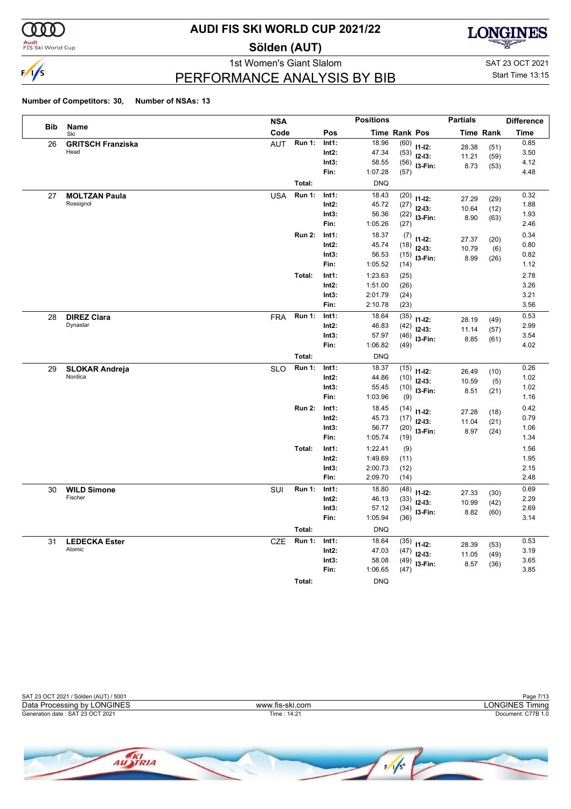

<mark>Audi</mark><br>FIS Ski World Cup

### **AUDI FIS SKI WORLD CUP 2021/22**

**Sölden (AUT)**



PERFORMANCE ANALYSIS BY BIB

1st Women's Giant Slalom SAT 23 OCT 2021 Start Time 13:15

|     |                          | <b>NSA</b>                  |          | <b>Positions</b> |               |                | <b>Partials</b> |                  | <b>Difference</b> |
|-----|--------------------------|-----------------------------|----------|------------------|---------------|----------------|-----------------|------------------|-------------------|
| Bib | Name<br>Ski              | Code                        | Pos      |                  | Time Rank Pos |                |                 | <b>Time Rank</b> | Time              |
| 26  | <b>GRITSCH Franziska</b> | <b>Run 1:</b><br><b>AUT</b> | Int1:    | 18.96            | (60)          | $11 - 12$ :    | 28.38           | (51)             | 0.85              |
|     | Head                     |                             | $Int2$ : | 47.34            | (53)          | $12 - 13$ :    | 11.21           | (59)             | 3.50              |
|     |                          |                             | Int3:    | 58.55            | (56)          | I3-Fin:        | 8.73            | (53)             | 4.12              |
|     |                          |                             | Fin:     | 1:07.28          | (57)          |                |                 |                  | 4.48              |
|     |                          | Total:                      |          | <b>DNQ</b>       |               |                |                 |                  |                   |
| 27  | <b>MOLTZAN Paula</b>     | <b>Run 1:</b><br><b>USA</b> | Int1:    | 18.43            | (20)          | $11 - 12$ :    | 27.29           | (29)             | 0.32              |
|     | Rossignol                |                             | $Int2$ : | 45.72            | (27)          | $12 - 13:$     | 10.64           | (12)             | 1.88              |
|     |                          |                             | Int3:    | 56.36            |               | $(22)$ 13-Fin: | 8.90            | (63)             | 1.93              |
|     |                          |                             | Fin:     | 1:05.26          | (27)          |                |                 |                  | 2.46              |
|     |                          | <b>Run 2:</b>               | Int1:    | 18.37            |               | $(7)$ 11-12:   | 27.37           | (20)             | 0.34              |
|     |                          |                             | $Int2$ : | 45.74            | (18)          | $12-13:$       | 10.79           | (6)              | 0.80              |
|     |                          |                             | Int3:    | 56.53            | (15)          | I3-Fin:        | 8.99            | (26)             | 0.82              |
|     |                          |                             | Fin:     | 1:05.52          | (14)          |                |                 |                  | 1.12              |
|     |                          | Total:                      | Int1:    | 1:23.63          | (25)          |                |                 |                  | 2.78              |
|     |                          |                             | $Int2$ : | 1:51.00          | (26)          |                |                 |                  | 3.26              |
|     |                          |                             | Int3:    | 2:01.79          | (24)          |                |                 |                  | 3.21              |
|     |                          |                             | Fin:     | 2:10.78          | (23)          |                |                 |                  | 3.56              |
| 28  | <b>DIREZ Clara</b>       | <b>Run 1:</b><br><b>FRA</b> | Int1:    | 18.64            | (35)          | $11 - 12$ :    | 28.19           | (49)             | 0.53              |
|     | Dynastar                 |                             | $Int2$ : | 46.83            | (42)          | $12-13:$       | 11.14           | (57)             | 2.99              |
|     |                          |                             | Int3:    | 57.97            | (46)          | I3-Fin:        | 8.85            | (61)             | 3.54              |
|     |                          |                             | Fin:     | 1:06.82          | (49)          |                |                 |                  | 4.02              |
|     |                          | Total:                      |          | <b>DNQ</b>       |               |                |                 |                  |                   |
| 29  | <b>SLOKAR Andreja</b>    | <b>Run 1:</b><br><b>SLO</b> | Int1:    | 18.37            | (15)          | $11 - 12$ :    | 26.49           | (10)             | 0.26              |
|     | Nordica                  |                             | $Int2$ : | 44.86            | (10)          | $12-13:$       | 10.59           | (5)              | 1.02              |
|     |                          |                             | Int3:    | 55.45            | (10)          | I3-Fin:        | 8.51            | (21)             | 1.02              |
|     |                          |                             | Fin:     | 1:03.96          | (9)           |                |                 |                  | 1.16              |
|     |                          | <b>Run 2:</b>               | Int1:    | 18.45            | (14)          | $11 - 12$ :    | 27.28           | (18)             | 0.42              |
|     |                          |                             | Int2:    | 45.73            | (17)          | $12-13:$       | 11.04           | (21)             | 0.79              |
|     |                          |                             | Int3:    | 56.77            | (20)          | I3-Fin:        | 8.97            | (24)             | 1.06              |
|     |                          |                             | Fin:     | 1:05.74          | (19)          |                |                 |                  | 1.34              |
|     |                          | Total:                      | Int1:    | 1:22.41          | (9)           |                |                 |                  | 1.56              |
|     |                          |                             | $Int2$ : | 1:49.69          | (11)          |                |                 |                  | 1.95              |
|     |                          |                             | Int3:    | 2:00.73          | (12)          |                |                 |                  | 2.15              |
|     |                          |                             | Fin:     | 2:09.70          | (14)          |                |                 |                  | 2.48              |
| 30  | <b>WILD Simone</b>       | <b>Run 1:</b><br>SUI        | Int1:    | 18.80            | (48)          | $11 - 12$ :    | 27.33           | (30)             | 0.69              |
|     | Fischer                  |                             | $Int2$ : | 46.13            | (33)          | $12-13:$       | 10.99           | (42)             | 2.29              |
|     |                          |                             | Int3:    | 57.12            | (34)          | I3-Fin:        | 8.82            | (60)             | 2.69              |
|     |                          |                             | Fin:     | 1:05.94          | (36)          |                |                 |                  | 3.14              |
|     |                          | Total:                      |          | <b>DNQ</b>       |               |                |                 |                  |                   |
| 31  | <b>LEDECKA Ester</b>     | <b>Run 1:</b><br><b>CZE</b> | Int1:    | 18.64            | (35)          | $11 - 12$ :    | 28.39           | (53)             | 0.53              |
|     | Atomic                   |                             | $Int2$ : | 47.03            | (47)          | $12-13:$       | 11.05           | (49)             | 3.19              |
|     |                          |                             | Int3:    | 58.08            | (49)          | I3-Fin:        | 8.57            | (36)             | 3.65              |
|     |                          |                             | Fin:     | 1:06.65          | (47)          |                |                 |                  | 3.85              |
|     |                          | Total:                      |          | <b>DNQ</b>       |               |                |                 |                  |                   |

| SAT 23 OCT 2021 / Sölden (AUT) / 5001 |                 | Page 7/13          |
|---------------------------------------|-----------------|--------------------|
| Data Processing by LONGINES           | www.fis-ski.com | ∟ONGINES Timina    |
| Generation date: SAT 23 OCT 2021      | Time : 14:21    | Document: C77B 1.0 |
|                                       |                 |                    |

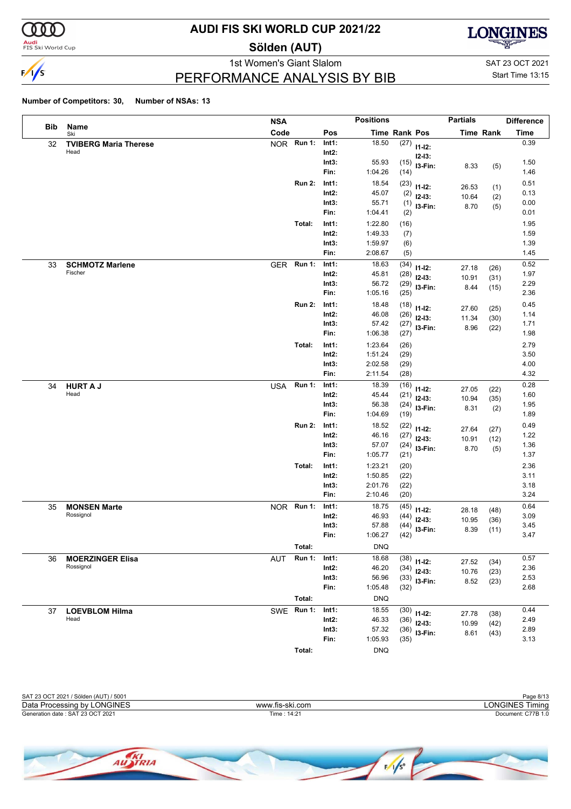

<mark>Audi</mark><br>FIS Ski World Cup

## **AUDI FIS SKI WORLD CUP 2021/22**

**Sölden (AUT)**



PERFORMANCE ANALYSIS BY BIB

1st Women's Giant Slalom SAT 23 OCT 2021 Start Time 13:15

|            |                              | <b>NSA</b>                  |                   | <b>Positions</b>   |               |                           | <b>Partials</b> |                  | <b>Difference</b> |
|------------|------------------------------|-----------------------------|-------------------|--------------------|---------------|---------------------------|-----------------|------------------|-------------------|
| <b>Bib</b> | Name<br>Ski                  | Code                        | Pos               |                    | Time Rank Pos |                           |                 | <b>Time Rank</b> | <b>Time</b>       |
| 32         | <b>TVIBERG Maria Therese</b> | <b>NOR</b><br><b>Run 1:</b> | Int1:             | 18.50              | (27)          | $11 - 12$ :               |                 |                  | 0.39              |
|            | Head                         |                             | $Int2$ :          |                    |               | $12 - 13$ :               |                 |                  |                   |
|            |                              |                             | Int3:             | 55.93              | (15)          | I3-Fin:                   | 8.33            | (5)              | 1.50              |
|            |                              |                             | Fin:              | 1:04.26            | (14)          |                           |                 |                  | 1.46              |
|            |                              | <b>Run 2:</b>               | Int1:             | 18.54              | (23)          | $11 - 12$ :               | 26.53           | (1)              | 0.51              |
|            |                              |                             | $Int2$ :          | 45.07              | (2)           | $12 - 13$ :               | 10.64           | (2)              | 0.13              |
|            |                              |                             | Int3:<br>Fin:     | 55.71<br>1:04.41   | (1)           | I3-Fin:                   | 8.70            | (5)              | 0.00<br>0.01      |
|            |                              |                             |                   |                    | (2)           |                           |                 |                  |                   |
|            |                              | Total:                      | Int1:<br>$Int2$ : | 1:22.80<br>1:49.33 | (16)          |                           |                 |                  | 1.95<br>1.59      |
|            |                              |                             | Int3:             | 1:59.97            | (7)<br>(6)    |                           |                 |                  | 1.39              |
|            |                              |                             | Fin:              | 2:08.67            | (5)           |                           |                 |                  | 1.45              |
| 33         | <b>SCHMOTZ Marlene</b>       | <b>Run 1:</b><br><b>GER</b> | Int1:             | 18.63              | (34)          |                           |                 |                  | 0.52              |
|            | Fischer                      |                             | $Int2$ :          | 45.81              | (28)          | $11 - 12$ :               | 27.18           | (26)             | 1.97              |
|            |                              |                             | Int3:             | 56.72              | (29)          | $12-13:$                  | 10.91           | (31)             | 2.29              |
|            |                              |                             | Fin:              | 1:05.16            | (25)          | I3-Fin:                   | 8.44            | (15)             | 2.36              |
|            |                              | <b>Run 2:</b>               | Int1:             | 18.48              | (18)          | $11 - 12$ :               |                 |                  | 0.45              |
|            |                              |                             | $Int2$ :          | 46.08              | (26)          | $12-13:$                  | 27.60<br>11.34  | (25)<br>(30)     | 1.14              |
|            |                              |                             | Int3:             | 57.42              | (27)          | I3-Fin:                   | 8.96            | (22)             | 1.71              |
|            |                              |                             | Fin:              | 1:06.38            | (27)          |                           |                 |                  | 1.98              |
|            |                              | Total:                      | Int1:             | 1:23.64            | (26)          |                           |                 |                  | 2.79              |
|            |                              |                             | $Int2$ :          | 1:51.24            | (29)          |                           |                 |                  | 3.50              |
|            |                              |                             | Int3:             | 2:02.58            | (29)          |                           |                 |                  | 4.00              |
|            |                              |                             | Fin:              | 2:11.54            | (28)          |                           |                 |                  | 4.32              |
| 34         | <b>HURT A J</b>              | <b>Run 1:</b><br><b>USA</b> | Int1:             | 18.39              | (16)          | $11 - 12$ :               | 27.05           | (22)             | 0.28              |
|            | Head                         |                             | $Int2$ :          | 45.44              | (21)          | $12 - 13$ :               | 10.94           | (35)             | 1.60              |
|            |                              |                             | Int3:             | 56.38              | (24)          | I3-Fin:                   | 8.31            | (2)              | 1.95              |
|            |                              |                             | Fin:              | 1:04.69            | (19)          |                           |                 |                  | 1.89              |
|            |                              | <b>Run 2:</b>               | Int1:             | 18.52              | (22)          | $11 - 12$ :               | 27.64           | (27)             | 0.49              |
|            |                              |                             | $Int2$ :          | 46.16              | (27)          | $12 - 13$ :               | 10.91           | (12)             | 1.22              |
|            |                              |                             | Int3:<br>Fin:     | 57.07<br>1:05.77   | (24)<br>(21)  | I3-Fin:                   | 8.70            | (5)              | 1.36<br>1.37      |
|            |                              | Total:                      | Int1:             | 1:23.21            | (20)          |                           |                 |                  | 2.36              |
|            |                              |                             | $Int2$ :          | 1:50.85            | (22)          |                           |                 |                  | 3.11              |
|            |                              |                             | Int3:             | 2:01.76            | (22)          |                           |                 |                  | 3.18              |
|            |                              |                             | Fin:              | 2:10.46            | (20)          |                           |                 |                  | 3.24              |
| 35         | <b>MONSEN Marte</b>          | NOR Run 1:                  | Int1:             | 18.75              | (45)          |                           |                 |                  | 0.64              |
|            | Rossignol                    |                             | Int2:             | 46.93              | (44)          | $11 - 12$ :<br>$12 - 13:$ | 28.18           | (48)             | 3.09              |
|            |                              |                             | Int3:             | 57.88              | (44)          | I3-Fin:                   | 10.95<br>8.39   | (36)             | 3.45              |
|            |                              |                             | Fin:              | 1:06.27            | (42)          |                           |                 | (11)             | 3.47              |
|            |                              | Total:                      |                   | <b>DNQ</b>         |               |                           |                 |                  |                   |
| 36         | <b>MOERZINGER Elisa</b>      | <b>Run 1:</b><br><b>AUT</b> | Int1:             | 18.68              | (38)          | $11 - 12$ :               |                 |                  | 0.57              |
|            | Rossignol                    |                             | $Int2$ :          | 46.20              | (34)          | $12 - 13$ :               | 27.52<br>10.76  | (34)<br>(23)     | 2.36              |
|            |                              |                             | Int3:             | 56.96              | (33)          | I3-Fin:                   | 8.52            | (23)             | 2.53              |
|            |                              |                             | Fin:              | 1:05.48            | (32)          |                           |                 |                  | 2.68              |
|            |                              | Total:                      |                   | <b>DNQ</b>         |               |                           |                 |                  |                   |
| 37         | <b>LOEVBLOM Hilma</b>        | SWE Run 1:                  | Int1:             | 18.55              | (30)          | $11 - 12$ :               | 27.78           | (38)             | 0.44              |
|            | Head                         |                             | Int2:             | 46.33              | (36)          | $12-13:$                  | 10.99           | (42)             | 2.49              |
|            |                              |                             | Int3:             | 57.32              | (36)          | I3-Fin:                   | 8.61            | (43)             | 2.89              |
|            |                              |                             | Fin:              | 1:05.93            | (35)          |                           |                 |                  | 3.13              |
|            |                              | Total:                      |                   | <b>DNQ</b>         |               |                           |                 |                  |                   |

| SAT 23 OCT 2021 / Sölden (AUT) / 5001 |                 | Page 8/13          |
|---------------------------------------|-----------------|--------------------|
| Data Processing by LONGINES           | www.fis-ski.com | LONGINES Timing    |
| Generation date: SAT 23 OCT 2021      | Time: 14:21     | Document: C77B 1.0 |
|                                       |                 |                    |
|                                       |                 |                    |

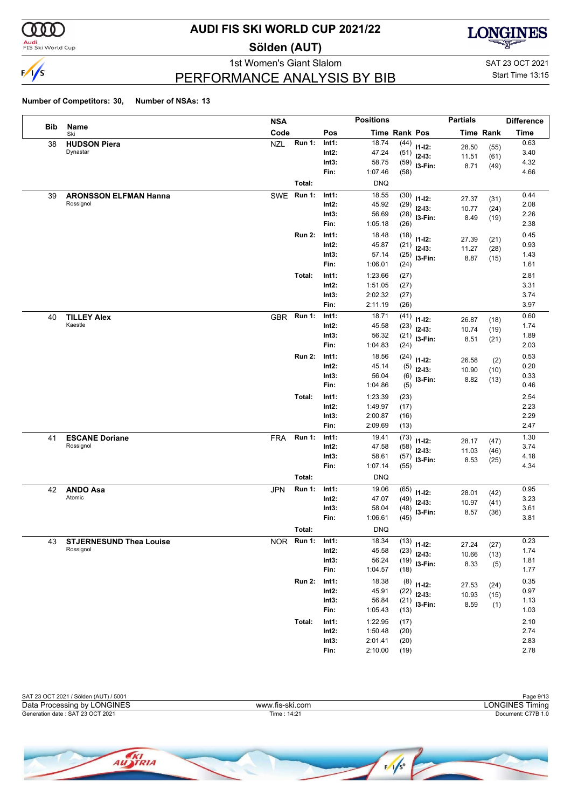

**Audi**<br>FIS Ski World Cup

### **AUDI FIS SKI WORLD CUP 2021/22**

**Sölden (AUT)**



1st Women's Giant Slalom SAT 23 OCT 2021 PERFORMANCE ANALYSIS BY BIB

Start Time 13:15

| <b>Bib</b><br>Name<br>Code<br>Pos<br><b>Time Rank Pos</b><br><b>Time Rank</b><br>Ski<br><b>Run 1:</b><br><b>NZL</b><br>18.74<br>Int1:<br>(44)<br><b>HUDSON Piera</b><br>38<br>$11 - 12$ :<br>28.50<br>(55)<br>Dynastar<br>$Int2$ :<br>47.24<br>(51)<br>$12-13:$<br>11.51<br>(61)<br>Int3:<br>58.75<br>(59)<br>13-Fin:<br>8.71<br>(49)<br>Fin:<br>1:07.46<br>(58)<br>Total:<br><b>DNQ</b><br><b>Run 1:</b><br>Int1:<br>18.55<br>(30)<br><b>ARONSSON ELFMAN Hanna</b><br><b>SWE</b><br>39<br>$11 - 12$ :<br>27.37<br>(31)<br>Rossignol<br>$Int2$ :<br>45.92<br>(29)<br>$12-13:$<br>10.77<br>(24)<br>Int3:<br>56.69<br>(28)<br>I3-Fin:<br>8.49<br>(19)<br>Fin:<br>1:05.18<br>(26)<br><b>Run 2:</b><br>18.48<br>Int1:<br>(18)<br>$11 - 12$ :<br>27.39<br>(21)<br>Int2:<br>45.87<br>(21)<br>$12-13:$<br>11.27<br>(28)<br>Int3:<br>57.14<br>(25)<br>I3-Fin:<br>8.87<br>(15)<br>Fin:<br>1:06.01<br>(24)<br>1:23.66<br>(27)<br>Total:<br>Int1:<br>Int2:<br>1:51.05<br>(27)<br>Int3:<br>2:02.32<br>(27)<br>2:11.19<br>Fin:<br>(26)<br><b>Run 1:</b><br>Int1:<br>18.71<br>(41)<br><b>TILLEY Alex</b><br><b>GBR</b><br>40<br>$11 - 12$ :<br>26.87<br>(18)<br>Kaestle<br>$Int2$ :<br>45.58<br>(23)<br>$12-13:$<br>10.74<br>(19)<br>Int3:<br>56.32<br>(21)<br>I3-Fin:<br>8.51<br>(21)<br>Fin:<br>1:04.83<br>(24)<br><b>Run 2:</b><br>18.56<br>Int1:<br>(24)<br>$11 - 12$ :<br>26.58<br>(2) | <b>Time</b><br>0.63<br>3.40<br>4.32<br>4.66<br>0.44<br>2.08<br>2.26<br>2.38<br>0.45<br>0.93<br>1.43<br>1.61<br>2.81<br>3.31<br>3.74<br>3.97<br>0.60<br>1.74 |
|-------------------------------------------------------------------------------------------------------------------------------------------------------------------------------------------------------------------------------------------------------------------------------------------------------------------------------------------------------------------------------------------------------------------------------------------------------------------------------------------------------------------------------------------------------------------------------------------------------------------------------------------------------------------------------------------------------------------------------------------------------------------------------------------------------------------------------------------------------------------------------------------------------------------------------------------------------------------------------------------------------------------------------------------------------------------------------------------------------------------------------------------------------------------------------------------------------------------------------------------------------------------------------------------------------------------------------------------------------------------------------|-------------------------------------------------------------------------------------------------------------------------------------------------------------|
|                                                                                                                                                                                                                                                                                                                                                                                                                                                                                                                                                                                                                                                                                                                                                                                                                                                                                                                                                                                                                                                                                                                                                                                                                                                                                                                                                                               |                                                                                                                                                             |
|                                                                                                                                                                                                                                                                                                                                                                                                                                                                                                                                                                                                                                                                                                                                                                                                                                                                                                                                                                                                                                                                                                                                                                                                                                                                                                                                                                               |                                                                                                                                                             |
|                                                                                                                                                                                                                                                                                                                                                                                                                                                                                                                                                                                                                                                                                                                                                                                                                                                                                                                                                                                                                                                                                                                                                                                                                                                                                                                                                                               |                                                                                                                                                             |
|                                                                                                                                                                                                                                                                                                                                                                                                                                                                                                                                                                                                                                                                                                                                                                                                                                                                                                                                                                                                                                                                                                                                                                                                                                                                                                                                                                               |                                                                                                                                                             |
|                                                                                                                                                                                                                                                                                                                                                                                                                                                                                                                                                                                                                                                                                                                                                                                                                                                                                                                                                                                                                                                                                                                                                                                                                                                                                                                                                                               |                                                                                                                                                             |
|                                                                                                                                                                                                                                                                                                                                                                                                                                                                                                                                                                                                                                                                                                                                                                                                                                                                                                                                                                                                                                                                                                                                                                                                                                                                                                                                                                               |                                                                                                                                                             |
|                                                                                                                                                                                                                                                                                                                                                                                                                                                                                                                                                                                                                                                                                                                                                                                                                                                                                                                                                                                                                                                                                                                                                                                                                                                                                                                                                                               |                                                                                                                                                             |
|                                                                                                                                                                                                                                                                                                                                                                                                                                                                                                                                                                                                                                                                                                                                                                                                                                                                                                                                                                                                                                                                                                                                                                                                                                                                                                                                                                               |                                                                                                                                                             |
|                                                                                                                                                                                                                                                                                                                                                                                                                                                                                                                                                                                                                                                                                                                                                                                                                                                                                                                                                                                                                                                                                                                                                                                                                                                                                                                                                                               |                                                                                                                                                             |
|                                                                                                                                                                                                                                                                                                                                                                                                                                                                                                                                                                                                                                                                                                                                                                                                                                                                                                                                                                                                                                                                                                                                                                                                                                                                                                                                                                               |                                                                                                                                                             |
|                                                                                                                                                                                                                                                                                                                                                                                                                                                                                                                                                                                                                                                                                                                                                                                                                                                                                                                                                                                                                                                                                                                                                                                                                                                                                                                                                                               |                                                                                                                                                             |
|                                                                                                                                                                                                                                                                                                                                                                                                                                                                                                                                                                                                                                                                                                                                                                                                                                                                                                                                                                                                                                                                                                                                                                                                                                                                                                                                                                               |                                                                                                                                                             |
|                                                                                                                                                                                                                                                                                                                                                                                                                                                                                                                                                                                                                                                                                                                                                                                                                                                                                                                                                                                                                                                                                                                                                                                                                                                                                                                                                                               |                                                                                                                                                             |
|                                                                                                                                                                                                                                                                                                                                                                                                                                                                                                                                                                                                                                                                                                                                                                                                                                                                                                                                                                                                                                                                                                                                                                                                                                                                                                                                                                               |                                                                                                                                                             |
|                                                                                                                                                                                                                                                                                                                                                                                                                                                                                                                                                                                                                                                                                                                                                                                                                                                                                                                                                                                                                                                                                                                                                                                                                                                                                                                                                                               |                                                                                                                                                             |
|                                                                                                                                                                                                                                                                                                                                                                                                                                                                                                                                                                                                                                                                                                                                                                                                                                                                                                                                                                                                                                                                                                                                                                                                                                                                                                                                                                               |                                                                                                                                                             |
|                                                                                                                                                                                                                                                                                                                                                                                                                                                                                                                                                                                                                                                                                                                                                                                                                                                                                                                                                                                                                                                                                                                                                                                                                                                                                                                                                                               |                                                                                                                                                             |
|                                                                                                                                                                                                                                                                                                                                                                                                                                                                                                                                                                                                                                                                                                                                                                                                                                                                                                                                                                                                                                                                                                                                                                                                                                                                                                                                                                               |                                                                                                                                                             |
|                                                                                                                                                                                                                                                                                                                                                                                                                                                                                                                                                                                                                                                                                                                                                                                                                                                                                                                                                                                                                                                                                                                                                                                                                                                                                                                                                                               |                                                                                                                                                             |
|                                                                                                                                                                                                                                                                                                                                                                                                                                                                                                                                                                                                                                                                                                                                                                                                                                                                                                                                                                                                                                                                                                                                                                                                                                                                                                                                                                               | 1.89                                                                                                                                                        |
|                                                                                                                                                                                                                                                                                                                                                                                                                                                                                                                                                                                                                                                                                                                                                                                                                                                                                                                                                                                                                                                                                                                                                                                                                                                                                                                                                                               | 2.03                                                                                                                                                        |
|                                                                                                                                                                                                                                                                                                                                                                                                                                                                                                                                                                                                                                                                                                                                                                                                                                                                                                                                                                                                                                                                                                                                                                                                                                                                                                                                                                               | 0.53                                                                                                                                                        |
| Int2:<br>45.14<br>(5)<br>$12-13:$<br>10.90<br>(10)                                                                                                                                                                                                                                                                                                                                                                                                                                                                                                                                                                                                                                                                                                                                                                                                                                                                                                                                                                                                                                                                                                                                                                                                                                                                                                                            | 0.20                                                                                                                                                        |
| Int3:<br>56.04<br>(6)<br>I3-Fin:<br>8.82<br>(13)                                                                                                                                                                                                                                                                                                                                                                                                                                                                                                                                                                                                                                                                                                                                                                                                                                                                                                                                                                                                                                                                                                                                                                                                                                                                                                                              | 0.33                                                                                                                                                        |
| Fin:<br>1:04.86<br>(5)                                                                                                                                                                                                                                                                                                                                                                                                                                                                                                                                                                                                                                                                                                                                                                                                                                                                                                                                                                                                                                                                                                                                                                                                                                                                                                                                                        | 0.46                                                                                                                                                        |
| 1:23.39<br>Total:<br>Int1:<br>(23)<br>Int2:                                                                                                                                                                                                                                                                                                                                                                                                                                                                                                                                                                                                                                                                                                                                                                                                                                                                                                                                                                                                                                                                                                                                                                                                                                                                                                                                   | 2.54<br>2.23                                                                                                                                                |
| 1:49.97<br>(17)<br>Int3:<br>2:00.87<br>(16)                                                                                                                                                                                                                                                                                                                                                                                                                                                                                                                                                                                                                                                                                                                                                                                                                                                                                                                                                                                                                                                                                                                                                                                                                                                                                                                                   | 2.29                                                                                                                                                        |
| 2:09.69<br>Fin:<br>(13)                                                                                                                                                                                                                                                                                                                                                                                                                                                                                                                                                                                                                                                                                                                                                                                                                                                                                                                                                                                                                                                                                                                                                                                                                                                                                                                                                       | 2.47                                                                                                                                                        |
| <b>Run 1:</b><br>Int1:<br>19.41<br><b>ESCANE Doriane</b><br>(73)<br><b>FRA</b><br>41                                                                                                                                                                                                                                                                                                                                                                                                                                                                                                                                                                                                                                                                                                                                                                                                                                                                                                                                                                                                                                                                                                                                                                                                                                                                                          | 1.30                                                                                                                                                        |
| $11 - 12$ :<br>28.17<br>(47)<br>Rossignol<br>Int2:<br>47.58<br>(58)                                                                                                                                                                                                                                                                                                                                                                                                                                                                                                                                                                                                                                                                                                                                                                                                                                                                                                                                                                                                                                                                                                                                                                                                                                                                                                           | 3.74                                                                                                                                                        |
| $12-13:$<br>11.03<br>(46)<br>Int3:<br>58.61<br>(57)<br>I3-Fin:                                                                                                                                                                                                                                                                                                                                                                                                                                                                                                                                                                                                                                                                                                                                                                                                                                                                                                                                                                                                                                                                                                                                                                                                                                                                                                                | 4.18                                                                                                                                                        |
| 8.53<br>(25)<br>Fin:<br>1:07.14<br>(55)                                                                                                                                                                                                                                                                                                                                                                                                                                                                                                                                                                                                                                                                                                                                                                                                                                                                                                                                                                                                                                                                                                                                                                                                                                                                                                                                       | 4.34                                                                                                                                                        |
| Total:<br><b>DNQ</b>                                                                                                                                                                                                                                                                                                                                                                                                                                                                                                                                                                                                                                                                                                                                                                                                                                                                                                                                                                                                                                                                                                                                                                                                                                                                                                                                                          |                                                                                                                                                             |
| <b>Run 1:</b><br>Int1:<br>19.06<br><b>ANDO Asa</b><br><b>JPN</b><br>(65)<br>42                                                                                                                                                                                                                                                                                                                                                                                                                                                                                                                                                                                                                                                                                                                                                                                                                                                                                                                                                                                                                                                                                                                                                                                                                                                                                                | 0.95                                                                                                                                                        |
| $11 - 12$ :<br>28.01<br>(42)<br>Atomic<br>$Int2$ :<br>47.07<br>(49)<br>$12-13:$<br>10.97                                                                                                                                                                                                                                                                                                                                                                                                                                                                                                                                                                                                                                                                                                                                                                                                                                                                                                                                                                                                                                                                                                                                                                                                                                                                                      | 3.23                                                                                                                                                        |
| (41)<br>Int3:<br>58.04<br>(48)<br>I3-Fin:<br>8.57<br>(36)                                                                                                                                                                                                                                                                                                                                                                                                                                                                                                                                                                                                                                                                                                                                                                                                                                                                                                                                                                                                                                                                                                                                                                                                                                                                                                                     | 3.61                                                                                                                                                        |
| Fin:<br>1:06.61<br>(45)                                                                                                                                                                                                                                                                                                                                                                                                                                                                                                                                                                                                                                                                                                                                                                                                                                                                                                                                                                                                                                                                                                                                                                                                                                                                                                                                                       | 3.81                                                                                                                                                        |
| <b>DNQ</b><br>Total:                                                                                                                                                                                                                                                                                                                                                                                                                                                                                                                                                                                                                                                                                                                                                                                                                                                                                                                                                                                                                                                                                                                                                                                                                                                                                                                                                          |                                                                                                                                                             |
| 18.34<br>$(13)$ 11-12:<br><b>Run 1:</b><br>43<br><b>STJERNESUND Thea Louise</b><br><b>NOR</b><br>Int1:<br>27.24<br>(27)                                                                                                                                                                                                                                                                                                                                                                                                                                                                                                                                                                                                                                                                                                                                                                                                                                                                                                                                                                                                                                                                                                                                                                                                                                                       | 0.23                                                                                                                                                        |
| Rossignol<br>$Int2$ :<br>45.58<br>$(23)$ 12-13:<br>10.66<br>(13)                                                                                                                                                                                                                                                                                                                                                                                                                                                                                                                                                                                                                                                                                                                                                                                                                                                                                                                                                                                                                                                                                                                                                                                                                                                                                                              | 1.74                                                                                                                                                        |
| Int3:<br>56.24<br>$(19)$ 13-Fin:<br>8.33<br>(5)                                                                                                                                                                                                                                                                                                                                                                                                                                                                                                                                                                                                                                                                                                                                                                                                                                                                                                                                                                                                                                                                                                                                                                                                                                                                                                                               | 1.81                                                                                                                                                        |
| Fin:<br>1:04.57<br>(18)                                                                                                                                                                                                                                                                                                                                                                                                                                                                                                                                                                                                                                                                                                                                                                                                                                                                                                                                                                                                                                                                                                                                                                                                                                                                                                                                                       | 1.77                                                                                                                                                        |
| <b>Run 2:</b><br>Int1:<br>18.38<br>$(8)$ 11-12:<br>27.53<br>(24)                                                                                                                                                                                                                                                                                                                                                                                                                                                                                                                                                                                                                                                                                                                                                                                                                                                                                                                                                                                                                                                                                                                                                                                                                                                                                                              | 0.35                                                                                                                                                        |
| $Int2$ :<br>45.91<br>$(22)$ 12-13:<br>10.93<br>(15)                                                                                                                                                                                                                                                                                                                                                                                                                                                                                                                                                                                                                                                                                                                                                                                                                                                                                                                                                                                                                                                                                                                                                                                                                                                                                                                           | 0.97                                                                                                                                                        |
| Int3:<br>56.84<br>$(21)$ 13-Fin:<br>8.59<br>(1)                                                                                                                                                                                                                                                                                                                                                                                                                                                                                                                                                                                                                                                                                                                                                                                                                                                                                                                                                                                                                                                                                                                                                                                                                                                                                                                               | 1.13                                                                                                                                                        |
| Fin:<br>1:05.43<br>(13)                                                                                                                                                                                                                                                                                                                                                                                                                                                                                                                                                                                                                                                                                                                                                                                                                                                                                                                                                                                                                                                                                                                                                                                                                                                                                                                                                       | 1.03                                                                                                                                                        |
| Total:<br>Int1:<br>1:22.95<br>(17)                                                                                                                                                                                                                                                                                                                                                                                                                                                                                                                                                                                                                                                                                                                                                                                                                                                                                                                                                                                                                                                                                                                                                                                                                                                                                                                                            | 2.10                                                                                                                                                        |
| $Int2$ :<br>1:50.48<br>(20)<br>2:01.41<br>Int3:<br>(20)                                                                                                                                                                                                                                                                                                                                                                                                                                                                                                                                                                                                                                                                                                                                                                                                                                                                                                                                                                                                                                                                                                                                                                                                                                                                                                                       | 2.74<br>2.83                                                                                                                                                |
|                                                                                                                                                                                                                                                                                                                                                                                                                                                                                                                                                                                                                                                                                                                                                                                                                                                                                                                                                                                                                                                                                                                                                                                                                                                                                                                                                                               |                                                                                                                                                             |



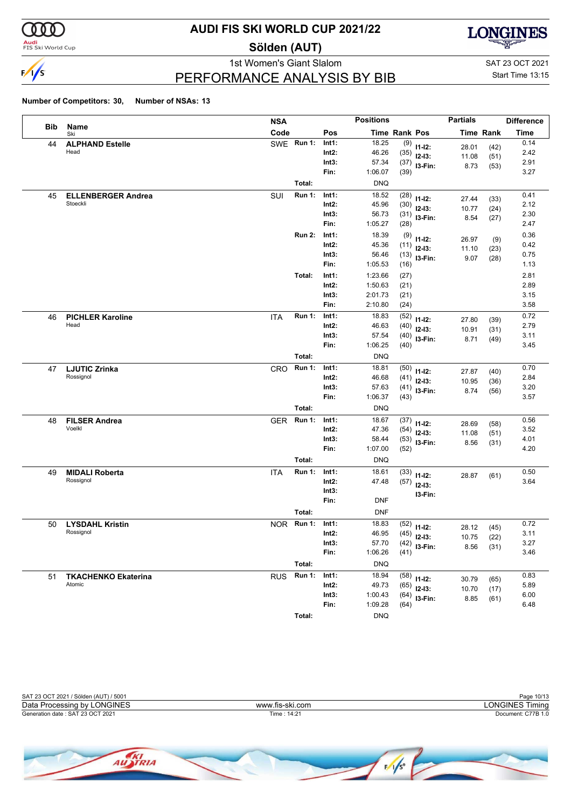

<mark>Audi</mark><br>FIS Ski World Cup

### **AUDI FIS SKI WORLD CUP 2021/22**

**Sölden (AUT)**



1st Women's Giant Slalom SAT 23 OCT 2021 PERFORMANCE ANALYSIS BY BIB

Start Time 13:15

|            |                                       | <b>NSA</b> |               |                | <b>Positions</b> |                      |                         | <b>Partials</b> |                  | <b>Difference</b> |
|------------|---------------------------------------|------------|---------------|----------------|------------------|----------------------|-------------------------|-----------------|------------------|-------------------|
| <b>Bib</b> | Name<br>Ski                           | Code       |               | Pos            |                  | <b>Time Rank Pos</b> |                         |                 | <b>Time Rank</b> | <b>Time</b>       |
| 44         | <b>ALPHAND Estelle</b>                |            | SWE Run 1:    | Int1:          | 18.25            | (9)                  | $11 - 12$ :             | 28.01           | (42)             | 0.14              |
|            | Head                                  |            |               | Int2:          | 46.26            | (35)                 | $12-13:$                | 11.08           | (51)             | 2.42              |
|            |                                       |            |               | Int3:          | 57.34            | (37)                 | I3-Fin:                 | 8.73            | (53)             | 2.91              |
|            |                                       |            |               | Fin:           | 1:06.07          | (39)                 |                         |                 |                  | 3.27              |
|            |                                       |            | Total:        |                | <b>DNQ</b>       |                      |                         |                 |                  |                   |
| 45         | <b>ELLENBERGER Andrea</b><br>Stoeckli | <b>SUI</b> | <b>Run 1:</b> | Int1:          | 18.52            | (28)                 | $11 - 12$ :             | 27.44           | (33)             | 0.41              |
|            |                                       |            |               | Int2:          | 45.96            | (30)                 | $12-13:$                | 10.77           | (24)             | 2.12              |
|            |                                       |            |               | Int3:<br>Fin:  | 56.73<br>1:05.27 | (31)<br>(28)         | I3-Fin:                 | 8.54            | (27)             | 2.30<br>2.47      |
|            |                                       |            | <b>Run 2:</b> | Int1:          | 18.39            |                      |                         |                 |                  | 0.36              |
|            |                                       |            |               | Int2:          | 45.36            | (9)<br>(11)          | $11 - 12$ :             | 26.97           | (9)              | 0.42              |
|            |                                       |            |               | Int3:          | 56.46            | (13)                 | $12 - 13$ :             | 11.10           | (23)             | 0.75              |
|            |                                       |            |               | Fin:           | 1:05.53          | (16)                 | I3-Fin:                 | 9.07            | (28)             | 1.13              |
|            |                                       |            | Total:        | Int1:          | 1:23.66          | (27)                 |                         |                 |                  | 2.81              |
|            |                                       |            |               | Int2:          | 1:50.63          | (21)                 |                         |                 |                  | 2.89              |
|            |                                       |            |               | Int3:          | 2:01.73          | (21)                 |                         |                 |                  | 3.15              |
|            |                                       |            |               | Fin:           | 2:10.80          | (24)                 |                         |                 |                  | 3.58              |
| 46         | <b>PICHLER Karoline</b>               | <b>ITA</b> | <b>Run 1:</b> | Int1:          | 18.83            | (52)                 | $11 - 12$ :             | 27.80           | (39)             | 0.72              |
|            | Head                                  |            |               | Int2:          | 46.63            | (40)                 | $12-13:$                | 10.91           | (31)             | 2.79              |
|            |                                       |            |               | Int3:          | 57.54            | (40)                 | I3-Fin:                 | 8.71            | (49)             | 3.11              |
|            |                                       |            |               | Fin:           | 1:06.25          | (40)                 |                         |                 |                  | 3.45              |
|            |                                       |            | Total:        |                | <b>DNQ</b>       |                      |                         |                 |                  |                   |
| 47         | <b>LJUTIC Zrinka</b>                  | CRO        | <b>Run 1:</b> | Int1:          | 18.81            | (50)                 | $11 - 12$ :             | 27.87           | (40)             | 0.70              |
|            | Rossignol                             |            |               | Int2:          | 46.68            | (41)                 | $12-13:$                | 10.95           | (36)             | 2.84              |
|            |                                       |            |               | Int3:<br>Fin:  | 57.63<br>1:06.37 | (41)                 | I3-Fin:                 | 8.74            | (56)             | 3.20<br>3.57      |
|            |                                       |            |               |                |                  | (43)                 |                         |                 |                  |                   |
|            |                                       |            | Total:        |                | <b>DNQ</b>       |                      |                         |                 |                  | 0.56              |
| 48         | <b>FILSER Andrea</b><br>Voelkl        | <b>GER</b> | <b>Run 1:</b> | Int1:<br>Int2: | 18.67<br>47.36   | (37)                 | $11 - 12$ :             | 28.69           | (58)             | 3.52              |
|            |                                       |            |               | Int3:          | 58.44            | (54)<br>(53)         | $12-13:$                | 11.08           | (51)             | 4.01              |
|            |                                       |            |               | Fin:           | 1:07.00          | (52)                 | I3-Fin:                 | 8.56            | (31)             | 4.20              |
|            |                                       |            | Total:        |                | <b>DNQ</b>       |                      |                         |                 |                  |                   |
| 49         | <b>MIDALI Roberta</b>                 | <b>ITA</b> | <b>Run 1:</b> | Int1:          | 18.61            | (33)                 |                         |                 |                  | 0.50              |
|            | Rossignol                             |            |               | Int2:          | 47.48            | (57)                 | $11 - 12$ :<br>$12-13:$ | 28.87           | (61)             | 3.64              |
|            |                                       |            |               | Int3:          |                  |                      | I3-Fin:                 |                 |                  |                   |
|            |                                       |            |               | Fin:           | <b>DNF</b>       |                      |                         |                 |                  |                   |
|            |                                       |            | Total:        |                | <b>DNF</b>       |                      |                         |                 |                  |                   |
| 50         | <b>LYSDAHL Kristin</b>                | <b>NOR</b> | <b>Run 1:</b> | Int1:          | 18.83            | (52)                 | $11 - 12$ :             | 28.12           | (45)             | 0.72              |
|            | Rossignol                             |            |               | Int2:          | 46.95            | (45)                 | $12 - 13:$              | 10.75           | (22)             | 3.11              |
|            |                                       |            |               | Int3:          | 57.70            |                      | $(42)$ 13-Fin:          |                 | $8.56$ (31)      | 3.27              |
|            |                                       |            |               | Fin:           | 1:06.26          | (41)                 |                         |                 |                  | 3.46              |
|            |                                       |            | Total:        |                | <b>DNQ</b>       |                      |                         |                 |                  |                   |
| 51         | <b>TKACHENKO Ekaterina</b>            | <b>RUS</b> | <b>Run 1:</b> | Int1:          | 18.94            |                      | $(58)$ 11-12:           | 30.79           | (65)             | 0.83              |
|            | Atomic                                |            |               | Int2:          | 49.73            | (65)                 | $12-13:$                | 10.70           | (17)             | 5.89              |
|            |                                       |            |               | Int3:          | 1:00.43          | (64)                 | I3-Fin:                 | 8.85            | (61)             | 6.00              |
|            |                                       |            |               | Fin:           | 1:09.28          | (64)                 |                         |                 |                  | 6.48              |
|            |                                       |            | Total:        |                | <b>DNQ</b>       |                      |                         |                 |                  |                   |

| SAT 23 OCT 2021 / Sölden (AUT) / 5001 |                 | Page 10/13         |
|---------------------------------------|-----------------|--------------------|
| Data Processing by LONGINES           | www.fis-ski.com | LONGINES Timina    |
| Generation date: SAT 23 OCT 2021      | Time: 14:21     | Document: C77B 1.0 |
|                                       |                 |                    |

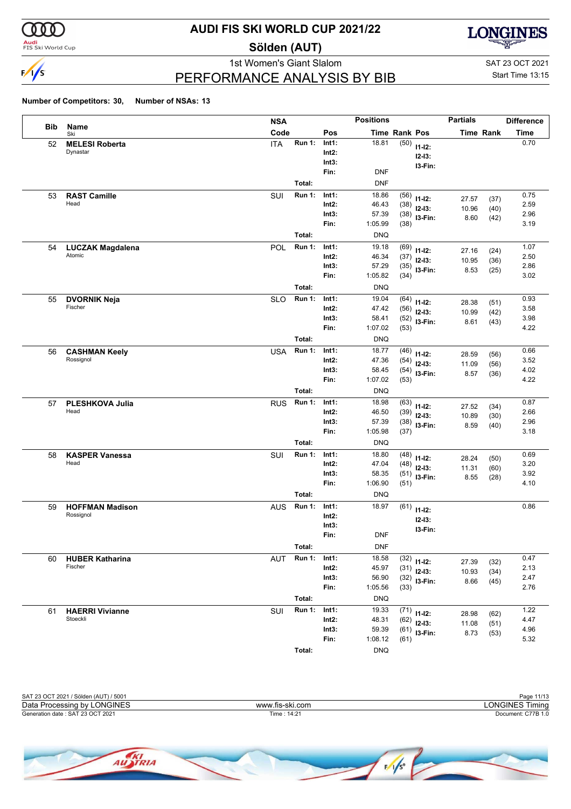

<mark>Audi</mark><br>FIS Ski World Cup

### **AUDI FIS SKI WORLD CUP 2021/22**

**Sölden (AUT)**



PERFORMANCE ANALYSIS BY BIB

1st Women's Giant Slalom SAT 23 OCT 2021 Start Time 13:15

|     |                               | <b>NSA</b> |               |                   | <b>Positions</b> |              |                         | <b>Partials</b> |                  | <b>Difference</b> |
|-----|-------------------------------|------------|---------------|-------------------|------------------|--------------|-------------------------|-----------------|------------------|-------------------|
| Bib | Name<br>Ski                   | Code       |               | Pos               | Time Rank Pos    |              |                         |                 | <b>Time Rank</b> | <b>Time</b>       |
| 52  | <b>MELESI Roberta</b>         | <b>ITA</b> | Run 1:        | Int1:             | 18.81            | (50)         | $11 - 12$ :             |                 |                  | 0.70              |
|     | Dynastar                      |            |               | Int2:             |                  |              | $12 - 13$ :             |                 |                  |                   |
|     |                               |            |               | Int3:             |                  |              | I3-Fin:                 |                 |                  |                   |
|     |                               |            |               | Fin:              | <b>DNF</b>       |              |                         |                 |                  |                   |
|     |                               |            | Total:        |                   | <b>DNF</b>       |              |                         |                 |                  |                   |
| 53  | <b>RAST Camille</b>           | SUI        | Run 1:        | Int1:             | 18.86            | (56)         | $11 - 12$ :             | 27.57           | (37)             | 0.75              |
|     | Head                          |            |               | Int2:             | 46.43            | (38)         | $12-13:$                | 10.96           | (40)             | 2.59              |
|     |                               |            |               | Int3:             | 57.39            | (38)         | I3-Fin:                 | 8.60            | (42)             | 2.96              |
|     |                               |            |               | Fin:              | 1:05.99          | (38)         |                         |                 |                  | 3.19              |
|     |                               |            | Total:        |                   | <b>DNQ</b>       |              |                         |                 |                  |                   |
| 54  | <b>LUCZAK Magdalena</b>       | POL        | <b>Run 1:</b> | Int1:             | 19.18            | (69)         | $11 - 12$ :             | 27.16           | (24)             | 1.07              |
|     | Atomic                        |            |               | $Int2$ :          | 46.34            | (37)         | $12-13:$                | 10.95           | (36)             | 2.50              |
|     |                               |            |               | Int3:             | 57.29            | (35)         | I3-Fin:                 | 8.53            | (25)             | 2.86              |
|     |                               |            |               | Fin:              | 1:05.82          | (34)         |                         |                 |                  | 3.02              |
|     |                               |            | Total:        |                   | <b>DNQ</b>       |              |                         |                 |                  |                   |
| 55  | <b>DVORNIK Neja</b>           | <b>SLO</b> | <b>Run 1:</b> | Int1:             | 19.04            | (64)         | $11 - 12$ :             | 28.38           | (51)             | 0.93              |
|     | Fischer                       |            |               | Int2:             | 47.42            | (56)         | $12-13:$                | 10.99           | (42)             | 3.58              |
|     |                               |            |               | Int3:<br>Fin:     | 58.41<br>1:07.02 | (52)         | I3-Fin:                 | 8.61            | (43)             | 3.98<br>4.22      |
|     |                               |            |               |                   |                  | (53)         |                         |                 |                  |                   |
|     |                               |            | Total:        |                   | <b>DNQ</b>       |              |                         |                 |                  |                   |
| 56  | <b>CASHMAN Keely</b>          | <b>USA</b> | <b>Run 1:</b> | Int1:             | 18.77            | (46)         | $11 - 12$ :             | 28.59           | (56)             | 0.66              |
|     | Rossignol                     |            |               | $Int2$ :          | 47.36            | (54)         | $12 - 13$ :             | 11.09           | (56)             | 3.52              |
|     |                               |            |               | Int3:<br>Fin:     | 58.45<br>1:07.02 | (54)<br>(53) | I3-Fin:                 | 8.57            | (36)             | 4.02<br>4.22      |
|     |                               |            |               |                   |                  |              |                         |                 |                  |                   |
|     |                               |            | Total:        |                   | <b>DNQ</b>       |              |                         |                 |                  |                   |
| 57  | PLESHKOVA Julia<br>Head       | <b>RUS</b> | <b>Run 1:</b> | Int1:             | 18.98            | (63)         | $11 - 12$ :             | 27.52           | (34)             | 0.87              |
|     |                               |            |               | $Int2$ :<br>Int3: | 46.50<br>57.39   | (39)         | $12-13:$                | 10.89           | (30)             | 2.66<br>2.96      |
|     |                               |            |               | Fin:              | 1:05.98          | (38)<br>(37) | I3-Fin:                 | 8.59            | (40)             | 3.18              |
|     |                               |            | Total:        |                   | <b>DNQ</b>       |              |                         |                 |                  |                   |
|     |                               |            | <b>Run 1:</b> | Int1:             | 18.80            |              |                         |                 |                  | 0.69              |
| 58  | <b>KASPER Vanessa</b><br>Head | SUI        |               | Int2:             | 47.04            | (48)<br>(48) | $11 - 12$ :             | 28.24           | (50)             | 3.20              |
|     |                               |            |               | Int3:             | 58.35            | (51)         | $12 - 13$ :             | 11.31           | (60)             | 3.92              |
|     |                               |            |               | Fin:              | 1:06.90          | (51)         | $13-Fin:$               | 8.55            | (28)             | 4.10              |
|     |                               |            | Total:        |                   | <b>DNQ</b>       |              |                         |                 |                  |                   |
| 59  | <b>HOFFMAN Madison</b>        | <b>AUS</b> | <b>Run 1:</b> | Int1:             | 18.97            | (61)         |                         |                 |                  | 0.86              |
|     | Rossignol                     |            |               | $Int2$ :          |                  |              | $11 - 12$ :             |                 |                  |                   |
|     |                               |            |               | Int3:             |                  |              | $12 - 13:$              |                 |                  |                   |
|     |                               |            |               | Fin:              | <b>DNF</b>       |              | I3-Fin:                 |                 |                  |                   |
|     |                               |            | Total:        |                   | <b>DNF</b>       |              |                         |                 |                  |                   |
| 60  | <b>HUBER Katharina</b>        | <b>AUT</b> | Run 1:        | Int1:             | 18.58            | (32)         |                         |                 |                  | 0.47              |
|     | Fischer                       |            |               | $Int2$ :          | 45.97            | (31)         | $11 - 12$ :<br>$12-13:$ | 27.39           | (32)             | 2.13              |
|     |                               |            |               | Int3:             | 56.90            | (32)         | $13-Fin:$               | 10.93<br>8.66   | (34)             | 2.47              |
|     |                               |            |               | Fin:              | 1:05.56          | (33)         |                         |                 | (45)             | 2.76              |
|     |                               |            | Total:        |                   | <b>DNQ</b>       |              |                         |                 |                  |                   |
| 61  | <b>HAERRI Vivianne</b>        | SUI        | Run 1:        | Int1:             | 19.33            | (71)         | $11 - 12$ :             |                 |                  | 1.22              |
|     | Stoeckli                      |            |               | Int2:             | 48.31            | (62)         | $12-13:$                | 28.98<br>11.08  | (62)<br>(51)     | 4.47              |
|     |                               |            |               | Int3:             | 59.39            |              | $(61)$ 13-Fin:          | 8.73            | (53)             | 4.96              |
|     |                               |            |               | Fin:              | 1:08.12          | (61)         |                         |                 |                  | 5.32              |
|     |                               |            | Total:        |                   | <b>DNQ</b>       |              |                         |                 |                  |                   |

| SAT 23 OCT 2021 / Sölden (AUT) / 5001 |                 | Page 11/13         |
|---------------------------------------|-----------------|--------------------|
| Data Processing by LONGINES           | www.fis-ski.com | LONGINES Timina    |
| Generation date: SAT 23 OCT 2021      | Time: 14:21     | Document: C77B 1.0 |
|                                       |                 |                    |

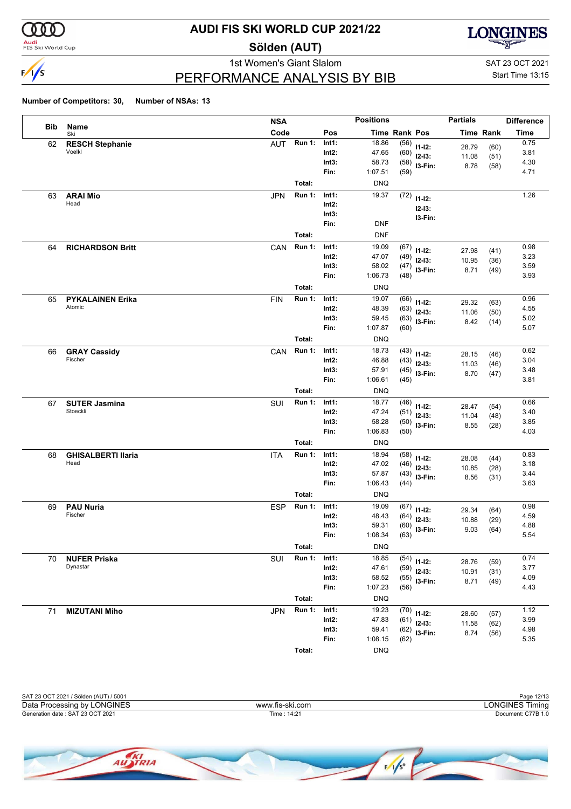

<mark>Audi</mark><br>FIS Ski World Cup

### **AUDI FIS SKI WORLD CUP 2021/22**

**Sölden (AUT)**



1st Women's Giant Slalom SAT 23 OCT 2021

Start Time 13:15

### PERFORMANCE ANALYSIS BY BIB

|            |                                   | <b>NSA</b>                  |                | <b>Positions</b> |                      |                              | <b>Partials</b> |                  | <b>Difference</b> |
|------------|-----------------------------------|-----------------------------|----------------|------------------|----------------------|------------------------------|-----------------|------------------|-------------------|
| <b>Bib</b> | Name<br>Ski                       | Code                        | Pos            |                  | <b>Time Rank Pos</b> |                              |                 | <b>Time Rank</b> | <b>Time</b>       |
| 62         | <b>RESCH Stephanie</b>            | <b>Run 1:</b><br><b>AUT</b> | Int1:          | 18.86            |                      | $(56)$ 11-12:                | 28.79           | (60)             | 0.75              |
|            | Voelkl                            |                             | Int2:          | 47.65            |                      | $(60)$ 12-13:                | 11.08           | (51)             | 3.81              |
|            |                                   |                             | Int3:          | 58.73            |                      | $(58)$ 13-Fin:               | 8.78            | (58)             | 4.30              |
|            |                                   |                             | Fin:           | 1:07.51          | (59)                 |                              |                 |                  | 4.71              |
|            |                                   | Total:                      |                | <b>DNQ</b>       |                      |                              |                 |                  |                   |
| 63         | <b>ARAI Mio</b>                   | <b>Run 1:</b><br><b>JPN</b> | Int1:          | 19.37            | (72)                 | $11 - 12$ :                  |                 |                  | 1.26              |
|            | Head                              |                             | Int2:          |                  |                      | $12 - 13:$                   |                 |                  |                   |
|            |                                   |                             | Int3:          |                  |                      | I3-Fin:                      |                 |                  |                   |
|            |                                   |                             | Fin:           | <b>DNF</b>       |                      |                              |                 |                  |                   |
|            |                                   | Total:                      |                | <b>DNF</b>       |                      |                              |                 |                  |                   |
| 64         | <b>RICHARDSON Britt</b>           | <b>Run 1:</b><br>CAN        | Int1:          | 19.09            | (67)                 | $11 - 12$ :                  | 27.98           | (41)             | 0.98              |
|            |                                   |                             | Int2:          | 47.07            | (49)                 | $12 - 13:$                   | 10.95           | (36)             | 3.23              |
|            |                                   |                             | Int3:          | 58.02            |                      | $(47)$ 13-Fin:               | 8.71            | (49)             | 3.59              |
|            |                                   |                             | Fin:           | 1:06.73          | (48)                 |                              |                 |                  | 3.93              |
|            |                                   | Total:                      |                | <b>DNQ</b>       |                      |                              |                 |                  |                   |
| 65         | <b>PYKALAINEN Erika</b>           | <b>Run 1:</b><br><b>FIN</b> | Int1:          | 19.07            | (66)                 | $11 - 12$ :                  | 29.32           | (63)             | 0.96              |
|            | Atomic                            |                             | Int2:          | 48.39            | (63)                 | $12 - 13:$                   | 11.06           | (50)             | 4.55              |
|            |                                   |                             | Int3:          | 59.45            |                      | $(63)$ 13-Fin:               | 8.42            | (14)             | 5.02              |
|            |                                   |                             | Fin:           | 1:07.87          | (60)                 |                              |                 |                  | 5.07              |
|            |                                   | Total:                      |                | <b>DNQ</b>       |                      |                              |                 |                  |                   |
| 66         | <b>GRAY Cassidy</b>               | <b>Run 1:</b><br>CAN        | Int1:          | 18.73            |                      | $(43)$ 11-12:                | 28.15           | (46)             | 0.62              |
|            | Fischer                           |                             | Int2:          | 46.88            |                      | $(43)$ 12-13:                | 11.03           | (46)             | 3.04              |
|            |                                   |                             | Int3:<br>Fin:  | 57.91<br>1:06.61 | (45)                 | $(45)$ 13-Fin:               | 8.70            | (47)             | 3.48<br>3.81      |
|            |                                   |                             |                |                  |                      |                              |                 |                  |                   |
|            |                                   | Total:                      |                | <b>DNQ</b>       |                      |                              |                 |                  |                   |
| 67         | <b>SUTER Jasmina</b><br>Stoeckli  | <b>Run 1:</b><br>SUI        | Int1:          | 18.77            | (46)                 | $11 - 12$ :                  | 28.47           | (54)             | 0.66              |
|            |                                   |                             | Int2:<br>Int3: | 47.24<br>58.28   | (51)                 | $12 - 13:$                   | 11.04           | (48)             | 3.40<br>3.85      |
|            |                                   |                             | Fin:           | 1:06.83          | (50)                 | $(50)$ 13-Fin:               | 8.55            | (28)             | 4.03              |
|            |                                   | Total:                      |                | <b>DNQ</b>       |                      |                              |                 |                  |                   |
|            |                                   |                             | Int1:          | 18.94            |                      |                              |                 |                  |                   |
| 68         | <b>GHISALBERTI Ilaria</b><br>Head | <b>Run 1:</b><br><b>ITA</b> | Int2:          | 47.02            |                      | $(58)$ 11-12:                | 28.08           | (44)             | 0.83<br>3.18      |
|            |                                   |                             | Int3:          | 57.87            | (46)                 | $12 - 13:$                   | 10.85           | (28)             | 3.44              |
|            |                                   |                             | Fin:           | 1:06.43          | (44)                 | $(43)$ 13-Fin:               | 8.56            | (31)             | 3.63              |
|            |                                   | Total:                      |                | <b>DNQ</b>       |                      |                              |                 |                  |                   |
| 69         | <b>PAU Nuria</b>                  | <b>ESP</b><br><b>Run 1:</b> | Int1:          | 19.09            | (67)                 |                              |                 |                  | 0.98              |
|            | Fischer                           |                             | Int2:          | 48.43            | (64)                 | $11 - 12$ :                  | 29.34           | (64)             | 4.59              |
|            |                                   |                             | Int3:          | 59.31            |                      | $12 - 13:$<br>$(60)$ 13-Fin: | 10.88           | (29)             | 4.88              |
|            |                                   |                             | Fin:           | 1:08.34          | (63)                 |                              | 9.03            | (64)             | 5.54              |
|            |                                   | Total:                      |                | <b>DNQ</b>       |                      |                              |                 |                  |                   |
| 70         | <b>NUFER Priska</b>               | <b>Run 1:</b><br>SUI        | Int1:          | 18.85            | (54)                 |                              |                 |                  | 0.74              |
|            | Dynastar                          |                             | Int2:          | 47.61            | (59)                 | $11 - 12$ :<br>$12 - 13:$    | 28.76           | (59)             | 3.77              |
|            |                                   |                             | Int3:          | 58.52            | (55)                 | I3-Fin:                      | 10.91<br>8.71   | (31)             | 4.09              |
|            |                                   |                             | Fin:           | 1:07.23          | (56)                 |                              |                 | (49)             | 4.43              |
|            |                                   | Total:                      |                | <b>DNQ</b>       |                      |                              |                 |                  |                   |
| 71         | <b>MIZUTANI Miho</b>              | <b>Run 1:</b><br><b>JPN</b> | Int1:          | 19.23            |                      | $(70)$ 11-12:                |                 |                  | 1.12              |
|            |                                   |                             | $Int2$ :       | 47.83            | (61)                 | $12 - 13:$                   | 28.60<br>11.58  | (57)<br>(62)     | 3.99              |
|            |                                   |                             | Int3:          | 59.41            |                      | $(62)$ 13-Fin:               | 8.74            | (56)             | 4.98              |
|            |                                   |                             | Fin:           | 1:08.15          | (62)                 |                              |                 |                  | 5.35              |
|            |                                   | Total:                      |                | <b>DNQ</b>       |                      |                              |                 |                  |                   |

| SAT 23 OCT 2021 / Sölden (AUT) / 5001 |                 | Page 12/13         |
|---------------------------------------|-----------------|--------------------|
| Data Processing by LONGINES           | www.fis-ski.com | LONGINES Timina    |
| Generation date: SAT 23 OCT 2021      | Time: 14:21     | Document: C77B 1.0 |
|                                       |                 |                    |
|                                       |                 |                    |

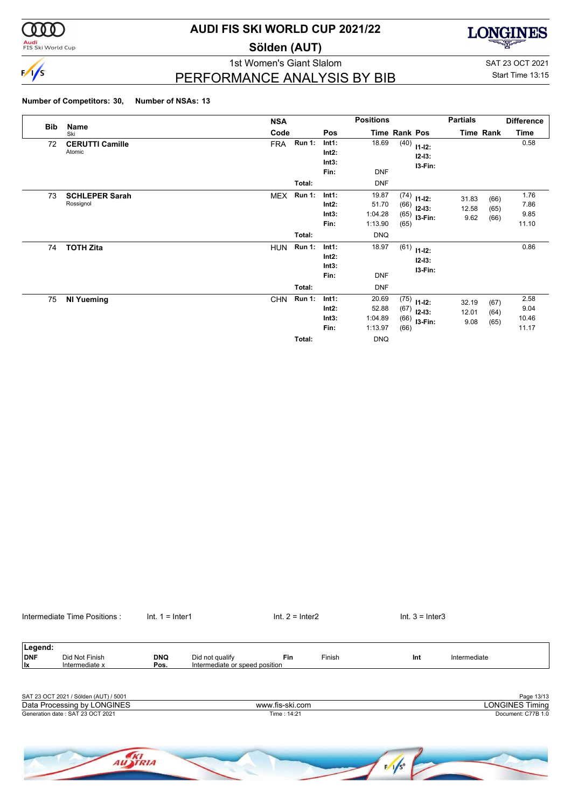

**Audi**<br>FIS Ski World Cup

### **AUDI FIS SKI WORLD CUP 2021/22**

**Sölden (AUT)**



1st Women's Giant Slalom SAT 23 OCT 2021 PERFORMANCE ANALYSIS BY BIB

Start Time 13:15

#### **Number of Competitors: 30, Number of NSAs: 13**

| <b>Bib</b> | Name                               | <b>NSA</b> |                         |                                    | <b>Positions</b>                                   |                      |                                               | <b>Partials</b>        |                      | <b>Difference</b>              |
|------------|------------------------------------|------------|-------------------------|------------------------------------|----------------------------------------------------|----------------------|-----------------------------------------------|------------------------|----------------------|--------------------------------|
|            | Ski                                | Code       |                         | Pos                                |                                                    | <b>Time Rank Pos</b> |                                               |                        | Time Rank            | Time                           |
| 72         | <b>CERUTTI Camille</b><br>Atomic   | <b>FRA</b> | <b>Run 1:</b>           | Int1:<br>Int2:<br>Int3:<br>Fin:    | 18.69<br><b>DNF</b>                                | (40)                 | $11 - 12$ :<br>$12 - 13:$<br>I3-Fin:          |                        |                      | 0.58                           |
|            |                                    |            | Total:                  |                                    | <b>DNF</b>                                         |                      |                                               |                        |                      |                                |
| 73         | <b>SCHLEPER Sarah</b><br>Rossignol | <b>MEX</b> | <b>Run 1:</b>           | Int1:<br>Int2:<br>Int3:<br>Fin:    | 19.87<br>51.70<br>1:04.28<br>1:13.90               | (66)<br>(65)         | $(74)$ 11-12:<br>$12 - 13:$<br>$(65)$ 13-Fin: | 31.83<br>12.58<br>9.62 | (66)<br>(65)<br>(66) | 1.76<br>7.86<br>9.85<br>11.10  |
|            |                                    |            | Total:                  |                                    | <b>DNQ</b>                                         |                      |                                               |                        |                      |                                |
| 74         | <b>TOTH Zita</b>                   | <b>HUN</b> | <b>Run 1:</b>           | Int1:<br>$Int2$ :<br>Int3:<br>Fin: | 18.97<br><b>DNF</b>                                | (61)                 | $11 - 12$ :<br>$12 - 13:$<br>I3-Fin:          |                        |                      | 0.86                           |
|            |                                    |            | Total:                  |                                    | <b>DNF</b>                                         |                      |                                               |                        |                      |                                |
| 75         | <b>NI Yueming</b>                  | <b>CHN</b> | <b>Run 1:</b><br>Total: | Int1:<br>Int2:<br>Int3:<br>Fin:    | 20.69<br>52.88<br>1:04.89<br>1:13.97<br><b>DNQ</b> | (75)<br>(67)<br>(66) | $11 - 12$ :<br>$12 - 13:$<br>$(66)$ 13-Fin:   | 32.19<br>12.01<br>9.08 | (67)<br>(64)<br>(65) | 2.58<br>9.04<br>10.46<br>11.17 |

Intermediate Time Positions : Int. 1 = Inter1 Internetiate Time Positions : Int. 1 = Inter1 Int. 2 = Inter2 Int. 3 = Inter3

| Legend:<br><b>DNF</b><br>lx | Did Not Finish<br>Intermediate x      | <b>DNQ</b><br>Pos. | Did not qualify<br>Intermediate or speed position | Fin             | Finish | Int             | Intermediate           |
|-----------------------------|---------------------------------------|--------------------|---------------------------------------------------|-----------------|--------|-----------------|------------------------|
|                             |                                       |                    |                                                   |                 |        |                 |                        |
|                             | SAT 23 OCT 2021 / Sölden (AUT) / 5001 |                    |                                                   |                 |        |                 | Page 13/13             |
|                             | Data Processing by LONGINES           |                    |                                                   | www.fis-ski.com |        |                 | <b>LONGINES Timing</b> |
|                             | Generation date: SAT 23 OCT 2021      |                    |                                                   | Time: 14:21     |        |                 | Document: C77B 1.0     |
|                             |                                       | TRIA               |                                                   |                 |        | $F/1/s^{\circ}$ |                        |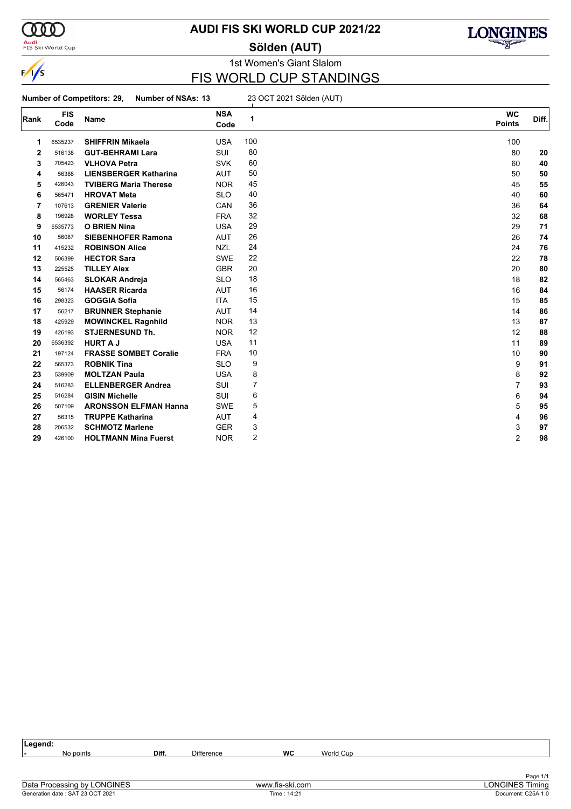

**Audi**<br>FIS Ski World Cup

### **AUDI FIS SKI WORLD CUP 2021/22**

**Sölden (AUT)**



### 1st Women's Giant Slalom FIS WORLD CUP STANDINGS

**Number of Competitors: 29, Number of NSAs: 13** 23 OCT 2021 Sölden (AUT)

| Rank | <b>FIS</b><br>Code | <b>Name</b>                  | <b>NSA</b><br>Code | 1   | <b>WC</b><br><b>Points</b> | Diff. |
|------|--------------------|------------------------------|--------------------|-----|----------------------------|-------|
| 1    | 6535237            | <b>SHIFFRIN Mikaela</b>      | <b>USA</b>         | 100 | 100                        |       |
| 2    | 516138             | <b>GUT-BEHRAMI Lara</b>      | SUI                | 80  | 80                         | 20    |
| 3    | 705423             | <b>VLHOVA Petra</b>          | <b>SVK</b>         | 60  | 60                         | 40    |
| 4    | 56388              | <b>LIENSBERGER Katharina</b> | <b>AUT</b>         | 50  | 50                         | 50    |
| 5    | 426043             | <b>TVIBERG Maria Therese</b> | <b>NOR</b>         | 45  | 45                         | 55    |
| 6    | 565471             | <b>HROVAT Meta</b>           | <b>SLO</b>         | 40  | 40                         | 60    |
| 7    | 107613             | <b>GRENIER Valerie</b>       | CAN                | 36  | 36                         | 64    |
| 8    | 196928             | <b>WORLEY Tessa</b>          | <b>FRA</b>         | 32  | 32                         | 68    |
| 9    | 6535773            | <b>O BRIEN Nina</b>          | <b>USA</b>         | 29  | 29                         | 71    |
| 10   | 56087              | <b>SIEBENHOFER Ramona</b>    | <b>AUT</b>         | 26  | 26                         | 74    |
| 11   | 415232             | <b>ROBINSON Alice</b>        | <b>NZL</b>         | 24  | 24                         | 76    |
| 12   | 506399             | <b>HECTOR Sara</b>           | <b>SWE</b>         | 22  | 22                         | 78    |
| 13   | 225525             | <b>TILLEY Alex</b>           | <b>GBR</b>         | 20  | 20                         | 80    |
| 14   | 565463             | <b>SLOKAR Andreja</b>        | <b>SLO</b>         | 18  | 18                         | 82    |
| 15   | 56174              | <b>HAASER Ricarda</b>        | <b>AUT</b>         | 16  | 16                         | 84    |
| 16   | 298323             | <b>GOGGIA Sofia</b>          | <b>ITA</b>         | 15  | 15                         | 85    |
| 17   | 56217              | <b>BRUNNER Stephanie</b>     | <b>AUT</b>         | 14  | 14                         | 86    |
| 18   | 425929             | <b>MOWINCKEL Ragnhild</b>    | <b>NOR</b>         | 13  | 13                         | 87    |
| 19   | 426193             | <b>STJERNESUND Th.</b>       | <b>NOR</b>         | 12  | 12                         | 88    |
| 20   | 6536392            | <b>HURT A J</b>              | <b>USA</b>         | 11  | 11                         | 89    |
| 21   | 197124             | <b>FRASSE SOMBET Coralie</b> | <b>FRA</b>         | 10  | 10                         | 90    |
| 22   | 565373             | <b>ROBNIK Tina</b>           | <b>SLO</b>         | 9   | 9                          | 91    |
| 23   | 539909             | <b>MOLTZAN Paula</b>         | <b>USA</b>         | 8   | 8                          | 92    |
| 24   | 516283             | <b>ELLENBERGER Andrea</b>    | SUI                | 7   | $\overline{7}$             | 93    |
| 25   | 516284             | <b>GISIN Michelle</b>        | <b>SUI</b>         | 6   | 6                          | 94    |
| 26   | 507109             | <b>ARONSSON ELFMAN Hanna</b> | <b>SWE</b>         | 5   | 5                          | 95    |
| 27   | 56315              | <b>TRUPPE Katharina</b>      | <b>AUT</b>         | 4   | 4                          | 96    |
| 28   | 206532             | <b>SCHMOTZ Marlene</b>       | <b>GER</b>         | 3   | 3                          | 97    |
| 29   | 426100             | <b>HOLTMANN Mina Fuerst</b>  | <b>NOR</b>         | 2   | $\overline{2}$             | 98    |

| ∣Legend: |           |       |                   |    |           |          |
|----------|-----------|-------|-------------------|----|-----------|----------|
| . .      | No points | Diff. | <b>Difference</b> | WC | World Cup |          |
|          |           |       |                   |    |           |          |
|          |           |       |                   |    |           |          |
|          |           |       |                   |    |           | Page 1/1 |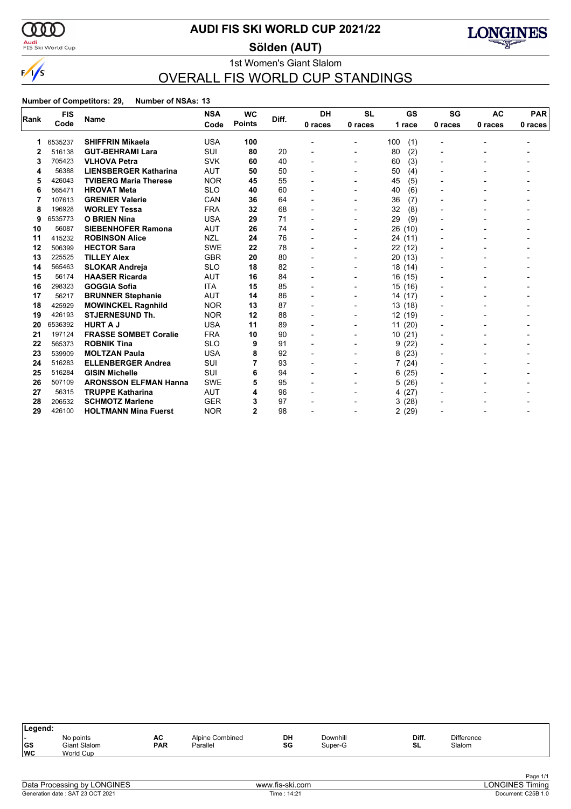

<mark>Audi</mark><br>FIS Ski World Cup

### **AUDI FIS SKI WORLD CUP 2021/22**

**Sölden (AUT)**



### 1st Women's Giant Slalom OVERALL FIS WORLD CUP STANDINGS

|              | <b>FIS</b> |                              | <b>NSA</b> | <b>WC</b>     | Diff. | <b>DH</b> | <b>SL</b>                | GS         | SG             | <b>AC</b> | <b>PAR</b> |
|--------------|------------|------------------------------|------------|---------------|-------|-----------|--------------------------|------------|----------------|-----------|------------|
| Rank         | Code       | <b>Name</b>                  | Code       | <b>Points</b> |       | 0 races   | 0 races                  | 1 race     | 0 races        | 0 races   | 0 races    |
|              | 6535237    | <b>SHIFFRIN Mikaela</b>      | <b>USA</b> | 100           |       |           | $\overline{\phantom{0}}$ | (1)<br>100 | -              |           |            |
| $\mathbf{2}$ | 516138     | <b>GUT-BEHRAMI Lara</b>      | <b>SUI</b> | 80            | 20    |           |                          | (2)<br>80  | $\overline{a}$ |           |            |
| 3            | 705423     | <b>VLHOVA Petra</b>          | SVK        | 60            | 40    |           |                          | 60<br>(3)  |                |           |            |
| 4            | 56388      | <b>LIENSBERGER Katharina</b> | <b>AUT</b> | 50            | 50    |           | $\overline{\phantom{0}}$ | (4)<br>50  | $\blacksquare$ |           |            |
| 5            | 426043     | <b>TVIBERG Maria Therese</b> | <b>NOR</b> | 45            | 55    |           |                          | (5)<br>45  |                |           |            |
| 6            | 565471     | <b>HROVAT Meta</b>           | <b>SLO</b> | 40            | 60    |           | $\blacksquare$           | (6)<br>40  |                |           |            |
| 7            | 107613     | <b>GRENIER Valerie</b>       | CAN        | 36            | 64    |           | $\blacksquare$           | 36<br>(7)  |                |           |            |
| 8            | 196928     | <b>WORLEY Tessa</b>          | <b>FRA</b> | 32            | 68    |           |                          | 32<br>(8)  |                |           |            |
| 9            | 6535773    | <b>O BRIEN Nina</b>          | <b>USA</b> | 29            | 71    |           |                          | (9)<br>29  |                |           |            |
| 10           | 56087      | <b>SIEBENHOFER Ramona</b>    | <b>AUT</b> | 26            | 74    |           | $\blacksquare$           | 26<br>(10) |                |           |            |
| 11           | 415232     | <b>ROBINSON Alice</b>        | <b>NZL</b> | 24            | 76    |           |                          | 24 (11)    |                |           |            |
| 12           | 506399     | <b>HECTOR Sara</b>           | <b>SWE</b> | 22            | 78    |           |                          | 22 (12)    |                |           |            |
| 13           | 225525     | <b>TILLEY Alex</b>           | <b>GBR</b> | 20            | 80    |           | $\blacksquare$           | 20 (13)    |                |           |            |
| 14           | 565463     | <b>SLOKAR Andreja</b>        | <b>SLO</b> | 18            | 82    |           |                          | 18 (14)    |                |           |            |
| 15           | 56174      | <b>HAASER Ricarda</b>        | <b>AUT</b> | 16            | 84    |           |                          | 16 (15)    |                |           |            |
| 16           | 298323     | <b>GOGGIA Sofia</b>          | <b>ITA</b> | 15            | 85    |           | $\blacksquare$           | 15 (16)    |                |           |            |
| 17           | 56217      | <b>BRUNNER Stephanie</b>     | <b>AUT</b> | 14            | 86    |           |                          | 14 (17)    |                |           |            |
| 18           | 425929     | <b>MOWINCKEL Ragnhild</b>    | <b>NOR</b> | 13            | 87    |           |                          | 13(18)     |                |           |            |
| 19           | 426193     | <b>STJERNESUND Th.</b>       | <b>NOR</b> | 12            | 88    |           | $\blacksquare$           | 12 (19)    |                |           |            |
| 20           | 6536392    | <b>HURT A J</b>              | <b>USA</b> | 11            | 89    |           |                          | 11(20)     |                |           |            |
| 21           | 197124     | <b>FRASSE SOMBET Coralie</b> | <b>FRA</b> | 10            | 90    |           |                          | 10(21)     | -              |           |            |
| 22           | 565373     | <b>ROBNIK Tina</b>           | <b>SLO</b> | 9             | 91    |           |                          | (22)<br>9  |                |           |            |
| 23           | 539909     | <b>MOLTZAN Paula</b>         | <b>USA</b> | 8             | 92    |           |                          | 8(23)      |                |           |            |
| 24           | 516283     | <b>ELLENBERGER Andrea</b>    | SUI        |               | 93    |           |                          | 7(24)      |                |           |            |
| 25           | 516284     | <b>GISIN Michelle</b>        | SUI        | 6             | 94    |           |                          | (25)<br>6  |                |           |            |
| 26           | 507109     | <b>ARONSSON ELFMAN Hanna</b> | <b>SWE</b> | 5             | 95    |           | $\blacksquare$           | 5(26)      |                |           |            |
| 27           | 56315      | <b>TRUPPE Katharina</b>      | <b>AUT</b> | 4             | 96    |           |                          | 4(27)      |                |           |            |
| 28           | 206532     | <b>SCHMOTZ Marlene</b>       | <b>GER</b> | 3             | 97    |           |                          | 3(28)      |                |           |            |
| 29           | 426100     | <b>HOLTMANN Mina Fuerst</b>  | <b>NOR</b> | 2             | 98    |           | $\overline{\phantom{0}}$ | 2(29)      |                |           |            |

| Legend:                  |                                               |                  |                             |          |                     |             |                             |  |
|--------------------------|-----------------------------------------------|------------------|-----------------------------|----------|---------------------|-------------|-----------------------------|--|
| . .<br> GS<br><b>IWC</b> | No points<br><b>Giant Slalom</b><br>World Cup | AC<br><b>PAR</b> | Alpine Combined<br>Parallel | DH<br>SG | Downhill<br>Super-G | Diff.<br>SL | <b>Difference</b><br>Slalom |  |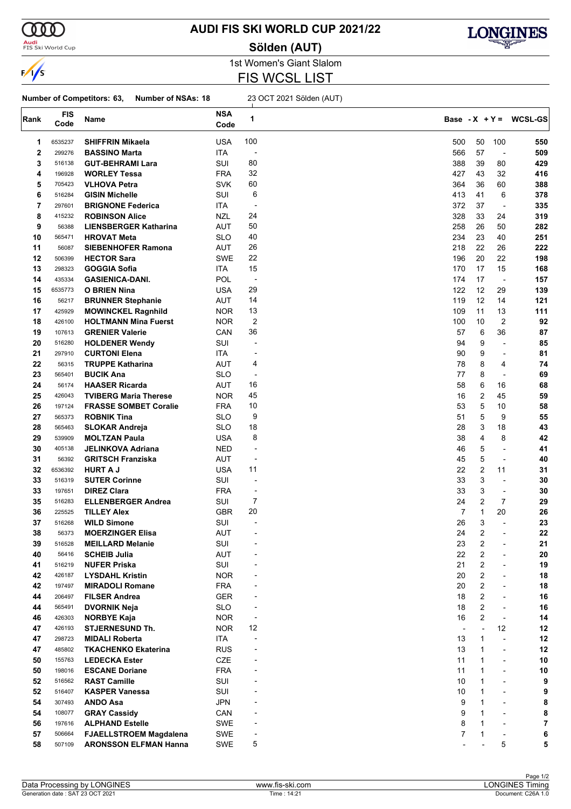

<mark>Audi</mark><br>FIS Ski World Cup

### **AUDI FIS SKI WORLD CUP 2021/22**

**Sölden (AUT)**



1st Women's Giant Slalom FIS WCSL LIST

#### **Number of Competitors: 63, Number of NSAs: 18** 23 OCT 2021 Sölden (AUT)

| Rank        | <b>FIS</b><br>Code | Name                          | <b>NSA</b><br>Code | 1                        |                |                |                          | Base - $X + Y = WCSL-GS$ |
|-------------|--------------------|-------------------------------|--------------------|--------------------------|----------------|----------------|--------------------------|--------------------------|
| 1           | 6535237            | <b>SHIFFRIN Mikaela</b>       | <b>USA</b>         | 100                      | 500            | 50             | 100                      | 550                      |
| $\mathbf 2$ | 299276             | <b>BASSINO Marta</b>          | ITA                | $\overline{\phantom{a}}$ | 566            | 57             | $\overline{a}$           | 509                      |
| 3           | 516138             | <b>GUT-BEHRAMI Lara</b>       | SUI                | 80                       | 388            | 39             | 80                       | 429                      |
| 4           | 196928             | <b>WORLEY Tessa</b>           | <b>FRA</b>         | 32                       | 427            | 43             | 32                       | 416                      |
| 5           | 705423             | <b>VLHOVA Petra</b>           | <b>SVK</b>         | 60                       | 364            | 36             | 60                       | 388                      |
|             | 516284             |                               | SUI                | 6                        | 413            | 41             | 6                        | 378                      |
| 6           |                    | <b>GISIN Michelle</b>         |                    |                          |                |                |                          |                          |
| 7           | 297601             | <b>BRIGNONE Federica</b>      | ITA                | $\overline{a}$           | 372            | 37             | $\overline{\phantom{0}}$ | 335                      |
| 8           | 415232             | <b>ROBINSON Alice</b>         | <b>NZL</b>         | 24                       | 328            | 33             | 24                       | 319                      |
| 9           | 56388              | <b>LIENSBERGER Katharina</b>  | AUT                | 50                       | 258            | 26             | 50                       | 282                      |
| 10          | 565471             | <b>HROVAT Meta</b>            | <b>SLO</b>         | 40                       | 234            | 23             | 40                       | 251                      |
| 11          | 56087              | <b>SIEBENHOFER Ramona</b>     | <b>AUT</b>         | 26                       | 218            | 22             | 26                       | 222                      |
| 12          | 506399             | <b>HECTOR Sara</b>            | <b>SWE</b>         | 22                       | 196            | 20             | 22                       | 198                      |
| 13          | 298323             | <b>GOGGIA Sofia</b>           | ITA.               | 15                       | 170            | 17             | 15                       | 168                      |
| 14          | 435334             | <b>GASIENICA-DANI.</b>        | POL                | $\overline{\phantom{a}}$ | 174            | 17             | $\overline{\phantom{a}}$ | 157                      |
| 15          | 6535773            | O BRIEN Nina                  | <b>USA</b>         | 29                       | 122            | 12             | 29                       | 139                      |
| 16          | 56217              | <b>BRUNNER Stephanie</b>      | <b>AUT</b>         | 14                       | 119            | 12             | 14                       | 121                      |
| 17          | 425929             | <b>MOWINCKEL Ragnhild</b>     | <b>NOR</b>         | 13                       | 109            | 11             | 13                       | 111                      |
| 18          | 426100             | <b>HOLTMANN Mina Fuerst</b>   | <b>NOR</b>         | $\boldsymbol{2}$         | 100            | 10             | $\overline{c}$           | 92                       |
| 19          | 107613             | <b>GRENIER Valerie</b>        | CAN                | 36                       | 57             | 6              | 36                       | 87                       |
| 20          | 516280             | <b>HOLDENER Wendy</b>         | SUI                | $\overline{a}$           | 94             | 9              | ÷,                       | 85                       |
| 21          | 297910             | <b>CURTONI Elena</b>          | ITA                | $\overline{\phantom{a}}$ | 90             | 9              | $\blacksquare$           | 81                       |
| 22          | 56315              | <b>TRUPPE Katharina</b>       | AUT                | 4                        | 78             | 8              | 4                        | 74                       |
| 23          | 565401             | <b>BUCIK Ana</b>              | <b>SLO</b>         | -                        | 77             | 8              | L,                       | 69                       |
| 24          | 56174              | <b>HAASER Ricarda</b>         | AUT                | 16                       | 58             | 6              | 16                       | 68                       |
| 25          | 426043             | <b>TVIBERG Maria Therese</b>  | <b>NOR</b>         | 45                       | 16             | 2              | 45                       | 59                       |
| 26          | 197124             | <b>FRASSE SOMBET Coralie</b>  | <b>FRA</b>         | 10                       | 53             | 5              | 10                       | 58                       |
| 27          | 565373             | <b>ROBNIK Tina</b>            | <b>SLO</b>         | 9                        | 51             | 5              | 9                        | 55                       |
|             |                    |                               |                    | 18                       |                |                |                          |                          |
| 28          | 565463             | <b>SLOKAR Andreja</b>         | SLO                |                          | 28             | 3              | 18                       | 43                       |
| 29          | 539909             | <b>MOLTZAN Paula</b>          | <b>USA</b>         | 8                        | 38             | 4              | 8                        | 42                       |
| 30          | 405138             | <b>JELINKOVA Adriana</b>      | <b>NED</b>         | $\overline{\phantom{a}}$ | 46             | 5              | $\blacksquare$           | 41                       |
| 31          | 56392              | <b>GRITSCH Franziska</b>      | <b>AUT</b>         | ÷,                       | 45             | 5              | $\overline{\phantom{a}}$ | 40                       |
| 32          | 6536392            | <b>HURT A J</b>               | <b>USA</b>         | 11                       | 22             | 2              | 11                       | 31                       |
| 33          | 516319             | <b>SUTER Corinne</b>          | SUI                | $\overline{a}$           | 33             | 3              | $\blacksquare$           | 30                       |
| 33          | 197651             | <b>DIREZ Clara</b>            | <b>FRA</b>         | $\overline{a}$           | 33             | 3              | $\overline{\phantom{a}}$ | 30                       |
| 35          | 516283             | <b>ELLENBERGER Andrea</b>     | SUI                | 7                        | 24             | $\overline{2}$ | 7                        | 29                       |
| 36          | 225525             | <b>TILLEY Alex</b>            | <b>GBR</b>         | 20                       | $\overline{7}$ | $\mathbf{1}$   | 20                       | 26                       |
| 37          | 516268             | <b>WILD Simone</b>            | SUI                |                          | 26             | 3              | $\overline{a}$           | 23                       |
| 38          | 56373              | <b>MOERZINGER Elisa</b>       | <b>AUT</b>         | $\overline{a}$           | 24             | 2              | $\overline{\phantom{a}}$ | 22                       |
| 39          | 516528             | <b>MEILLARD Melanie</b>       | SUI                |                          | 23             | 2              | $\overline{\phantom{0}}$ | 21                       |
| 40          | 56416              | <b>SCHEIB Julia</b>           | AUT                |                          | 22             | 2              | $\overline{a}$           | 20                       |
| 41          | 516219             | <b>NUFER Priska</b>           | SUI                |                          | 21             | 2              |                          | 19                       |
| 42          | 426187             | <b>LYSDAHL Kristin</b>        | <b>NOR</b>         |                          | 20             | 2              | $\overline{\phantom{a}}$ | 18                       |
| 42          | 197497             | <b>MIRADOLI Romane</b>        | <b>FRA</b>         |                          | 20             | $\overline{2}$ | $\overline{\phantom{a}}$ | 18                       |
| 44          | 206497             | <b>FILSER Andrea</b>          | <b>GER</b>         |                          | 18             | 2              | $\overline{\phantom{a}}$ | 16                       |
| 44          | 565491             | <b>DVORNIK Neja</b>           | <b>SLO</b>         | $\overline{\phantom{a}}$ | 18             | $\overline{2}$ | $\overline{\phantom{a}}$ | 16                       |
| 46          | 426303             | <b>NORBYE Kaja</b>            | <b>NOR</b>         | -                        | 16             | 2              | $\overline{\phantom{a}}$ | 14                       |
| 47          | 426193             | <b>STJERNESUND Th.</b>        | <b>NOR</b>         | 12                       | $\blacksquare$ |                | 12                       | 12                       |
| 47          | 298723             | <b>MIDALI Roberta</b>         | ITA                |                          | 13             | 1              | $\overline{\phantom{0}}$ | 12                       |
|             |                    |                               |                    |                          |                |                |                          |                          |
| 47          | 485802             | <b>TKACHENKO Ekaterina</b>    | <b>RUS</b>         |                          | 13             | $\mathbf{1}$   | $\overline{\phantom{0}}$ | 12                       |
| 50          | 155763             | <b>LEDECKA Ester</b>          | CZE                |                          | 11             | $\mathbf{1}$   | $\overline{\phantom{a}}$ | 10                       |
| 50          | 198016             | <b>ESCANE Doriane</b>         | <b>FRA</b>         |                          | 11             | 1              | $\overline{\phantom{a}}$ | 10                       |
| 52          | 516562             | <b>RAST Camille</b>           | SUI                |                          | 10             | 1              | $\overline{\phantom{0}}$ | 9                        |
| 52          | 516407             | <b>KASPER Vanessa</b>         | SUI                |                          | 10             | 1              | $\overline{a}$           | 9                        |
| 54          | 307493             | <b>ANDO Asa</b>               | <b>JPN</b>         |                          | 9              | 1              | $\overline{\phantom{a}}$ | 8                        |
| 54          | 108077             | <b>GRAY Cassidy</b>           | CAN                |                          | 9              | $\mathbf{1}$   | $\overline{\phantom{a}}$ | 8                        |
| 56          | 197616             | <b>ALPHAND Estelle</b>        | <b>SWE</b>         | $\overline{a}$           | 8              | 1              | $\overline{\phantom{a}}$ | 7                        |
| 57          | 506664             | <b>FJAELLSTROEM Magdalena</b> | SWE                | $\overline{\phantom{a}}$ | $\overline{7}$ | 1              | $\overline{\phantom{a}}$ | 6                        |
| 58          | 507109             | <b>ARONSSON ELFMAN Hanna</b>  | SWE                | 5                        |                |                | 5                        | 5                        |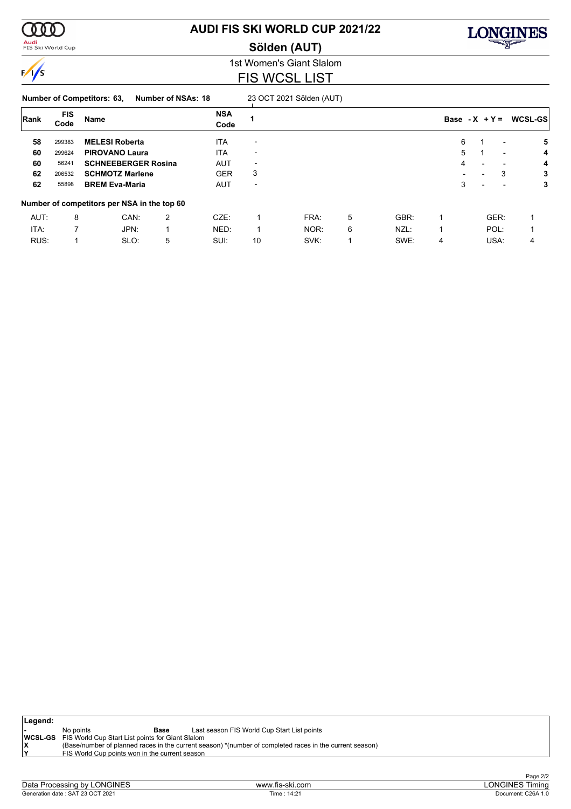

**Audi**<br>FIS Ski World Cup

### **AUDI FIS SKI WORLD CUP 2021/22**

**Sölden (AUT)**



1st Women's Giant Slalom FIS WCSL LIST

**Number of Competitors: 63, Number of NSAs: 18** 23 OCT 2021 Sölden (AUT)

| Rank | <b>FIS</b><br>Code | Name                                        |   | <b>NSA</b><br>Code |                          |      |   |      | Base - $X + Y =$         |                          |                          | <b>WCSL-GSI</b> |
|------|--------------------|---------------------------------------------|---|--------------------|--------------------------|------|---|------|--------------------------|--------------------------|--------------------------|-----------------|
| 58   | 299383             | <b>MELESI Roberta</b>                       |   | <b>ITA</b>         | $\overline{\phantom{0}}$ |      |   |      | 6                        |                          | $\overline{a}$           | 5               |
| 60   | 299624             | <b>PIROVANO Laura</b>                       |   | <b>ITA</b>         | $\overline{\phantom{0}}$ |      |   |      | 5                        |                          | $\overline{\phantom{0}}$ | 4               |
| 60   | 56241              | <b>SCHNEEBERGER Rosina</b>                  |   | <b>AUT</b>         | $\overline{\phantom{0}}$ |      |   |      | 4                        | ۰                        |                          | 4               |
| 62   | 206532             | <b>SCHMOTZ Marlene</b>                      |   | <b>GER</b>         | 3                        |      |   |      | $\overline{\phantom{0}}$ |                          | 3                        | 3               |
| 62   | 55898              | <b>BREM Eva-Maria</b>                       |   | <b>AUT</b>         | $\overline{\phantom{a}}$ |      |   |      | 3                        | $\overline{\phantom{0}}$ |                          | 3               |
|      |                    | Number of competitors per NSA in the top 60 |   |                    |                          |      |   |      |                          |                          |                          |                 |
| AUT: | 8                  | CAN:                                        | 2 | $CZE$ :            |                          | FRA: | 5 | GBR: |                          |                          | GER:                     |                 |
| ITA: |                    | JPN:                                        |   | NED:               |                          | NOR: | 6 | NZL: |                          |                          | POL:                     |                 |
| RUS: |                    | SLO:                                        | 5 | SUI:               | 10                       | SVK: |   | SWE: | 4                        |                          | USA:                     | 4               |

| Legend: |           |                                                                 |                                                                                                         |
|---------|-----------|-----------------------------------------------------------------|---------------------------------------------------------------------------------------------------------|
|         | No points | Base                                                            | Last season FIS World Cup Start List points                                                             |
|         |           | <b>WCSL-GS</b> FIS World Cup Start List points for Giant Slalom |                                                                                                         |
| ΙX      |           |                                                                 | (Base/number of planned races in the current season) *(number of completed races in the current season) |
| ١v      |           | FIS World Cup points won in the current season                  |                                                                                                         |
|         |           |                                                                 |                                                                                                         |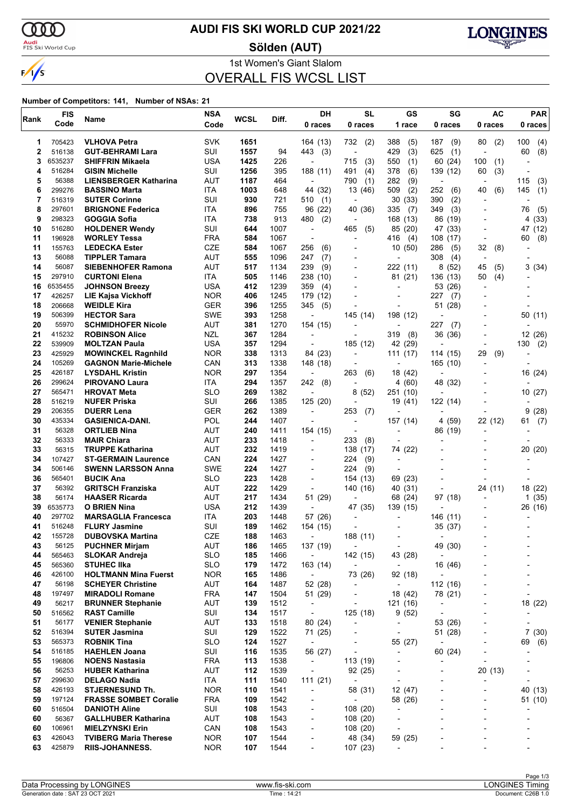

<mark>Audi</mark><br>FIS Ski World Cup

### **AUDI FIS SKI WORLD CUP 2021/22**

**Sölden (AUT)**



1st Women's Giant Slalom OVERALL FIS WCSL LIST

|          | <b>FIS</b>        |                                                    | <b>NSA</b>        | WCSL       | Diff.        | DH                                  | <b>SL</b>                            | GS                               | SG                               | <b>AC</b>                | <b>PAR</b>                    |
|----------|-------------------|----------------------------------------------------|-------------------|------------|--------------|-------------------------------------|--------------------------------------|----------------------------------|----------------------------------|--------------------------|-------------------------------|
| Rank     | Code              | Name                                               | Code              |            |              | 0 races                             | 0 races                              | 1 race                           | 0 races                          | 0 races                  | 0 races                       |
| 1        | 705423            | <b>VLHOVA Petra</b>                                | <b>SVK</b>        | 1651       |              | 164 (13)                            | 732<br>(2)                           | 388<br>(5)                       | 187<br>(9)                       | 80<br>(2)                | 100<br>(4)                    |
| 2        | 516138            | <b>GUT-BEHRAMI Lara</b>                            | SUI               | 1557       | 94           | 443<br>(3)                          | $\overline{\phantom{a}}$             | (3)<br>429                       | 625<br>(1)                       | $\overline{\phantom{a}}$ | (8)<br>60                     |
| 3        | 6535237           | <b>SHIFFRIN Mikaela</b>                            | <b>USA</b>        | 1425       | 226          |                                     | 715<br>(3)                           | 550<br>(1)                       | 60 (24)                          | 100<br>(1)               |                               |
| 4        | 516284            | <b>GISIN Michelle</b>                              | SUI               | 1256       | 395          | 188 (11)                            | 491<br>(4)                           | 378<br>(6)                       | 139 (12)                         | 60<br>(3)                |                               |
| 5        | 56388             | <b>LIENSBERGER Katharina</b>                       | AUT               | 1187       | 464          | $\overline{\phantom{a}}$            | 790<br>(1)                           | 282<br>(9)                       | $\overline{\phantom{a}}$         | $\overline{\phantom{a}}$ | 115<br>(3)                    |
| 6        | 299276            | <b>BASSINO Marta</b>                               | ITA               | 1003       | 648          | 44 (32)                             | 13 (46)                              | (2)<br>509                       | 252<br>(6)                       | (6)<br>40                | 145<br>(1)                    |
| 7        | 516319            | <b>SUTER Corinne</b>                               | SUI               | 930        | 721          | 510<br>(1)                          |                                      | (33)<br>30                       | 390<br>(2)                       |                          |                               |
| 8        | 297601            | <b>BRIGNONE Federica</b>                           | ITA               | 896        | 755          | 96 (22)                             | 40 (36)                              | 335<br>(7)                       | 349<br>(3)                       | $\overline{\phantom{a}}$ | (5)<br>76                     |
| 9        | 298323            | GOGGIA Sofia                                       | ITA               | 738        | 913          | 480<br>(2)                          |                                      | 168 (13)                         | 86 (19)                          |                          | 4 (33)                        |
| 10       | 516280            | <b>HOLDENER Wendy</b>                              | SUI               | 644        | 1007         | $\overline{\phantom{a}}$            | 465<br>(5)                           | 85 (20)                          | 47 (33)                          |                          | 47 (12)                       |
| 11       | 196928            | <b>WORLEY Tessa</b>                                | <b>FRA</b>        | 584        | 1067         | $\overline{\phantom{a}}$            | $\overline{a}$                       | (4)<br>416                       | 108 (17)                         | $\overline{\phantom{a}}$ | (8)<br>60                     |
| 11       | 155763            | <b>LEDECKA Ester</b>                               | <b>CZE</b>        | 584        | 1067         | 256<br>(6)                          |                                      | 10(50)                           | 286<br>(5)                       | 32<br>(8)                |                               |
| 13       | 56088             | <b>TIPPLER Tamara</b>                              | <b>AUT</b>        | 555        | 1096         | (7)<br>247                          |                                      | $\overline{\phantom{a}}$         | 308<br>(4)                       | $\overline{\phantom{a}}$ |                               |
| 14       | 56087             | <b>SIEBENHOFER Ramona</b>                          | AUT               | 517        | 1134         | 239<br>(9)                          | $\blacksquare$                       | 222 (11)                         | 8 (52)                           | 45<br>(5)                | 3(34)                         |
| 15       | 297910            | <b>CURTONI Elena</b>                               | ITA<br><b>USA</b> | 505        | 1146         | 238 (10)                            |                                      | 81 (21)                          | 136 (13)                         | 50<br>(4)                |                               |
| 16<br>17 | 6535455<br>426257 | <b>JOHNSON Breezy</b><br><b>LIE Kajsa Vickhoff</b> | <b>NOR</b>        | 412<br>406 | 1239         | 359<br>(4)                          |                                      | $\overline{\phantom{0}}$         | 53 (26)                          |                          |                               |
| 18       | 206668            | <b>WEIDLE Kira</b>                                 | <b>GER</b>        | 396        | 1245<br>1255 | 179 (12)<br>345<br>(5)              |                                      | $\overline{a}$<br>$\overline{a}$ | 227<br>(7)<br>51 (28)            |                          |                               |
| 19       | 506399            | <b>HECTOR Sara</b>                                 | <b>SWE</b>        | 393        | 1258         | ÷,                                  | 145 (14)                             | 198 (12)                         |                                  |                          | 50 (11)                       |
| 20       | 55970             | <b>SCHMIDHOFER Nicole</b>                          | <b>AUT</b>        | 381        | 1270         | 154 (15)                            |                                      |                                  | 227<br>(7)                       |                          |                               |
| 21       | 415232            | <b>ROBINSON Alice</b>                              | <b>NZL</b>        | 367        | 1284         |                                     |                                      | 319<br>(8)                       | 36 (36)                          |                          | 12 (26)                       |
| 22       | 539909            | <b>MOLTZAN Paula</b>                               | <b>USA</b>        | 357        | 1294         |                                     | 185 (12)                             | 42 (29)                          |                                  |                          | 130<br>(2)                    |
| 23       | 425929            | <b>MOWINCKEL Ragnhild</b>                          | <b>NOR</b>        | 338        | 1313         | 84 (23)                             | $\overline{\phantom{a}}$             | 111(17)                          | 114 (15)                         | 29<br>(9)                |                               |
| 24       | 105269            | <b>GAGNON Marie-Michele</b>                        | CAN               | 313        | 1338         | 148 (18)                            |                                      | $\overline{\phantom{a}}$         | 165 (10)                         |                          |                               |
| 25       | 426187            | <b>LYSDAHL Kristin</b>                             | <b>NOR</b>        | 297        | 1354         | $\overline{\phantom{a}}$            | 263<br>(6)                           | 18 (42)                          |                                  |                          | 16 (24)                       |
| 26       | 299624            | <b>PIROVANO Laura</b>                              | ITA               | 294        | 1357         | 242<br>(8)                          | $\blacksquare$                       | 4 (60)                           | 48 (32)                          |                          |                               |
| 27       | 565471            | <b>HROVAT Meta</b>                                 | <b>SLO</b>        | 269        | 1382         |                                     | (52)<br>8                            | 251 (10)                         |                                  |                          | 10 (27)                       |
| 28       | 516219            | <b>NUFER Priska</b>                                | SUI               | 266        | 1385         | 125(20)                             |                                      | 19 (41)                          | 122 (14)                         |                          |                               |
| 29       | 206355            | <b>DUERR Lena</b>                                  | <b>GER</b>        | 262        | 1389         | $\overline{\phantom{a}}$            | 253<br>(7)                           | $\overline{\phantom{0}}$         | $\overline{\phantom{a}}$         | $\overline{\phantom{a}}$ | 9<br>(28)                     |
| 30       | 435334            | <b>GASIENICA-DANI.</b>                             | POL               | 244        | 1407         |                                     | $\blacksquare$                       | 157 (14)                         | 4 (59)                           | 22 (12)                  | 61<br>(7)                     |
| 31       | 56328             | <b>ORTLIEB Nina</b>                                | AUT               | 240        | 1411         | 154 (15)                            |                                      | ٠                                | 86 (19)                          |                          |                               |
| 32       | 56333             | <b>MAIR Chiara</b>                                 | AUT               | 233        | 1418         | $\overline{\phantom{a}}$            | 233<br>(8)                           | $\overline{\phantom{0}}$         |                                  |                          |                               |
| 33       | 56315             | <b>TRUPPE Katharina</b>                            | <b>AUT</b>        | 232        | 1419         |                                     | 138 (17)                             | 74 (22)                          |                                  |                          | 20 (20)                       |
| 34       | 107427            | <b>ST-GERMAIN Laurence</b>                         | CAN               | 224        | 1427         | $\blacksquare$                      | 224<br>(9)                           | $\overline{\phantom{a}}$         |                                  |                          |                               |
| 34       | 506146            | <b>SWENN LARSSON Anna</b>                          | <b>SWE</b>        | 224        | 1427         | $\overline{\phantom{a}}$            | 224<br>(9)                           | $\blacksquare$                   |                                  |                          |                               |
| 36       | 565401<br>56392   | <b>BUCIK Ana</b>                                   | <b>SLO</b>        | 223        | 1428         | $\blacksquare$                      | 154 (13)                             | 69 (23)                          |                                  |                          |                               |
| 37<br>38 | 56174             | <b>GRITSCH Franziska</b><br><b>HAASER Ricarda</b>  | AUT<br>AUT        | 222<br>217 | 1429<br>1434 | $\overline{a}$<br>51 (29)           | 140 (16)<br>$\overline{\phantom{a}}$ | 40<br>(31)<br>68<br>(24)         | 97 (18)                          | 24 (11)                  | 18 (22)                       |
| 39       | 6535773           | O BRIEN Nina                                       | <b>USA</b>        | 212        | 1439         | L,                                  | 47 (35)                              | 139 (15)                         |                                  |                          | 1(35)<br>26 (16)              |
| 40       | 297702            | <b>MARSAGLIA Francesca</b>                         | ITA               | 203        | 1448         | 57 (26)                             |                                      |                                  | 146 (11)                         |                          |                               |
| 41       | 516248            | <b>FLURY Jasmine</b>                               | SUI               | 189        | 1462         | 154 (15)                            |                                      |                                  | 35 (37)                          |                          |                               |
| 42       | 155728            | <b>DUBOVSKA Martina</b>                            | <b>CZE</b>        | 188        | 1463         |                                     | 188 (11)                             | $\overline{\phantom{0}}$         | $\blacksquare$                   |                          |                               |
| 43       | 56125             | <b>PUCHNER Mirjam</b>                              | AUT               | 186        | 1465         | 137 (19)                            | $\overline{a}$                       | $\overline{\phantom{a}}$         | 49 (30)                          |                          |                               |
| 44       | 565463            | <b>SLOKAR Andreja</b>                              | <b>SLO</b>        | 185        | 1466         | $\overline{\phantom{a}}$            | 142 (15)                             | 43 (28)                          | $\overline{\phantom{a}}$         |                          |                               |
| 45       | 565360            | <b>STUHEC IIka</b>                                 | <b>SLO</b>        | 179        | 1472         | 163 (14)                            | $\overline{a}$                       | $\overline{\phantom{a}}$         | 16 (46)                          |                          |                               |
| 46       | 426100            | <b>HOLTMANN Mina Fuerst</b>                        | <b>NOR</b>        | 165        | 1486         | $\overline{\phantom{a}}$            | 73 (26)                              | 92 (18)                          | ÷,                               |                          |                               |
| 47       | 56198             | <b>SCHEYER Christine</b>                           | AUT               | 164        | 1487         | 52 (28)                             | $\overline{\phantom{a}}$             | $\overline{\phantom{a}}$         | 112 (16)                         |                          | $\overline{a}$                |
| 48       | 197497            | <b>MIRADOLI Romane</b>                             | <b>FRA</b>        | 147        | 1504         | 51 (29)                             | $\overline{\phantom{a}}$             | 18 (42)                          | 78 (21)                          |                          | $\overline{\phantom{a}}$      |
| 49       | 56217             | <b>BRUNNER Stephanie</b>                           | <b>AUT</b>        | 139        | 1512         | $\overline{\phantom{a}}$            | ÷,                                   | 121 (16)                         | $\overline{\phantom{a}}$         |                          | 18 (22)                       |
| 50       | 516562            | <b>RAST Camille</b>                                | SUI               | 134        | 1517         | $\overline{\phantom{a}}$            | 125 (18)                             | 9(52)                            | $\overline{\phantom{a}}$         |                          | -                             |
| 51       | 56177             | <b>VENIER Stephanie</b>                            | <b>AUT</b>        | 133        | 1518         | 80 (24)                             | ٠                                    | -                                | 53 (26)                          |                          | ٠                             |
| 52       | 516394            | <b>SUTER Jasmina</b>                               | SUI               | 129        | 1522         | 71 (25)                             |                                      | $\overline{\phantom{a}}$         | 51 (28)                          |                          | 7(30)                         |
| 53       | 565373            | <b>ROBNIK Tina</b>                                 | <b>SLO</b>        | 124        | 1527         | $\overline{\phantom{a}}$            | ٠                                    | 55 (27)                          | $\overline{\phantom{a}}$         |                          | (6)<br>69                     |
| 54       | 516185            | <b>HAEHLEN Joana</b>                               | SUI               | 116        | 1535         | 56 (27)                             | ÷,                                   | $\overline{\phantom{a}}$         | 60 (24)                          |                          |                               |
| 55       | 196806            | <b>NOENS Nastasia</b>                              | <b>FRA</b>        | 113        | 1538         | $\overline{\phantom{a}}$            | 113 (19)                             | $\overline{\phantom{0}}$         |                                  | $\blacksquare$           |                               |
| 56<br>57 | 56253<br>299630   | <b>HUBER Katharina</b><br><b>DELAGO Nadia</b>      | <b>AUT</b><br>ITA | 112<br>111 | 1539<br>1540 | $\overline{\phantom{a}}$<br>111(21) | 92 (25)<br>$\overline{\phantom{a}}$  | -<br>$\overline{\phantom{0}}$    | $\overline{a}$<br>$\overline{a}$ | 20(13)                   | ٠<br>$\overline{\phantom{a}}$ |
| 58       | 426193            | <b>STJERNESUND Th.</b>                             | <b>NOR</b>        | 110        | 1541         | $\overline{\phantom{a}}$            | 58 (31)                              | 12(47)                           | ٠                                |                          | 40 (13)                       |
| 59       | 197124            | <b>FRASSE SOMBET Coralie</b>                       | <b>FRA</b>        | 109        | 1542         | $\overline{\phantom{a}}$            | $\overline{\phantom{a}}$             | 58 (26)                          | ٠                                |                          | 51 (10)                       |
| 60       | 516504            | <b>DANIOTH Aline</b>                               | SUI               | 108        | 1543         | $\overline{\phantom{a}}$            | 108 (20)                             | $\overline{\phantom{a}}$         |                                  |                          |                               |
| 60       | 56367             | <b>GALLHUBER Katharina</b>                         | AUT               | 108        | 1543         | $\overline{\phantom{a}}$            | 108 (20)                             | $\overline{\phantom{a}}$         |                                  |                          |                               |
| 60       | 106961            | <b>MIELZYNSKI Erin</b>                             | CAN               | 108        | 1543         | $\overline{\phantom{a}}$            | 108(20)                              | $\overline{\phantom{a}}$         |                                  |                          |                               |
| 63       | 426043            | <b>TVIBERG Maria Therese</b>                       | <b>NOR</b>        | 107        | 1544         | -                                   | 48 (34)                              | 59 (25)                          |                                  |                          | -                             |
| 63       | 425879            | RIIS-JOHANNESS.                                    | <b>NOR</b>        | 107        | 1544         | $\overline{\phantom{a}}$            | 107(23)                              | $\overline{\phantom{0}}$         |                                  |                          |                               |
|          |                   |                                                    |                   |            |              |                                     |                                      |                                  |                                  |                          |                               |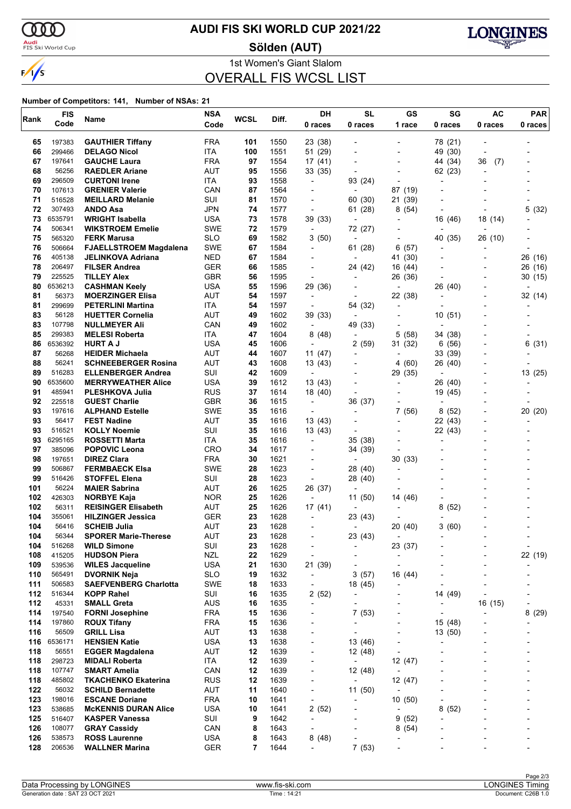

<mark>Audi</mark><br>FIS Ski World Cup

### **AUDI FIS SKI WORLD CUP 2021/22**

**Sölden (AUT)**



1st Women's Giant Slalom OVERALL FIS WCSL LIST

| Rank       | <b>FIS</b>       | Name                                            | <b>NSA</b>               | <b>WCSL</b> | Diff.        | DH                                  | <b>SL</b>                                            | <b>GS</b>                                            | SG                       | <b>AC</b>                | <b>PAR</b>     |
|------------|------------------|-------------------------------------------------|--------------------------|-------------|--------------|-------------------------------------|------------------------------------------------------|------------------------------------------------------|--------------------------|--------------------------|----------------|
|            | Code             |                                                 | Code                     |             |              | 0 races                             | 0 races                                              | 1 race                                               | 0 races                  | 0 races                  | 0 races        |
| 65         | 197383           | <b>GAUTHIER Tiffany</b>                         | <b>FRA</b>               | 101         | 1550         | 23 (38)                             |                                                      |                                                      | 78 (21)                  |                          |                |
| 66         | 299466           | <b>DELAGO Nicol</b>                             | ITA                      | 100         | 1551         | 51 (29)                             |                                                      | -                                                    | 49 (30)                  | $\overline{\phantom{a}}$ |                |
| 67         | 197641           | <b>GAUCHE Laura</b>                             | <b>FRA</b>               | 97          | 1554         | 17(41)                              |                                                      | $\overline{a}$                                       | 44 (34)                  | 36<br>(7)                |                |
| 68         | 56256            | <b>RAEDLER Ariane</b>                           | <b>AUT</b>               | 95          | 1556         | 33 (35)                             |                                                      |                                                      | 62 (23)                  |                          |                |
| 69         | 296509           | <b>CURTONI Irene</b>                            | ITA                      | 93          | 1558         | $\overline{\phantom{a}}$            | 93 (24)                                              | -                                                    | $\overline{a}$           |                          |                |
| 70         | 107613           | <b>GRENIER Valerie</b>                          | CAN                      | 87          | 1564         | $\blacksquare$                      | ÷,                                                   | 87 (19)                                              |                          |                          |                |
| 71<br>72   | 516528<br>307493 | <b>MEILLARD Melanie</b><br><b>ANDO Asa</b>      | SUI<br>JPN               | 81<br>74    | 1570         | $\overline{a}$                      | 60 (30)                                              | 21 (39)                                              |                          |                          |                |
| 73         | 6535791          | <b>WRIGHT Isabella</b>                          | USA                      | 73          | 1577<br>1578 | $\overline{\phantom{a}}$<br>39 (33) | 61 (28)<br>$\overline{\phantom{a}}$                  | (54)<br>8                                            | 16 (46)                  | 18 (14)                  | 5(32)          |
| 74         | 506341           | <b>WIKSTROEM Emelie</b>                         | <b>SWE</b>               | 72          | 1579         | $\overline{\phantom{a}}$            | 72 (27)                                              |                                                      |                          |                          |                |
| 75         | 565320           | <b>FERK Marusa</b>                              | <b>SLO</b>               | 69          | 1582         | 3 (50)                              | $\overline{\phantom{a}}$                             | -                                                    | 40 (35)                  | 26 (10)                  |                |
| 76         | 506664           | <b>FJAELLSTROEM Magdalena</b>                   | <b>SWE</b>               | 67          | 1584         | $\overline{\phantom{a}}$            | 61 (28)                                              | 6<br>(57)                                            | $\overline{a}$           | $\blacksquare$           |                |
| 76         | 405138           | JELINKOVA Adriana                               | <b>NED</b>               | 67          | 1584         |                                     |                                                      | 41 (30)                                              |                          |                          | 26 (16)        |
| 78         | 206497           | <b>FILSER Andrea</b>                            | <b>GER</b>               | 66          | 1585         | $\overline{\phantom{a}}$            | 24 (42)                                              | 16 (44)                                              |                          |                          | 26 (16)        |
| 79         | 225525           | <b>TILLEY Alex</b>                              | <b>GBR</b>               | 56          | 1595         | $\overline{\phantom{a}}$            | $\blacksquare$                                       | 26 (36)                                              |                          |                          | 30 (15)        |
| 80         | 6536213          | <b>CASHMAN Keely</b>                            | <b>USA</b>               | 55          | 1596         | 29 (36)                             |                                                      | Ĭ.                                                   | 26 (40)                  |                          |                |
| 81         | 56373            | <b>MOERZINGER Elisa</b>                         | <b>AUT</b>               | 54          | 1597         | $\overline{\phantom{a}}$            | $\blacksquare$                                       | 22 (38)                                              | $\overline{a}$           |                          | 32 (14)        |
| 81<br>83   | 299699<br>56128  | <b>PETERLINI Martina</b>                        | ITA<br><b>AUT</b>        | 54<br>49    | 1597<br>1602 | $\overline{\phantom{a}}$            | 54 (32)                                              | $\overline{\phantom{0}}$                             |                          |                          |                |
| 83         | 107798           | <b>HUETTER Cornelia</b><br><b>NULLMEYER Ali</b> | CAN                      | 49          | 1602         | 39 (33)<br>$\overline{\phantom{a}}$ | $\overline{\phantom{a}}$<br>49 (33)                  | -                                                    | 10(51)                   |                          |                |
| 85         | 299383           | <b>MELESI Roberta</b>                           | ITA                      | 47          | 1604         | 8(48)                               | $\overline{\phantom{a}}$                             | 5<br>(58)                                            | 34 (38)                  |                          |                |
| 86         | 6536392          | <b>HURT A J</b>                                 | <b>USA</b>               | 45          | 1606         | $\overline{\phantom{a}}$            | 2 (59)                                               | 31 (32)                                              | 6(56)                    |                          | 6(31)          |
| 87         | 56268            | <b>HEIDER Michaela</b>                          | AUT                      | 44          | 1607         | 11 (47)                             | $\overline{\phantom{0}}$                             |                                                      | 33 (39)                  |                          |                |
| 88         | 56241            | <b>SCHNEEBERGER Rosina</b>                      | AUT                      | 43          | 1608         | 13 (43)                             |                                                      | 4<br>(60)                                            | 26 (40)                  |                          |                |
| 89         | 516283           | <b>ELLENBERGER Andrea</b>                       | SUI                      | 42          | 1609         | $\overline{\phantom{a}}$            |                                                      | 29 (35)                                              | $\overline{\phantom{a}}$ |                          | 13 (25)        |
| 90         | 6535600          | <b>MERRYWEATHER Alice</b>                       | <b>USA</b>               | 39          | 1612         | 13 (43)                             |                                                      | $\overline{\phantom{a}}$                             | 26 (40)                  |                          |                |
| 91         | 485941           | <b>PLESHKOVA Julia</b>                          | <b>RUS</b>               | 37          | 1614         | 18 (40)                             | $\overline{a}$                                       | $\blacksquare$                                       | 19 (45)                  |                          |                |
| 92         | 225518           | <b>GUEST Charlie</b>                            | <b>GBR</b>               | 36          | 1615         | ٠                                   | 36 (37)                                              |                                                      |                          |                          |                |
| 93         | 197616           | <b>ALPHAND Estelle</b>                          | <b>SWE</b>               | 35          | 1616         | $\overline{a}$                      | $\overline{\phantom{a}}$                             | 7<br>(56)                                            | 8<br>(52)                |                          | 20 (20)        |
| 93<br>93   | 56417<br>516521  | <b>FEST Nadine</b><br><b>KOLLY Noemie</b>       | AUT<br>SUI               | 35<br>35    | 1616<br>1616 | 13 (43)<br>13 (43)                  |                                                      | $\overline{\phantom{0}}$                             | 22 (43)<br>22 (43)       |                          |                |
| 93         | 6295165          | <b>ROSSETTI Marta</b>                           | ITA                      | 35          | 1616         | $\overline{\phantom{a}}$            | 35 (38)                                              |                                                      | $\overline{a}$           |                          |                |
| 97         | 385096           | <b>POPOVIC Leona</b>                            | CRO                      | 34          | 1617         | $\overline{\phantom{a}}$            | 34 (39)                                              |                                                      |                          |                          |                |
| 98         | 197651           | <b>DIREZ Clara</b>                              | <b>FRA</b>               | 30          | 1621         |                                     |                                                      | 30 (33)                                              |                          |                          |                |
| 99         | 506867           | <b>FERMBAECK Elsa</b>                           | <b>SWE</b>               | 28          | 1623         | $\overline{\phantom{a}}$            | 28 (40)                                              |                                                      |                          |                          |                |
| 99         | 516426           | <b>STOFFEL Elena</b>                            | SUI                      | 28          | 1623         | $\overline{\phantom{a}}$            | 28 (40)                                              |                                                      |                          |                          |                |
| 101        | 56224            | <b>MAIER Sabrina</b>                            | <b>AUT</b>               | 26          | 1625         | 26 (37)                             | $\overline{\phantom{a}}$                             | ٠                                                    |                          |                          |                |
| 102        | 426303           | <b>NORBYE Kaja</b>                              | <b>NOR</b>               | 25          | 1626         | $\overline{\phantom{a}}$            | 11(50)                                               | 14 (46)                                              |                          |                          |                |
| 102        | 56311            | <b>REISINGER Elisabeth</b>                      | <b>AUT</b>               | 25          | 1626         | 17 (41)                             |                                                      | $\blacksquare$                                       | 8<br>(52)                |                          |                |
| 104<br>104 | 355061<br>56416  | <b>HILZINGER Jessica</b><br><b>SCHEIB Julia</b> | <b>GER</b><br>AUT        | 23<br>23    | 1628<br>1628 | L,                                  | 23 (43)<br>$\overline{\phantom{a}}$                  |                                                      |                          |                          |                |
| 104        | 56344            | <b>SPORER Marie-Therese</b>                     | AUT                      | 23          | 1628         |                                     | 23 (43)                                              | 20 (40)<br>$\overline{\phantom{a}}$                  | 3(60)                    |                          |                |
| 104        | 516268           | <b>WILD Simone</b>                              | SUI                      | 23          | 1628         | -                                   | -                                                    | 23 (37)                                              |                          |                          | $\overline{a}$ |
| 108        | 415205           | <b>HUDSON Piera</b>                             | <b>NZL</b>               | 22          | 1629         | $\overline{a}$                      |                                                      | $\overline{\phantom{a}}$                             |                          |                          | 22 (19)        |
| 109        | 539536           | <b>WILES Jacqueline</b>                         | <b>USA</b>               | 21          | 1630         | 21 (39)                             | ÷,                                                   | $\overline{\phantom{a}}$                             |                          | $\overline{\phantom{a}}$ |                |
| 110        | 565491           | <b>DVORNIK Neja</b>                             | <b>SLO</b>               | 19          | 1632         | $\overline{\phantom{0}}$            | 3(57)                                                | 16 (44)                                              |                          |                          |                |
| 111        | 506583           | <b>SAEFVENBERG Charlotta</b>                    | <b>SWE</b>               | 18          | 1633         | $\overline{\phantom{a}}$            | 18 (45)                                              |                                                      |                          |                          |                |
| 112        | 516344           | <b>KOPP Rahel</b>                               | SUI                      | 16          | 1635         | 2(52)                               | $\overline{\phantom{a}}$                             | -                                                    | 14 (49)                  | -                        |                |
| 112        | 45331            | <b>SMALL Greta</b>                              | AUS                      | 16          | 1635         | $\overline{\phantom{a}}$            | ٠                                                    |                                                      |                          | 16 (15)                  |                |
| 114<br>114 | 197540<br>197860 | <b>FORNI Josephine</b><br><b>ROUX Tifany</b>    | <b>FRA</b><br><b>FRA</b> | 15<br>15    | 1636<br>1636 | $\overline{\phantom{0}}$<br>-       | 7(53)<br>$\overline{\phantom{a}}$                    | $\overline{\phantom{0}}$<br>$\overline{\phantom{0}}$ | 15 (48)                  | -                        | 8(29)          |
| 116        | 56509            | <b>GRILL Lisa</b>                               | AUT                      | 13          | 1638         | ٠                                   |                                                      | $\overline{\phantom{0}}$                             | 13 (50)                  |                          |                |
| 116        | 6536171          | <b>HENSIEN Katie</b>                            | <b>USA</b>               | 13          | 1638         | $\overline{\phantom{0}}$            | 13 (46)                                              | $\overline{\phantom{0}}$                             | ÷                        |                          |                |
| 118        | 56551            | <b>EGGER Magdalena</b>                          | AUT                      | 12          | 1639         | -                                   | 12 (48)                                              | -                                                    | $\overline{\phantom{a}}$ |                          |                |
| 118        | 298723           | <b>MIDALI Roberta</b>                           | ITA                      | 12          | 1639         | ٠                                   | $\overline{\phantom{a}}$                             | 12 (47)                                              |                          |                          |                |
| 118        | 107747           | <b>SMART Amelia</b>                             | CAN                      | 12          | 1639         | -                                   | 12 (48)                                              | $\overline{\phantom{0}}$                             |                          |                          |                |
| 118        | 485802           | <b>TKACHENKO Ekaterina</b>                      | <b>RUS</b>               | 12          | 1639         | $\overline{\phantom{a}}$            | $\overline{\phantom{a}}$                             | 12 (47)                                              | $\overline{\phantom{a}}$ |                          |                |
| 122        | 56032            | <b>SCHILD Bernadette</b>                        | AUT                      | 11          | 1640         | $\overline{\phantom{0}}$            | 11(50)                                               | $\overline{a}$                                       |                          |                          |                |
| 123        | 198016           | <b>ESCANE Doriane</b>                           | <b>FRA</b>               | 10          | 1641         | $\overline{\phantom{a}}$            | $\overline{\phantom{0}}$                             | 10(50)                                               |                          |                          |                |
| 123        | 538685           | <b>McKENNIS DURAN Alice</b>                     | <b>USA</b>               | 10          | 1641         | 2(52)                               | $\overline{a}$                                       | $\overline{\phantom{a}}$                             | 8<br>(52)                |                          |                |
| 125        | 516407           | <b>KASPER Vanessa</b>                           | SUI                      | 9           | 1642         | $\overline{\phantom{0}}$            |                                                      | 9<br>(52)                                            |                          |                          |                |
| 126<br>126 | 108077<br>538573 | <b>GRAY Cassidy</b><br><b>ROSS Laurenne</b>     | CAN<br>USA               | 8<br>8      | 1643<br>1643 | $\overline{a}$<br>8(48)             | $\overline{\phantom{0}}$<br>$\overline{\phantom{a}}$ | 8(54)<br>$\overline{a}$                              |                          |                          |                |
| 128        | 206536           | <b>WALLNER Marina</b>                           | GER                      | 7           | 1644         | $\overline{\phantom{0}}$            | 7(53)                                                |                                                      |                          |                          |                |
|            |                  |                                                 |                          |             |              |                                     |                                                      |                                                      |                          |                          |                |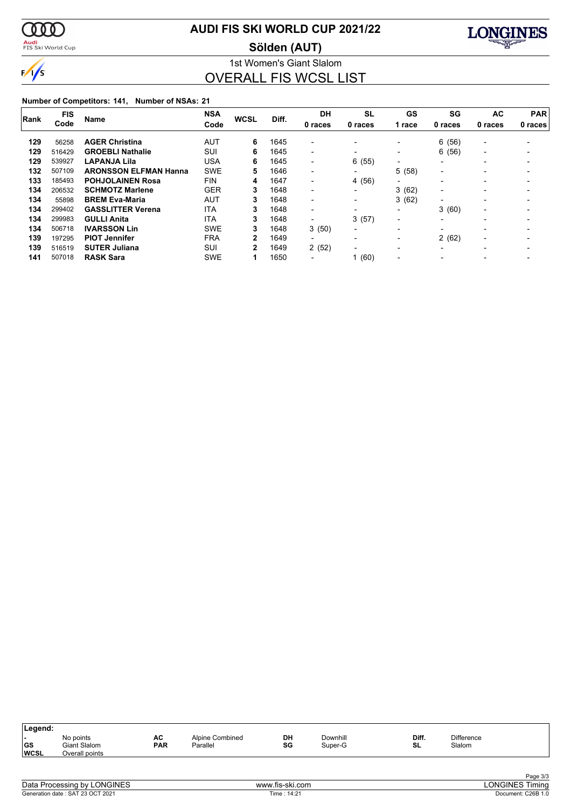

<mark>Audi</mark><br>FIS Ski World Cup

### **AUDI FIS SKI WORLD CUP 2021/22**

**Sölden (AUT)**



1st Women's Giant Slalom OVERALL FIS WCSL LIST

|      | <b>FIS</b> |                              | <b>NSA</b> |              |       | <b>DH</b>                | <b>SL</b>                | GS                       | SG                       | <b>AC</b>                | <b>PAR</b> |
|------|------------|------------------------------|------------|--------------|-------|--------------------------|--------------------------|--------------------------|--------------------------|--------------------------|------------|
| Rank | Code       | <b>Name</b>                  | Code       | <b>WCSL</b>  | Diff. | 0 races                  | 0 races                  | 1 race                   | 0 races                  | 0 races                  | 0 races    |
| 129  | 56258      | <b>AGER Christina</b>        | <b>AUT</b> | 6            | 1645  | $\overline{\phantom{0}}$ |                          | $\overline{\phantom{0}}$ | (56)<br>6                | $\overline{\phantom{a}}$ |            |
| 129  | 516429     | <b>GROEBLI Nathalie</b>      | SUI        | 6            | 1645  | $\overline{\phantom{0}}$ |                          | $\overline{\phantom{0}}$ | 6(56)                    | $\overline{\phantom{0}}$ |            |
| 129  | 539927     | <b>LAPANJA Lila</b>          | <b>USA</b> | 6            | 1645  | $\overline{\phantom{0}}$ | 6(55)                    | $\overline{\phantom{a}}$ | $\overline{\phantom{0}}$ | $\overline{\phantom{0}}$ |            |
| 132  | 507109     | <b>ARONSSON ELFMAN Hanna</b> | <b>SWE</b> | 5            | 1646  | $\overline{\phantom{0}}$ | $\overline{\phantom{a}}$ | 5.<br>(58)               | $\overline{\phantom{a}}$ |                          |            |
| 133  | 185493     | <b>POHJOLAINEN Rosa</b>      | <b>FIN</b> | 4            | 1647  | $\overline{\phantom{0}}$ | 4 (56)                   | $\blacksquare$           |                          | $\overline{\phantom{0}}$ |            |
| 134  | 206532     | <b>SCHMOTZ Marlene</b>       | <b>GER</b> | 3            | 1648  | $\overline{\phantom{0}}$ | $\overline{\phantom{a}}$ | 3(62)                    | $\overline{\phantom{0}}$ |                          |            |
| 134  | 55898      | <b>BREM Eva-Maria</b>        | AUT        | 3            | 1648  | $\overline{\phantom{0}}$ | $\overline{\phantom{a}}$ | 3(62)                    | $\overline{\phantom{0}}$ | $\overline{\phantom{0}}$ |            |
| 134  | 299402     | <b>GASSLITTER Verena</b>     | <b>ITA</b> | 3            | 1648  | $\blacksquare$           | $\overline{\phantom{0}}$ | $\blacksquare$           | 3(60)                    | $\overline{\phantom{0}}$ |            |
| 134  | 299983     | <b>GULLI Anita</b>           | <b>ITA</b> | 3            | 1648  | $\overline{\phantom{0}}$ | 3(57)                    | $\blacksquare$           | $\overline{\phantom{0}}$ |                          |            |
| 134  | 506718     | <b>IVARSSON Lin</b>          | <b>SWE</b> | 3            | 1648  | 3(50)                    | $\blacksquare$           | $\overline{\phantom{0}}$ | $\overline{\phantom{0}}$ |                          |            |
| 139  | 197295     | <b>PIOT Jennifer</b>         | <b>FRA</b> | $\mathbf{2}$ | 1649  | $\overline{\phantom{0}}$ | $\overline{\phantom{0}}$ | $\overline{\phantom{0}}$ | 2(62)                    | $\overline{\phantom{0}}$ |            |
| 139  | 516519     | <b>SUTER Juliana</b>         | SUI        | 2            | 1649  | 2(52)                    | $\overline{\phantom{0}}$ | $\overline{\phantom{0}}$ | $\overline{\phantom{0}}$ |                          |            |
| 141  | 507018     | <b>RASK Sara</b>             | <b>SWE</b> |              | 1650  | -                        | 1(60)                    | $\overline{\phantom{0}}$ |                          |                          |            |

| DH<br><b>Difference</b><br>Diff.<br>Downhill<br>AC<br>Alpine Combined<br>No points<br>. . | ∣Legend: |              |            |          |    |         |    |        |  |
|-------------------------------------------------------------------------------------------|----------|--------------|------------|----------|----|---------|----|--------|--|
| <b>WCSL</b><br>Overall points                                                             | GS       | Giant Slalom | <b>PAR</b> | Parallel | SG | Super-G | SL | Slalom |  |

| Data Processing by LONGINES      |  |
|----------------------------------|--|
| Generation date: SAT 23 OCT 2021 |  |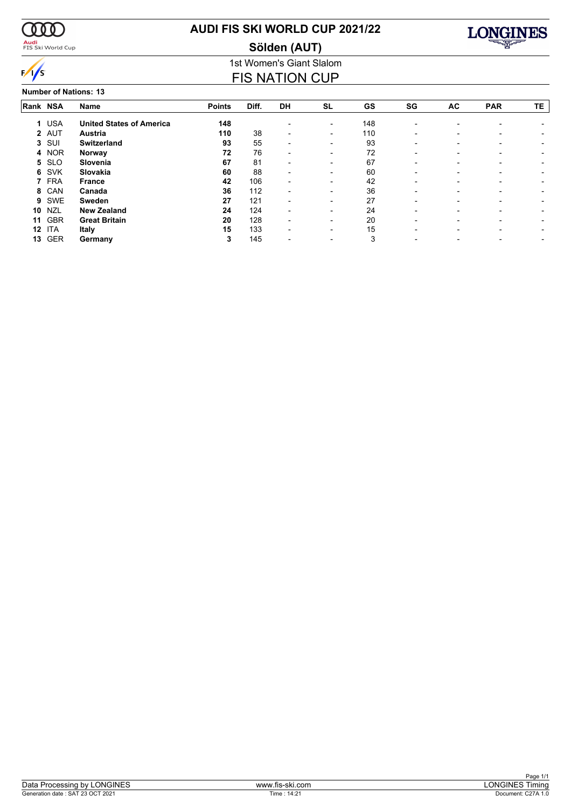

<mark>Audi</mark><br>FIS Ski World Cup

### **AUDI FIS SKI WORLD CUP 2021/22**

**Sölden (AUT)**



### 1st Women's Giant Slalom FIS NATION CUP

**Number of Nations: 13**

| Rank NSA |            | Name                            | <b>Points</b> | Diff. | <b>DH</b>                | <b>SL</b>                | GS  | SG                       | AC                       | <b>PAR</b>               | TE |
|----------|------------|---------------------------------|---------------|-------|--------------------------|--------------------------|-----|--------------------------|--------------------------|--------------------------|----|
| 1.       | <b>USA</b> | <b>United States of America</b> | 148           |       |                          | $\overline{\phantom{a}}$ | 148 | $\overline{\phantom{0}}$ |                          |                          |    |
|          | 2 AUT      | <b>Austria</b>                  | 110           | 38    | $\overline{\phantom{0}}$ | $\overline{\phantom{a}}$ | 110 | $\overline{\phantom{0}}$ | $\overline{\phantom{0}}$ |                          |    |
| 3        | SUI        | <b>Switzerland</b>              | 93            | 55    | $\overline{\phantom{0}}$ | $\overline{\phantom{0}}$ | 93  |                          |                          |                          |    |
| 4        | <b>NOR</b> | Norway                          | 72            | 76    | $\overline{\phantom{0}}$ | $\overline{\phantom{a}}$ | 72  | $\overline{\phantom{0}}$ | $\overline{\phantom{0}}$ | $\overline{\phantom{0}}$ |    |
| 5        | <b>SLO</b> | Slovenia                        | 67            | 81    | $\overline{\phantom{0}}$ | $\overline{\phantom{0}}$ | 67  |                          |                          |                          |    |
| 6        | SVK        | Slovakia                        | 60            | 88    | $\blacksquare$           | $\overline{\phantom{0}}$ | 60  | $\overline{\phantom{0}}$ | -                        |                          |    |
|          | 7 FRA      | <b>France</b>                   | 42            | 106   | $\overline{\phantom{0}}$ | $\overline{\phantom{a}}$ | 42  |                          | $\overline{a}$           |                          |    |
| 8        | CAN        | Canada                          | 36            | 112   | $\overline{\phantom{0}}$ | $\overline{\phantom{0}}$ | 36  |                          |                          |                          |    |
| 9        | <b>SWE</b> | Sweden                          | 27            | 121   | $\overline{\phantom{0}}$ | $\overline{\phantom{0}}$ | 27  |                          | $\blacksquare$           |                          |    |
| 10       | <b>NZL</b> | <b>New Zealand</b>              | 24            | 124   |                          | $\overline{\phantom{0}}$ | 24  |                          |                          |                          |    |
| 11       | <b>GBR</b> | <b>Great Britain</b>            | 20            | 128   | $\blacksquare$           | $\overline{\phantom{a}}$ | 20  | -                        | -                        |                          |    |
| 12       | ITA        | Italy                           | 15            | 133   | $\overline{\phantom{0}}$ | $\overline{\phantom{0}}$ | 15  |                          |                          |                          |    |
| 13       | <b>GER</b> | Germany                         | 3             | 145   |                          |                          | 3   |                          |                          |                          |    |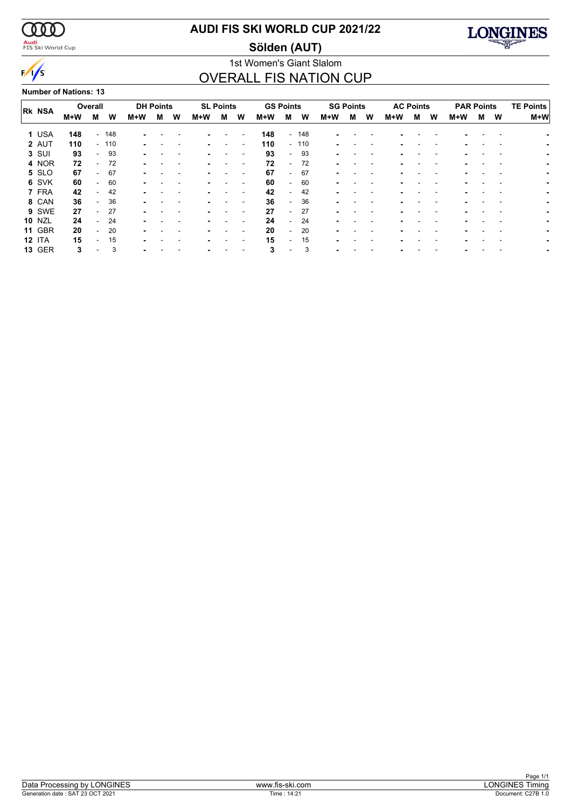

<mark>Audi</mark><br>FIS Ski World Cup

### **AUDI FIS SKI WORLD CUP 2021/22**

**Sölden (AUT)**



### 1st Women's Giant Slalom OVERALL FIS NATION CUP

**Number of Nations: 13**

| <b>RK NSA</b> | Overall |                          |        | <b>DH Points</b> |   |   | <b>SL Points</b> |   | <b>GS Points</b> |     |                          |        | <b>SG Points</b> |   |   | <b>AC Points</b> |   | <b>PAR Points</b> |     |   | <b>TE Points</b> |       |
|---------------|---------|--------------------------|--------|------------------|---|---|------------------|---|------------------|-----|--------------------------|--------|------------------|---|---|------------------|---|-------------------|-----|---|------------------|-------|
|               | M+W     | м                        | W      | M+W              | м | W | M+W              | м | W                | M+W | м                        | W      | M+W              | м | W | M+W              | м | W                 | M+W | м | W                | $M+W$ |
| 1 USA         | 148     |                          | - 148  |                  |   |   |                  |   |                  | 148 |                          | $-148$ |                  |   |   |                  |   |                   |     |   |                  |       |
| 2 AUT         | 110     |                          | $-110$ |                  |   |   |                  |   |                  | 110 |                          | $-110$ |                  |   |   |                  |   |                   |     |   |                  |       |
| 3 SUI         | 93      | $\overline{\phantom{a}}$ | 93     |                  |   |   |                  |   |                  | 93  | - 1                      | 93     |                  |   |   |                  |   |                   |     |   |                  |       |
| 4 NOR         | 72      |                          | 72     |                  |   |   |                  |   |                  | 72  | $\overline{\phantom{0}}$ | 72     |                  |   |   |                  |   |                   |     |   |                  |       |
| 5 SLO         | 67      | $\overline{a}$           | 67     |                  |   |   |                  |   |                  | 67  | $\sim$                   | -67    |                  |   |   |                  |   |                   |     |   |                  |       |
| 6 SVK         | 60      | $\overline{\phantom{a}}$ | 60     |                  |   |   |                  |   |                  | 60  | $\sim$                   | 60     |                  |   |   |                  |   | -                 |     |   |                  |       |
| 7 FRA         | 42      |                          | 42     |                  |   |   |                  |   |                  | 42  | $\overline{\phantom{0}}$ | 42     |                  |   |   |                  |   |                   |     |   |                  |       |
| 8 CAN         | 36      |                          | 36     |                  |   |   |                  |   |                  | 36  | $\overline{\phantom{0}}$ | 36     |                  |   |   |                  |   |                   |     |   |                  |       |
| 9 SWE         | 27      | $\overline{\phantom{a}}$ | 27     |                  |   |   |                  |   |                  | 27  | $\sim$                   | 27     |                  |   |   |                  |   |                   |     |   |                  |       |
| <b>10 NZL</b> | 24      | $\overline{\phantom{a}}$ | 24     | ۰.               |   |   |                  |   |                  | 24  | $\overline{\phantom{0}}$ | 24     |                  |   |   |                  |   |                   |     |   |                  |       |
| <b>11 GBR</b> | 20      |                          | 20     |                  |   |   |                  |   |                  | 20  | $\overline{\phantom{0}}$ | 20     |                  |   |   |                  |   |                   |     |   |                  |       |
| <b>12 ITA</b> | 15      |                          | 15     | ۰.               |   |   |                  |   |                  | 15  | . .                      | 15     |                  |   |   |                  |   |                   |     |   |                  |       |
| <b>13 GER</b> | 3       |                          | 3      |                  |   |   |                  |   |                  | 3   |                          | 3      |                  |   |   |                  |   |                   |     |   |                  |       |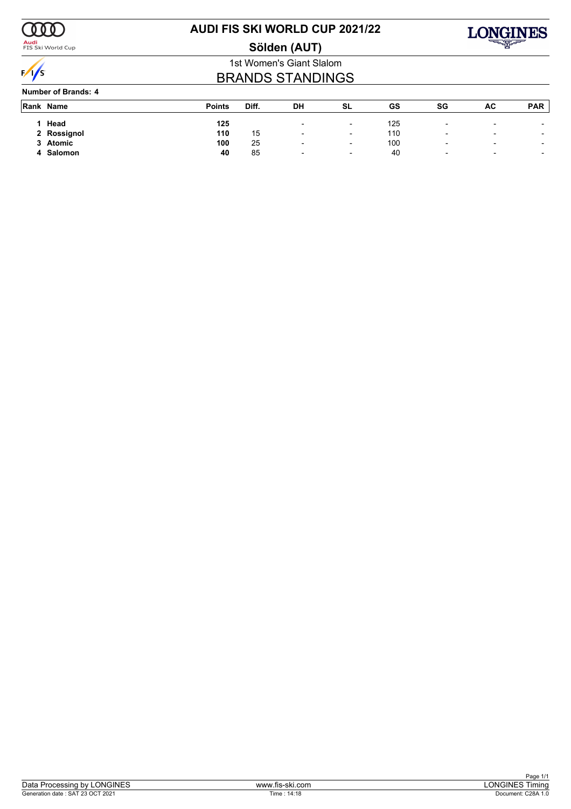

<mark>Audi</mark><br>FIS Ski World Cup

### **AUDI FIS SKI WORLD CUP 2021/22**





### 1st Women's Giant Slalom BRANDS STANDINGS

**Number of Brands: 4**

| Rank Name   | <b>Points</b> | Diff. | DH                       | SL                       | GS  | SG                       | AC                       | <b>PAR</b>               |
|-------------|---------------|-------|--------------------------|--------------------------|-----|--------------------------|--------------------------|--------------------------|
| Head        | 125           |       | $\overline{\phantom{0}}$ | $\overline{\phantom{0}}$ | 125 | $\overline{\phantom{0}}$ | $\overline{\phantom{a}}$ | $\overline{\phantom{0}}$ |
| 2 Rossignol | 110           | 15    | $\overline{\phantom{0}}$ | $\overline{\phantom{0}}$ | 110 | $\overline{\phantom{0}}$ | $\overline{\phantom{a}}$ | $\overline{\phantom{a}}$ |
| 3 Atomic    | 100           | 25    | $\overline{\phantom{0}}$ | $\overline{\phantom{0}}$ | 100 | $\overline{\phantom{0}}$ | $\overline{\phantom{a}}$ | $\overline{\phantom{0}}$ |
| Salomon     | 40            | 85    | $\overline{\phantom{a}}$ | $\overline{\phantom{a}}$ | 40  | $\overline{\phantom{0}}$ | $\overline{\phantom{a}}$ | $\overline{\phantom{a}}$ |
|             |               |       |                          |                          |     |                          |                          |                          |